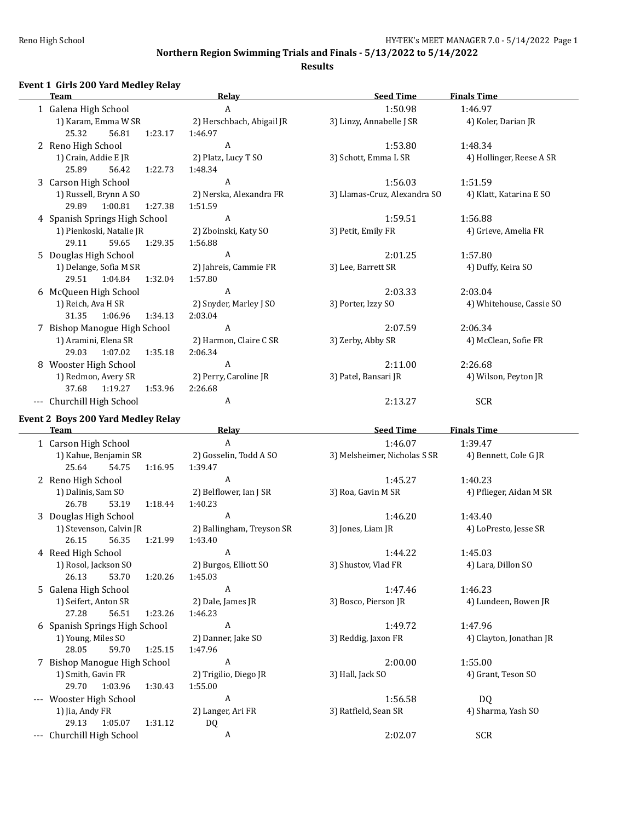### **Results**

## **Event 1 Girls 200 Yard Medley Relay**

|   | <b>Team</b>                        | Relay                     | <b>Seed Time</b>             | <b>Finals Time</b>       |
|---|------------------------------------|---------------------------|------------------------------|--------------------------|
|   | 1 Galena High School               | A                         | 1:50.98                      | 1:46.97                  |
|   | 1) Karam, Emma W SR                | 2) Herschbach, Abigail JR | 3) Linzy, Annabelle J SR     | 4) Koler, Darian JR      |
|   | 25.32<br>56.81<br>1:23.17          | 1:46.97                   |                              |                          |
|   | 2 Reno High School                 | A                         | 1:53.80                      | 1:48.34                  |
|   | 1) Crain, Addie E JR               | 2) Platz, Lucy T SO       | 3) Schott, Emma L SR         | 4) Hollinger, Reese A SR |
|   | 25.89<br>56.42<br>1:22.73          | 1:48.34                   |                              |                          |
|   | 3 Carson High School               | A                         | 1:56.03                      | 1:51.59                  |
|   | 1) Russell, Brynn A SO             | 2) Nerska, Alexandra FR   | 3) Llamas-Cruz, Alexandra SO | 4) Klatt, Katarina E SO  |
|   | 29.89<br>1:00.81<br>1:27.38        | 1:51.59                   |                              |                          |
|   | 4 Spanish Springs High School      | A                         | 1:59.51                      | 1:56.88                  |
|   | 1) Pienkoski, Natalie JR           | 2) Zboinski, Katy SO      | 3) Petit, Emily FR           | 4) Grieve, Amelia FR     |
|   | 29.11<br>59.65<br>1:29.35          | 1:56.88                   |                              |                          |
|   | 5 Douglas High School              | A                         | 2:01.25                      | 1:57.80                  |
|   | 1) Delange, Sofia M SR             | 2) Jahreis, Cammie FR     | 3) Lee, Barrett SR           | 4) Duffy, Keira SO       |
|   | 29.51<br>1:04.84<br>1:32.04        | 1:57.80                   |                              |                          |
|   | 6 McQueen High School              | A                         | 2:03.33                      | 2:03.04                  |
|   | 1) Reich, Ava H SR                 | 2) Snyder, Marley J SO    | 3) Porter, Izzy SO           | 4) Whitehouse, Cassie SO |
|   | 31.35<br>1:06.96<br>1:34.13        | 2:03.04                   |                              |                          |
|   | 7 Bishop Manogue High School       | A                         | 2:07.59                      | 2:06.34                  |
|   | 1) Aramini, Elena SR               | 2) Harmon, Claire C SR    | 3) Zerby, Abby SR            | 4) McClean, Sofie FR     |
|   | 29.03<br>1:07.02<br>1:35.18        | 2:06.34                   |                              |                          |
| 8 | Wooster High School                | A                         | 2:11.00                      | 2:26.68                  |
|   | 1) Redmon, Avery SR                | 2) Perry, Caroline JR     | 3) Patel, Bansari JR         | 4) Wilson, Peyton JR     |
|   | 37.68<br>1:19.27<br>1:53.96        | 2:26.68                   |                              |                          |
|   | --- Churchill High School          | A                         | 2:13.27                      | SCR                      |
|   | Event 2 Boys 200 Yard Medley Relay |                           |                              |                          |
|   | <b>Team</b>                        | Relay                     | <b>Seed Time</b>             | <b>Finals Time</b>       |
|   | 1 Carson High School               | A                         | 1:46.07                      | 1:39.47                  |

|    | Carson High School            | A                         | 1:46.07                      | 1:39.47                 |
|----|-------------------------------|---------------------------|------------------------------|-------------------------|
|    | 1) Kahue, Benjamin SR         | 2) Gosselin, Todd A SO    | 3) Melsheimer, Nicholas S SR | 4) Bennett, Cole G JR   |
|    | 25.64<br>54.75<br>1:16.95     | 1:39.47                   |                              |                         |
|    | 2 Reno High School            | $\mathbf{A}$              | 1:45.27                      | 1:40.23                 |
|    | 1) Dalinis, Sam SO            | 2) Belflower, Ian J SR    | 3) Roa, Gavin M SR           | 4) Pflieger, Aidan M SR |
|    | 26.78<br>53.19<br>1:18.44     | 1:40.23                   |                              |                         |
|    | 3 Douglas High School         | $\overline{A}$            | 1:46.20                      | 1:43.40                 |
|    | 1) Stevenson, Calvin JR       | 2) Ballingham, Treyson SR | 3) Jones, Liam JR            | 4) LoPresto, Jesse SR   |
|    | 26.15<br>56.35<br>1:21.99     | 1:43.40                   |                              |                         |
|    | 4 Reed High School            | A                         | 1:44.22                      | 1:45.03                 |
|    | 1) Rosol, Jackson SO          | 2) Burgos, Elliott SO     | 3) Shustov, Vlad FR          | 4) Lara, Dillon SO      |
|    | 26.13<br>53.70<br>1:20.26     | 1:45.03                   |                              |                         |
| 5. | Galena High School            | A                         | 1:47.46                      | 1:46.23                 |
|    | 1) Seifert, Anton SR          | 2) Dale, James JR         | 3) Bosco, Pierson JR         | 4) Lundeen, Bowen JR    |
|    | 27.28<br>56.51<br>1:23.26     | 1:46.23                   |                              |                         |
|    | 6 Spanish Springs High School | A                         | 1:49.72                      | 1:47.96                 |
|    | 1) Young, Miles SO            | 2) Danner, Jake SO        | 3) Reddig, Jaxon FR          | 4) Clayton, Jonathan JR |
|    | 28.05<br>59.70<br>1:25.15     | 1:47.96                   |                              |                         |
|    | 7 Bishop Manogue High School  | $\boldsymbol{A}$          | 2:00.00                      | 1:55.00                 |
|    | 1) Smith, Gavin FR            | 2) Trigilio, Diego JR     | 3) Hall, Jack SO             | 4) Grant, Teson SO      |
|    | 29.70<br>1:03.96<br>1:30.43   | 1:55.00                   |                              |                         |
|    | Wooster High School           | $\overline{A}$            | 1:56.58                      | DQ                      |
|    | 1) Jia, Andy FR               | 2) Langer, Ari FR         | 3) Ratfield, Sean SR         | 4) Sharma, Yash SO      |
|    | 29.13<br>1:05.07<br>1:31.12   | DQ                        |                              |                         |
|    | Churchill High School         | A                         | 2:02.07                      | SCR                     |
|    |                               |                           |                              |                         |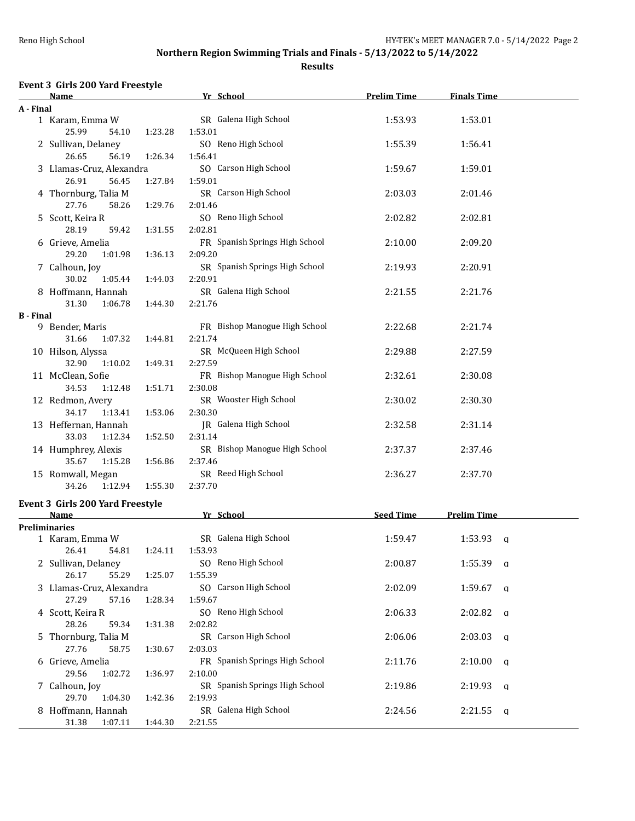**Results**

## **Event 3 Girls 200 Yard Freestyle**

|                  | <u>Name</u>                                |         | Yr School                                 | <b>Prelim Time</b> | <b>Finals Time</b> |  |
|------------------|--------------------------------------------|---------|-------------------------------------------|--------------------|--------------------|--|
| A - Final        |                                            |         |                                           |                    |                    |  |
|                  | 1 Karam, Emma W<br>25.99<br>54.10          | 1:23.28 | SR Galena High School<br>1:53.01          | 1:53.93            | 1:53.01            |  |
|                  | 2 Sullivan, Delaney<br>26.65<br>56.19      | 1:26.34 | SO Reno High School<br>1:56.41            | 1:55.39            | 1:56.41            |  |
|                  | 3 Llamas-Cruz, Alexandra                   |         | SO Carson High School                     | 1:59.67            | 1:59.01            |  |
|                  | 26.91<br>56.45<br>4 Thornburg, Talia M     | 1:27.84 | 1:59.01<br>SR Carson High School          | 2:03.03            | 2:01.46            |  |
|                  | 27.76<br>58.26                             | 1:29.76 | 2:01.46<br>SO Reno High School            |                    |                    |  |
|                  | 5 Scott, Keira R<br>28.19<br>59.42         | 1:31.55 | 2:02.81                                   | 2:02.82            | 2:02.81            |  |
|                  | 6 Grieve, Amelia<br>29.20<br>1:01.98       | 1:36.13 | FR Spanish Springs High School<br>2:09.20 | 2:10.00            | 2:09.20            |  |
|                  | 7 Calhoun, Joy<br>30.02<br>1:05.44         | 1:44.03 | SR Spanish Springs High School<br>2:20.91 | 2:19.93            | 2:20.91            |  |
|                  | 8 Hoffmann, Hannah                         | 1:44.30 | SR Galena High School                     | 2:21.55            | 2:21.76            |  |
| <b>B</b> - Final | 31.30<br>1:06.78                           |         | 2:21.76                                   |                    |                    |  |
|                  | 9 Bender, Maris<br>31.66<br>1:07.32        | 1:44.81 | FR Bishop Manogue High School<br>2:21.74  | 2:22.68            | 2:21.74            |  |
|                  | 10 Hilson, Alyssa<br>32.90                 |         | SR McQueen High School                    | 2:29.88            | 2:27.59            |  |
|                  | 1:10.02<br>11 McClean, Sofie               | 1:49.31 | 2:27.59<br>FR Bishop Manogue High School  | 2:32.61            | 2:30.08            |  |
|                  | 34.53<br>1:12.48<br>12 Redmon, Avery       | 1:51.71 | 2:30.08<br>SR Wooster High School         | 2:30.02            | 2:30.30            |  |
|                  | 34.17<br>1:13.41<br>13 Heffernan, Hannah   | 1:53.06 | 2:30.30<br>JR Galena High School          | 2:32.58            | 2:31.14            |  |
|                  | 33.03<br>1:12.34<br>14 Humphrey, Alexis    | 1:52.50 | 2:31.14<br>SR Bishop Manogue High School  | 2:37.37            | 2:37.46            |  |
|                  | 35.67<br>1:15.28                           | 1:56.86 | 2:37.46                                   |                    |                    |  |
|                  | 15 Romwall, Megan<br>34.26<br>1:12.94      | 1:55.30 | SR Reed High School<br>2:37.70            | 2:36.27            | 2:37.70            |  |
|                  | <b>Event 3 Girls 200 Yard Freestyle</b>    |         |                                           |                    |                    |  |
|                  | <u>Name</u>                                |         | Yr School                                 | <b>Seed Time</b>   | <b>Prelim Time</b> |  |
|                  | Preliminaries<br>1 Karam, Emma W           |         | SR Galena High School                     | 1:59.47            | 1:53.93<br>q       |  |
|                  | 26.41<br>54.81<br>2 Sullivan, Delaney      | 1:24.11 | 1:53.93<br>SO Reno High School            | 2:00.87            | $1:55.39$ a        |  |
|                  | 26.17<br>55.29<br>3 Llamas-Cruz, Alexandra | 1:25.07 | 1:55.39<br>SO Carson High School          | 2:02.09            | 1:59.67<br>q       |  |
|                  | 27.29<br>57.16                             | 1:28.34 | 1:59.67                                   |                    |                    |  |
|                  | 4 Scott, Keira R<br>28.26<br>59.34         | 1:31.38 | SO Reno High School<br>2:02.82            | 2:06.33            | 2:02.82<br>a       |  |
|                  | 5 Thornburg, Talia M<br>27.76<br>58.75     | 1:30.67 | SR Carson High School<br>2:03.03          | 2:06.06            | 2:03.03<br>q       |  |
|                  | 6 Grieve, Amelia<br>29.56<br>1:02.72       | 1:36.97 | FR Spanish Springs High School<br>2:10.00 | 2:11.76            | 2:10.00<br>q       |  |
|                  | 7 Calhoun, Joy                             |         | SR Spanish Springs High School            | 2:19.86            | 2:19.93<br>a       |  |
|                  | 29.70<br>1:04.30<br>8 Hoffmann, Hannah     | 1:42.36 | 2:19.93<br>SR Galena High School          | 2:24.56            | 2:21.55<br>a       |  |
|                  | 31.38<br>1:07.11                           | 1:44.30 | 2:21.55                                   |                    |                    |  |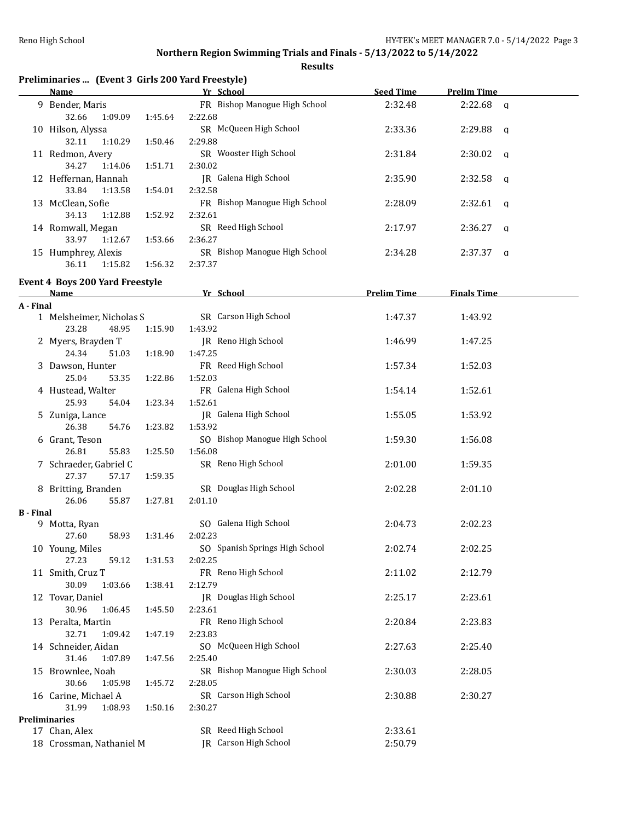### **Northern Region Swimming Trials and Finals - 5/13/2022 to 5/14/2022**

|           |                                                           |         | <b>Results</b>                 |                    |                        |
|-----------|-----------------------------------------------------------|---------|--------------------------------|--------------------|------------------------|
|           | Preliminaries  (Event 3 Girls 200 Yard Freestyle)<br>Name |         | Yr School                      | <b>Seed Time</b>   | <b>Prelim Time</b>     |
|           | 9 Bender, Maris                                           |         | FR Bishop Manogue High School  | 2:32.48            | 2:22.68                |
|           | 32.66<br>1:09.09                                          | 1:45.64 | 2:22.68                        |                    | q                      |
|           | 10 Hilson, Alyssa                                         |         | SR McQueen High School         | 2:33.36            | 2:29.88                |
|           | 32.11<br>1:10.29                                          | 1:50.46 | 2:29.88                        |                    | $\mathbf q$            |
|           | 11 Redmon, Avery                                          |         | SR Wooster High School         | 2:31.84            | 2:30.02                |
|           | 34.27<br>1:14.06                                          | 1:51.71 | 2:30.02                        |                    | $\mathbf q$            |
|           | 12 Heffernan, Hannah                                      |         | JR Galena High School          | 2:35.90            | 2:32.58<br>q           |
|           | 33.84<br>1:13.58                                          | 1:54.01 | 2:32.58                        |                    |                        |
|           | 13 McClean, Sofie                                         |         | FR Bishop Manogue High School  | 2:28.09            | 2:32.61<br>$\mathbf q$ |
|           | 34.13<br>1:12.88                                          | 1:52.92 | 2:32.61                        |                    |                        |
|           |                                                           |         | SR Reed High School            | 2:17.97            | 2:36.27                |
|           | 14 Romwall, Megan<br>33.97<br>1:12.67                     | 1:53.66 | 2:36.27                        |                    | $\mathbf q$            |
|           | 15 Humphrey, Alexis                                       |         | SR Bishop Manogue High School  | 2:34.28            | 2:37.37                |
|           | 36.11<br>1:15.82                                          | 1:56.32 | 2:37.37                        |                    | q                      |
|           |                                                           |         |                                |                    |                        |
|           | <b>Event 4 Boys 200 Yard Freestyle</b>                    |         |                                |                    |                        |
|           | Name                                                      |         | Yr School                      | <b>Prelim Time</b> | <b>Finals Time</b>     |
| A - Final |                                                           |         |                                |                    |                        |
|           | 1 Melsheimer, Nicholas S                                  |         | SR Carson High School          | 1:47.37            | 1:43.92                |
|           | 23.28<br>48.95                                            | 1:15.90 | 1:43.92                        |                    |                        |
|           | 2 Myers, Brayden T                                        |         | JR Reno High School            | 1:46.99            | 1:47.25                |
|           | 24.34<br>51.03                                            | 1:18.90 | 1:47.25                        |                    |                        |
|           | 3 Dawson, Hunter                                          |         | FR Reed High School            | 1:57.34            | 1:52.03                |
|           | 25.04<br>53.35                                            | 1:22.86 | 1:52.03                        |                    |                        |
|           | 4 Hustead, Walter                                         |         | FR Galena High School          | 1:54.14            | 1:52.61                |
|           | 25.93<br>54.04                                            | 1:23.34 | 1:52.61                        |                    |                        |
|           | 5 Zuniga, Lance                                           |         | JR Galena High School          | 1:55.05            | 1:53.92                |
|           | 26.38<br>54.76                                            | 1:23.82 | 1:53.92                        |                    |                        |
|           | 6 Grant, Teson                                            |         | SO Bishop Manogue High School  | 1:59.30            | 1:56.08                |
|           | 26.81<br>55.83                                            | 1:25.50 | 1:56.08                        |                    |                        |
|           | 7 Schraeder, Gabriel C                                    |         | SR Reno High School            | 2:01.00            | 1:59.35                |
|           | 27.37<br>57.17                                            | 1:59.35 |                                |                    |                        |
|           | 8 Britting, Branden                                       |         | SR Douglas High School         | 2:02.28            | 2:01.10                |
|           | 26.06<br>55.87                                            | 1:27.81 | 2:01.10                        |                    |                        |
| B - Final |                                                           |         |                                |                    |                        |
|           | 9 Motta, Ryan                                             |         | SO Galena High School          | 2:04.73            | 2:02.23                |
|           | 27.60<br>58.93                                            | 1:31.46 | 2:02.23                        |                    |                        |
|           | 10 Young, Miles                                           |         | SO Spanish Springs High School | 2:02.74            | 2:02.25                |
|           | 27.23<br>59.12                                            | 1:31.53 | 2:02.25                        |                    |                        |
|           | 11 Smith, Cruz T                                          |         | FR Reno High School            | 2:11.02            | 2:12.79                |
|           | 30.09<br>1:03.66                                          | 1:38.41 | 2:12.79                        |                    |                        |
|           | 12 Tovar, Daniel                                          |         | JR Douglas High School         | 2:25.17            | 2:23.61                |
|           | 30.96<br>1:06.45                                          | 1:45.50 | 2:23.61                        |                    |                        |

13 Peralta, Martin FR Reno High School 2:20.84 2:23.83

14 Schneider, Aidan SO McQueen High School 2:27.63 2:25.40

15 Brownlee, Noah SR Bishop Manogue High School 2:30.03 2:28.05

16 Carine, Michael A SR Carson High School 2:30.88 2:30.27

17 Chan, Alex SR Reed High School 2:33.61 18 Crossman, Nathaniel M JR Carson High School 2:50.79

32.71 1:09.42 1:47.19 2:23.83

31.46 1:07.89 1:47.56 2:25.40

30.66 1:05.98 1:45.72 2:28.05

31.99 1:08.93 1:50.16 2:30.27

**Preliminaries**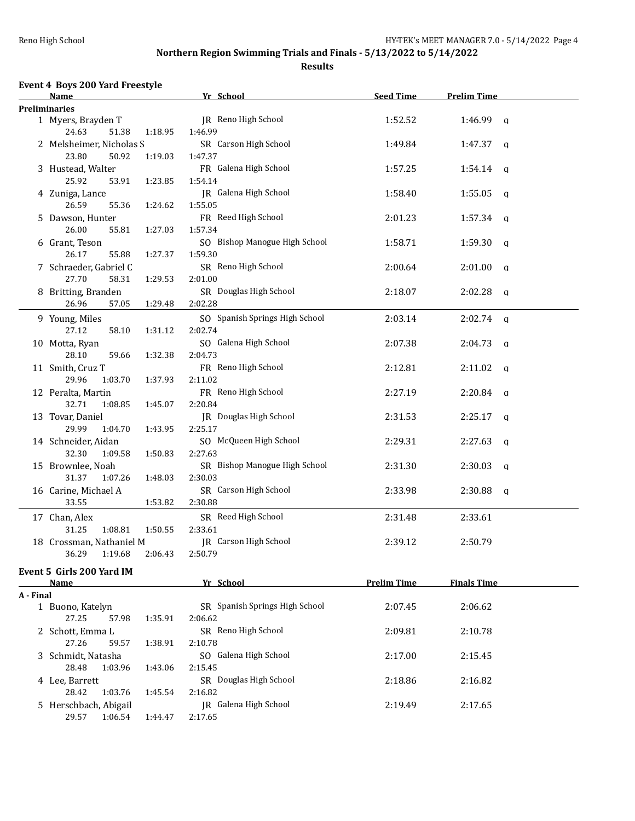### **Results**

## **Event 4 Boys 200 Yard Freestyle**

29.57 1:06.54 1:44.47 2:17.65

|           | Name                                         |         | <u>Yr School</u>                          | <b>Seed Time</b>   | <b>Prelim Time</b>      |  |
|-----------|----------------------------------------------|---------|-------------------------------------------|--------------------|-------------------------|--|
|           | <b>Preliminaries</b>                         |         |                                           |                    |                         |  |
|           | 1 Myers, Brayden T<br>24.63<br>51.38         | 1:18.95 | JR Reno High School<br>1:46.99            | 1:52.52            | $1:46.99$ q             |  |
|           | 2 Melsheimer, Nicholas S<br>23.80<br>50.92   |         | SR Carson High School                     | 1:49.84            | 1:47.37<br>q            |  |
|           | 3 Hustead, Walter                            | 1:19.03 | 1:47.37<br>FR Galena High School          | 1:57.25            | 1:54.14<br>q            |  |
|           | 25.92<br>53.91<br>4 Zuniga, Lance            | 1:23.85 | 1:54.14<br>JR Galena High School          | 1:58.40            | 1:55.05<br>q            |  |
|           | 26.59<br>55.36                               | 1:24.62 | 1:55.05                                   |                    |                         |  |
|           | 5 Dawson, Hunter<br>26.00<br>55.81           | 1:27.03 | FR Reed High School<br>1:57.34            | 2:01.23            | 1:57.34<br>q            |  |
|           | 6 Grant, Teson                               |         | SO Bishop Manogue High School             | 1:58.71            | 1:59.30<br>a            |  |
|           | 26.17<br>55.88<br>7 Schraeder, Gabriel C     | 1:27.37 | 1:59.30<br>SR Reno High School            | 2:00.64            | 2:01.00<br>q            |  |
|           | 27.70<br>58.31                               | 1:29.53 | 2:01.00                                   |                    |                         |  |
|           | 8 Britting, Branden<br>26.96<br>57.05        | 1:29.48 | SR Douglas High School<br>2:02.28         | 2:18.07            | 2:02.28<br>q            |  |
|           | 9 Young, Miles<br>27.12<br>58.10             | 1:31.12 | SO Spanish Springs High School<br>2:02.74 | 2:03.14            | 2:02.74<br>$\mathbf{q}$ |  |
|           | 10 Motta, Ryan<br>28.10<br>59.66             | 1:32.38 | SO Galena High School<br>2:04.73          | 2:07.38            | 2:04.73<br>q            |  |
|           | 11 Smith, Cruz T                             |         | FR Reno High School                       | 2:12.81            | 2:11.02<br>q            |  |
|           | 29.96<br>1:03.70<br>12 Peralta, Martin       | 1:37.93 | 2:11.02<br>FR Reno High School            | 2:27.19            | 2:20.84<br>a            |  |
|           | 32.71<br>1:08.85                             | 1:45.07 | 2:20.84                                   |                    |                         |  |
|           | 13 Tovar, Daniel<br>29.99<br>1:04.70         | 1:43.95 | JR Douglas High School<br>2:25.17         | 2:31.53            | 2:25.17<br>q            |  |
|           | 14 Schneider, Aidan<br>32.30<br>1:09.58      | 1:50.83 | SO McQueen High School<br>2:27.63         | 2:29.31            | 2:27.63<br>q            |  |
|           | 15 Brownlee, Noah<br>31.37<br>1:07.26        |         | SR Bishop Manogue High School<br>2:30.03  | 2:31.30            | 2:30.03<br>a            |  |
|           | 16 Carine, Michael A                         | 1:48.03 | SR Carson High School                     | 2:33.98            | 2:30.88<br>q            |  |
|           | 33.55                                        | 1:53.82 | 2:30.88                                   |                    |                         |  |
|           | 17 Chan, Alex<br>31.25<br>1:08.81            | 1:50.55 | SR Reed High School<br>2:33.61            | 2:31.48            | 2:33.61                 |  |
|           | 18 Crossman, Nathaniel M<br>36.29<br>1:19.68 | 2:06.43 | JR Carson High School<br>2:50.79          | 2:39.12            | 2:50.79                 |  |
|           | Event 5 Girls 200 Yard IM                    |         |                                           |                    |                         |  |
|           | <b>Name</b>                                  |         | Yr School                                 | <b>Prelim Time</b> | <b>Finals Time</b>      |  |
| A - Final |                                              |         |                                           |                    |                         |  |
|           | 1 Buono, Katelyn<br>27.25<br>57.98           | 1:35.91 | SR Spanish Springs High School<br>2:06.62 | 2:07.45            | 2:06.62                 |  |
|           | 2 Schott, Emma L<br>27.26<br>59.57           | 1:38.91 | SR Reno High School<br>2:10.78            | 2:09.81            | 2:10.78                 |  |
|           | 3 Schmidt, Natasha                           |         | SO Galena High School                     | 2:17.00            | 2:15.45                 |  |
|           | 28.48<br>1:03.96<br>4 Lee, Barrett           | 1:43.06 | 2:15.45<br>SR Douglas High School         | 2:18.86            | 2:16.82                 |  |
|           | 28.42<br>1:03.76                             | 1:45.54 | 2:16.82                                   |                    |                         |  |
|           | 5 Herschbach, Abigail                        |         | <b>JR</b> Galena High School              | 2:19.49            | 2:17.65                 |  |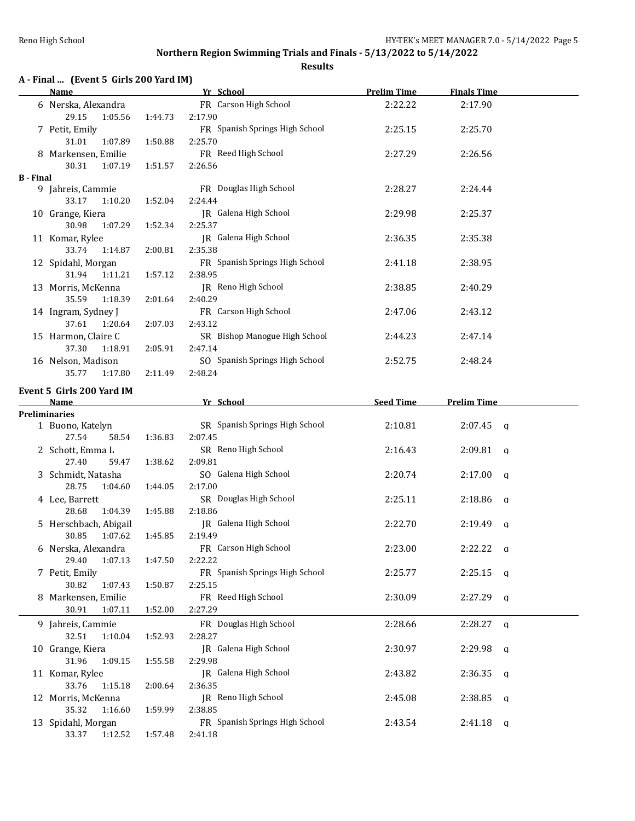|  |  | A - Final  (Event 5 Girls 200 Yard IM) |  |
|--|--|----------------------------------------|--|
|--|--|----------------------------------------|--|

|                  | <b>Name</b>                  |         | Yr School                      | <b>Prelim Time</b> | <b>Finals Time</b>  |  |
|------------------|------------------------------|---------|--------------------------------|--------------------|---------------------|--|
|                  | 6 Nerska, Alexandra          |         | FR Carson High School          | 2:22.22            | 2:17.90             |  |
|                  | 29.15<br>1:05.56             | 1:44.73 | 2:17.90                        |                    |                     |  |
|                  | 7 Petit, Emily               |         | FR Spanish Springs High School | 2:25.15            | 2:25.70             |  |
|                  | 31.01<br>1:07.89             | 1:50.88 | 2:25.70                        |                    |                     |  |
|                  | 8 Markensen, Emilie          |         | FR Reed High School            | 2:27.29            | 2:26.56             |  |
|                  | 30.31<br>1:07.19             | 1:51.57 | 2:26.56                        |                    |                     |  |
| <b>B</b> - Final |                              |         |                                |                    |                     |  |
|                  | 9 Jahreis, Cammie            |         | FR Douglas High School         | 2:28.27            | 2:24.44             |  |
|                  | 33.17<br>1:10.20             | 1:52.04 | 2:24.44                        |                    |                     |  |
|                  | 10 Grange, Kiera             |         | JR Galena High School          | 2:29.98            | 2:25.37             |  |
|                  | 30.98<br>1:07.29             | 1:52.34 | 2:25.37                        |                    |                     |  |
|                  | 11 Komar, Rylee              |         | JR Galena High School          | 2:36.35            | 2:35.38             |  |
|                  | 33.74<br>1:14.87             | 2:00.81 | 2:35.38                        |                    |                     |  |
|                  | 12 Spidahl, Morgan           |         | FR Spanish Springs High School | 2:41.18            | 2:38.95             |  |
|                  | 31.94<br>1:11.21             | 1:57.12 | 2:38.95                        |                    |                     |  |
|                  | 13 Morris, McKenna           |         | JR Reno High School            | 2:38.85            | 2:40.29             |  |
|                  | 35.59<br>1:18.39             | 2:01.64 | 2:40.29                        |                    |                     |  |
|                  | 14 Ingram, Sydney J          |         | FR Carson High School          | 2:47.06            | 2:43.12             |  |
|                  | 37.61<br>1:20.64             | 2:07.03 | 2:43.12                        |                    |                     |  |
|                  | 15 Harmon, Claire C          |         | SR Bishop Manogue High School  | 2:44.23            | 2:47.14             |  |
|                  | 37.30<br>1:18.91             | 2:05.91 | 2:47.14                        |                    |                     |  |
|                  | 16 Nelson, Madison           |         | SO Spanish Springs High School | 2:52.75            | 2:48.24             |  |
|                  | 35.77<br>1:17.80             | 2:11.49 | 2:48.24                        |                    |                     |  |
|                  | Event 5 Girls 200 Yard IM    |         |                                |                    |                     |  |
|                  | Name                         |         | Yr School                      | <b>Seed Time</b>   | <b>Prelim Time</b>  |  |
|                  | Preliminaries                |         |                                |                    |                     |  |
|                  | 1 Buono, Katelyn             |         | SR Spanish Springs High School | 2:10.81            | 2:07.45<br>q        |  |
|                  | 27.54<br>58.54               | 1:36.83 | 2:07.45                        |                    |                     |  |
|                  | 2 Schott, Emma L             |         | SR Reno High School            | 2:16.43            | 2:09.81<br>q        |  |
|                  | 27.40<br>59.47               | 1:38.62 | 2:09.81                        |                    |                     |  |
|                  | 3 Schmidt, Natasha           |         | SO Galena High School          | 2:20.74            | 2:17.00<br>q        |  |
|                  | 28.75<br>1:04.60             | 1:44.05 | 2:17.00                        |                    |                     |  |
|                  | 4 Lee, Barrett               |         | SR Douglas High School         | 2:25.11            | 2:18.86<br>a        |  |
|                  | 28.68<br>1:04.39             | 1:45.88 | 2:18.86                        |                    |                     |  |
|                  | 5 Herschbach, Abigail        |         | JR Galena High School          | 2:22.70            | 2:19.49<br>q        |  |
|                  | 1:07.62<br>30.85             | 1:45.85 | 2:19.49                        |                    |                     |  |
|                  | 6 Nerska, Alexandra          |         | FR Carson High School          | 2:23.00            | 2:22.22<br>q        |  |
|                  | 29.40<br>1:07.13             | 1:47.50 | 2:22.22                        |                    |                     |  |
|                  | 7 Petit, Emily               |         | FR Spanish Springs High School | 2:25.77            | 2:25.15<br>a        |  |
|                  | 30.82<br>1:07.43             | 1:50.87 | 2:25.15<br>FR Reed High School |                    |                     |  |
|                  | 8 Markensen, Emilie<br>30.91 |         |                                | 2:30.09            | 2:27.29<br>q        |  |
|                  | 1:07.11                      | 1:52.00 | 2:27.29                        |                    |                     |  |
|                  | 9 Jahreis, Cammie            |         | FR Douglas High School         | 2:28.66            | 2:28.27<br>a        |  |
|                  | 32.51<br>1:10.04             | 1:52.93 | 2:28.27                        |                    |                     |  |
|                  | 10 Grange, Kiera             |         | JR Galena High School          | 2:30.97            | 2:29.98<br>q        |  |
|                  | 31.96<br>1:09.15             | 1:55.58 | 2:29.98                        |                    |                     |  |
|                  | 11 Komar, Rylee              |         | JR Galena High School          | 2:43.82            | 2:36.35<br>q        |  |
|                  | 33.76<br>1:15.18             | 2:00.64 | 2:36.35                        |                    |                     |  |
|                  | 12 Morris, McKenna           |         | JR Reno High School            | 2:45.08            | 2:38.85<br>a        |  |
|                  | 35.32<br>1:16.60             | 1:59.99 | 2:38.85                        |                    |                     |  |
|                  | 13 Spidahl, Morgan           |         | FR Spanish Springs High School | 2:43.54            | 2:41.18<br><b>a</b> |  |
|                  | 1:12.52<br>33.37             | 1:57.48 | 2:41.18                        |                    |                     |  |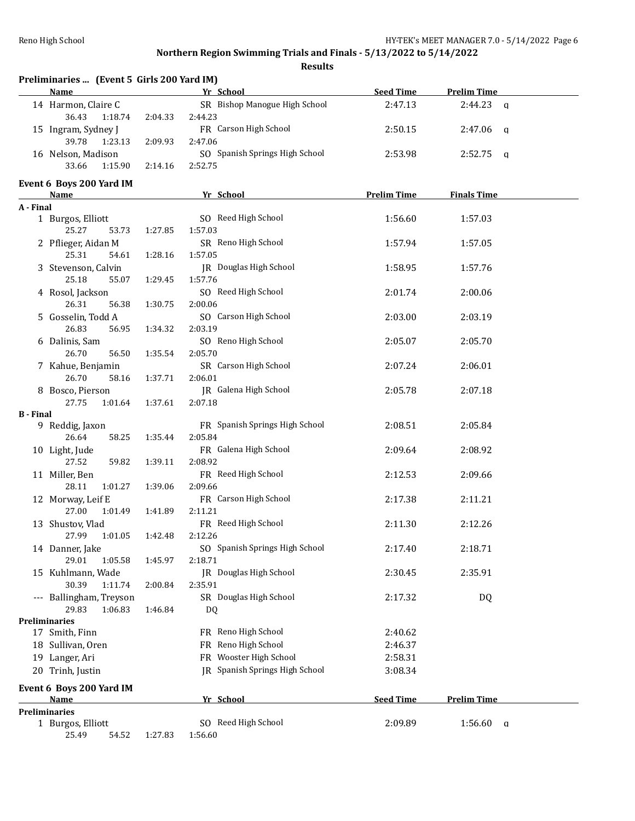|                  | Preliminaries  (Event 5 Girls 200 Yard IM)<br>Name |         | Yr School                      | <b>Seed Time</b>   | <b>Prelim Time</b> |
|------------------|----------------------------------------------------|---------|--------------------------------|--------------------|--------------------|
|                  | 14 Harmon, Claire C                                |         | SR Bishop Manogue High School  | 2:47.13            | $2:44.23$ q        |
|                  | 36.43<br>1:18.74                                   | 2:04.33 | 2:44.23                        |                    |                    |
|                  | 15 Ingram, Sydney J                                |         | FR Carson High School          | 2:50.15            | 2:47.06<br>q       |
|                  | 39.78<br>1:23.13                                   | 2:09.93 | 2:47.06                        |                    |                    |
|                  | 16 Nelson, Madison                                 |         | SO Spanish Springs High School | 2:53.98            | 2:52.75<br>q       |
|                  | 1:15.90<br>33.66                                   | 2:14.16 | 2:52.75                        |                    |                    |
|                  | Event 6 Boys 200 Yard IM                           |         |                                |                    |                    |
|                  | <b>Name</b>                                        |         | Yr School                      | <b>Prelim Time</b> | <b>Finals Time</b> |
| A - Final        |                                                    |         |                                |                    |                    |
|                  | 1 Burgos, Elliott                                  |         | SO Reed High School            | 1:56.60            | 1:57.03            |
|                  | 25.27<br>53.73                                     | 1:27.85 | 1:57.03                        |                    |                    |
|                  | 2 Pflieger, Aidan M                                |         | SR Reno High School            | 1:57.94            | 1:57.05            |
|                  | 25.31<br>54.61                                     | 1:28.16 | 1:57.05                        |                    |                    |
|                  | 3 Stevenson, Calvin                                |         | JR Douglas High School         | 1:58.95            | 1:57.76            |
|                  | 25.18<br>55.07                                     | 1:29.45 | 1:57.76                        |                    |                    |
|                  | 4 Rosol, Jackson                                   |         | SO Reed High School            | 2:01.74            | 2:00.06            |
|                  | 26.31<br>56.38                                     | 1:30.75 | 2:00.06                        |                    |                    |
|                  | 5 Gosselin, Todd A                                 |         | SO Carson High School          | 2:03.00            | 2:03.19            |
|                  | 26.83<br>56.95                                     | 1:34.32 | 2:03.19                        |                    |                    |
|                  | 6 Dalinis, Sam                                     |         | SO Reno High School            | 2:05.07            | 2:05.70            |
|                  | 26.70<br>56.50                                     | 1:35.54 | 2:05.70                        |                    |                    |
|                  | 7 Kahue, Benjamin                                  |         | SR Carson High School          | 2:07.24            | 2:06.01            |
|                  | 26.70<br>58.16                                     | 1:37.71 | 2:06.01                        |                    |                    |
|                  | 8 Bosco, Pierson                                   |         | JR Galena High School          | 2:05.78            | 2:07.18            |
|                  | 27.75<br>1:01.64                                   | 1:37.61 | 2:07.18                        |                    |                    |
| <b>B</b> - Final |                                                    |         |                                |                    |                    |
|                  | 9 Reddig, Jaxon                                    |         | FR Spanish Springs High School | 2:08.51            | 2:05.84            |
|                  | 26.64<br>58.25                                     | 1:35.44 | 2:05.84                        |                    |                    |
|                  | 10 Light, Jude                                     |         | FR Galena High School          | 2:09.64            | 2:08.92            |
|                  | 27.52<br>59.82                                     | 1:39.11 | 2:08.92                        |                    |                    |
|                  | 11 Miller, Ben                                     |         | FR Reed High School            | 2:12.53            | 2:09.66            |
|                  | 28.11<br>1:01.27                                   | 1:39.06 | 2:09.66                        |                    |                    |
|                  | 12 Morway, Leif E                                  |         | FR Carson High School          | 2:17.38            | 2:11.21            |
|                  | 27.00<br>1:01.49                                   | 1:41.89 | 2:11.21                        |                    |                    |
|                  | 13 Shustov, Vlad                                   |         | FR Reed High School            | 2:11.30            | 2:12.26            |
|                  | 27.99<br>1:01.05                                   | 1:42.48 | 2:12.26                        |                    |                    |
|                  | 14 Danner, Jake                                    |         | SO Spanish Springs High School | 2:17.40            | 2:18.71            |
|                  | 29.01<br>1:05.58                                   | 1:45.97 | 2:18.71                        |                    |                    |
|                  | 15 Kuhlmann, Wade                                  |         | <b>IR</b> Douglas High School  | 2:30.45            | 2:35.91            |
|                  | 30.39<br>1:11.74                                   | 2:00.84 | 2:35.91                        |                    |                    |
|                  | --- Ballingham, Treyson                            |         | SR Douglas High School         | 2:17.32            | DQ                 |
|                  | 1:06.83<br>29.83                                   | 1:46.84 | DQ                             |                    |                    |
|                  | <b>Preliminaries</b>                               |         |                                |                    |                    |
|                  | 17 Smith, Finn                                     |         | FR Reno High School            | 2:40.62            |                    |
|                  | 18 Sullivan, Oren                                  |         | FR Reno High School            | 2:46.37            |                    |
|                  | 19 Langer, Ari                                     |         | FR Wooster High School         | 2:58.31            |                    |
|                  | 20 Trinh, Justin                                   |         | JR Spanish Springs High School | 3:08.34            |                    |
|                  |                                                    |         |                                |                    |                    |
|                  | Event 6 Boys 200 Yard IM<br><b>Name</b>            |         | Yr School                      | <b>Seed Time</b>   | <b>Prelim Time</b> |
|                  | Preliminaries                                      |         |                                |                    |                    |
|                  | 1 Burgos, Elliott                                  |         | SO Reed High School            | 2:09.89            | 1:56.60<br>a       |
|                  | 25.49<br>54.52                                     | 1:27.83 | 1:56.60                        |                    |                    |
|                  |                                                    |         |                                |                    |                    |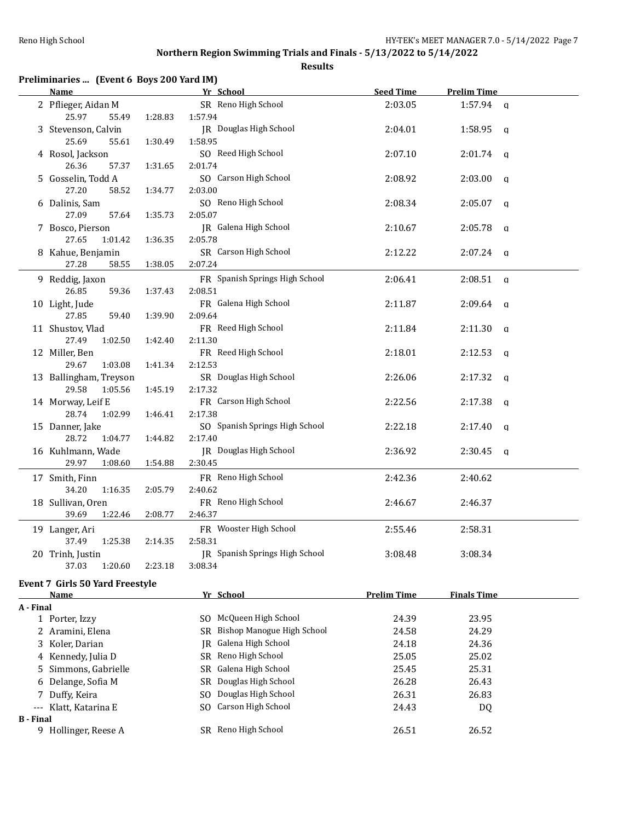| Preliminaries  (Event 6 Boys 200 Yard IM) |  |  |  |
|-------------------------------------------|--|--|--|
|-------------------------------------------|--|--|--|

|                  | <u>Name</u>                     |         | Yr School                        | <b>Seed Time</b>   | <b>Prelim Time</b>  |  |
|------------------|---------------------------------|---------|----------------------------------|--------------------|---------------------|--|
|                  | 2 Pflieger, Aidan M             |         | SR Reno High School              | 2:03.05            | $1:57.94$ a         |  |
|                  | 25.97<br>55.49                  | 1:28.83 | 1:57.94                          |                    |                     |  |
|                  | 3 Stevenson, Calvin             |         | JR Douglas High School           | 2:04.01            | $1:58.95$ a         |  |
|                  | 25.69<br>55.61                  | 1:30.49 | 1:58.95                          |                    |                     |  |
|                  | 4 Rosol, Jackson                |         | SO Reed High School              | 2:07.10            | $2:01.74$ a         |  |
|                  | 26.36<br>57.37                  | 1:31.65 | 2:01.74                          |                    |                     |  |
|                  | 5 Gosselin, Todd A              |         | SO Carson High School            | 2:08.92            | $2:03.00$ q         |  |
|                  | 27.20<br>58.52                  | 1:34.77 | 2:03.00                          |                    |                     |  |
|                  | 6 Dalinis, Sam                  |         | SO Reno High School              | 2:08.34            | $2:05.07$ q         |  |
|                  | 27.09<br>57.64                  | 1:35.73 | 2:05.07                          |                    |                     |  |
|                  | 7 Bosco, Pierson                |         | JR Galena High School            | 2:10.67            | $2:05.78$ a         |  |
|                  | 27.65<br>1:01.42                | 1:36.35 | 2:05.78                          |                    |                     |  |
|                  | 8 Kahue, Benjamin               |         | SR Carson High School            | 2:12.22            | $2:07.24$ a         |  |
|                  | 27.28<br>58.55                  | 1:38.05 | 2:07.24                          |                    |                     |  |
|                  | 9 Reddig, Jaxon                 |         | FR Spanish Springs High School   | 2:06.41            | $2:08.51$ a         |  |
|                  | 26.85<br>59.36                  | 1:37.43 | 2:08.51                          |                    |                     |  |
|                  | 10 Light, Jude                  |         | FR Galena High School            | 2:11.87            | $2:09.64$ q         |  |
|                  | 27.85<br>59.40                  | 1:39.90 | 2:09.64                          |                    |                     |  |
|                  | 11 Shustov, Vlad                |         | FR Reed High School              | 2:11.84            | $2:11.30$ q         |  |
|                  | 27.49<br>1:02.50                | 1:42.40 | 2:11.30                          |                    |                     |  |
|                  | 12 Miller, Ben                  |         | FR Reed High School              | 2:18.01            | $2:12.53$ a         |  |
|                  | 29.67<br>1:03.08                | 1:41.34 | 2:12.53                          |                    |                     |  |
|                  | 13 Ballingham, Treyson          |         | SR Douglas High School           | 2:26.06            | $2:17.32$ q         |  |
|                  | 29.58<br>1:05.56                | 1:45.19 | 2:17.32                          |                    |                     |  |
|                  | 14 Morway, Leif E               |         | FR Carson High School            | 2:22.56            | $2:17.38$ a         |  |
|                  | 28.74<br>1:02.99                | 1:46.41 | 2:17.38                          |                    |                     |  |
|                  | 15 Danner, Jake                 |         | SO Spanish Springs High School   | 2:22.18            | $2:17.40 \text{ q}$ |  |
|                  | 28.72<br>1:04.77                | 1:44.82 | 2:17.40                          |                    |                     |  |
|                  | 16 Kuhlmann, Wade               |         | JR Douglas High School           | 2:36.92            | $2:30.45$ q         |  |
|                  | 29.97<br>1:08.60                | 1:54.88 | 2:30.45                          |                    |                     |  |
|                  | 17 Smith, Finn                  |         | FR Reno High School              | 2:42.36            | 2:40.62             |  |
|                  | 34.20<br>1:16.35                | 2:05.79 | 2:40.62                          |                    |                     |  |
|                  | 18 Sullivan, Oren               |         | FR Reno High School              | 2:46.67            | 2:46.37             |  |
|                  | 39.69<br>1:22.46                | 2:08.77 | 2:46.37                          |                    |                     |  |
|                  | 19 Langer, Ari                  |         | FR Wooster High School           | 2:55.46            | 2:58.31             |  |
|                  | 37.49<br>1:25.38                | 2:14.35 | 2:58.31                          |                    |                     |  |
|                  | 20 Trinh, Justin                |         | JR Spanish Springs High School   | 3:08.48            | 3:08.34             |  |
|                  | 37.03<br>1:20.60                | 2:23.18 | 3:08.34                          |                    |                     |  |
|                  |                                 |         |                                  |                    |                     |  |
|                  | Event 7 Girls 50 Yard Freestyle |         |                                  | <b>Prelim Time</b> |                     |  |
|                  | <u>Name</u>                     |         | Yr School                        |                    | <b>Finals Time</b>  |  |
| A - Final        | 1 Porter, Izzy                  |         | SO McQueen High School           | 24.39              | 23.95               |  |
|                  | 2 Aramini, Elena                |         | Bishop Manogue High School<br>SR | 24.58              | 24.29               |  |
|                  | Koler, Darian                   |         | Galena High School               | 24.18              | 24.36               |  |
| 3                |                                 |         | IR<br>SR Reno High School        | 25.05              | 25.02               |  |
| 4                | Kennedy, Julia D                |         | Galena High School               | 25.45              | 25.31               |  |
| 5                | Simmons, Gabrielle              |         | SR<br>Douglas High School        |                    |                     |  |
| 6                | Delange, Sofia M                |         | SR<br>Douglas High School        | 26.28              | 26.43               |  |
|                  | Duffy, Keira                    |         | SO.<br>SO Carson High School     | 26.31              | 26.83               |  |
| <b>B</b> - Final | --- Klatt, Katarina E           |         |                                  | 24.43              | DQ                  |  |
|                  | 9 Hollinger, Reese A            |         | SR Reno High School              | 26.51              | 26.52               |  |
|                  |                                 |         |                                  |                    |                     |  |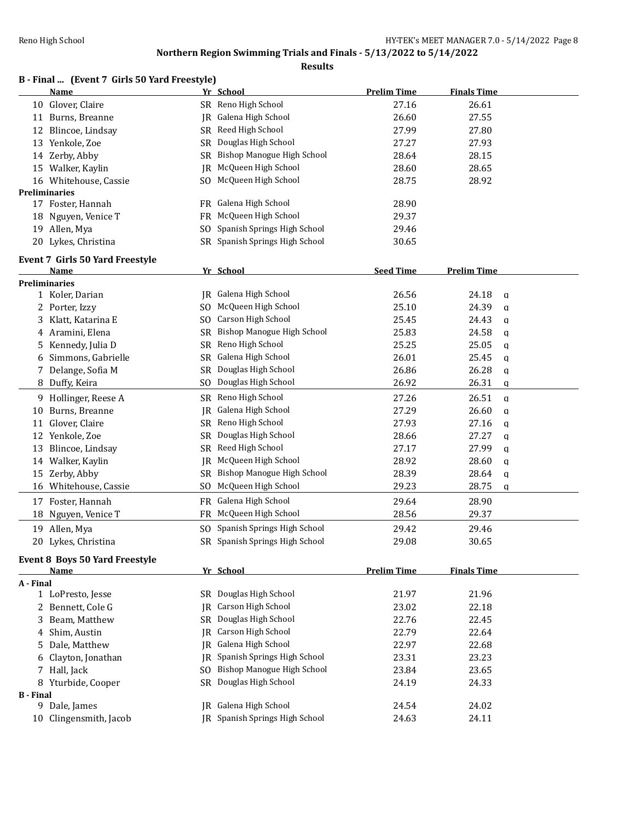|                  | B - Final  (Event 7 Girls 50 Yard Freestyle)         |           |                                   |                    |                    |
|------------------|------------------------------------------------------|-----------|-----------------------------------|--------------------|--------------------|
|                  | Name                                                 |           | Yr School                         | <b>Prelim Time</b> | <b>Finals Time</b> |
|                  | 10 Glover, Claire                                    |           | SR Reno High School               | 27.16              | 26.61              |
|                  | 11 Burns, Breanne                                    | IR        | Galena High School                | 26.60              | 27.55              |
| 12               | Blincoe, Lindsay                                     | SR        | Reed High School                  | 27.99              | 27.80              |
|                  | 13 Yenkole, Zoe                                      | SR        | Douglas High School               | 27.27              | 27.93              |
|                  | 14 Zerby, Abby                                       | SR        | Bishop Manogue High School        | 28.64              | 28.15              |
|                  | 15 Walker, Kaylin                                    | IR        | McQueen High School               | 28.60              | 28.65              |
|                  | 16 Whitehouse, Cassie                                | SO.       | McQueen High School               | 28.75              | 28.92              |
|                  | <b>Preliminaries</b>                                 |           |                                   |                    |                    |
|                  | 17 Foster, Hannah                                    |           | FR Galena High School             | 28.90              |                    |
|                  | 18 Nguyen, Venice T                                  | FR.       | McQueen High School               | 29.37              |                    |
|                  | 19 Allen, Mya                                        | SO.       | Spanish Springs High School       | 29.46              |                    |
|                  | 20 Lykes, Christina                                  | SR        | Spanish Springs High School       | 30.65              |                    |
|                  | Event 7 Girls 50 Yard Freestyle                      |           |                                   |                    |                    |
|                  | Name                                                 |           | Yr School                         | <b>Seed Time</b>   | <b>Prelim Time</b> |
|                  | <b>Preliminaries</b>                                 |           |                                   |                    |                    |
|                  | 1 Koler, Darian                                      | IR        | Galena High School                | 26.56              | 24.18<br>a         |
|                  | 2 Porter, Izzy                                       | SO.       | McQueen High School               | 25.10              | 24.39<br>a         |
| 3                | Klatt, Katarina E                                    | SO.       | Carson High School                | 25.45              | 24.43<br>a         |
|                  | 4 Aramini, Elena                                     | SR        | Bishop Manogue High School        | 25.83              | 24.58<br>a         |
| 5                | Kennedy, Julia D                                     | SR        | Reno High School                  | 25.25              | 25.05<br>q         |
| 6                | Simmons, Gabrielle                                   | <b>SR</b> | Galena High School                | 26.01              | 25.45<br>a         |
| 7                | Delange, Sofia M                                     | <b>SR</b> | Douglas High School               | 26.86              | 26.28<br>q         |
|                  | 8 Duffy, Keira                                       | SO.       | Douglas High School               | 26.92              | 26.31<br>a         |
|                  | 9 Hollinger, Reese A                                 | SR        | Reno High School                  | 27.26              | 26.51<br>q         |
| 10               | Burns, Breanne                                       | IR        | Galena High School                | 27.29              | 26.60<br>a         |
| 11               | Glover, Claire                                       | SR        | Reno High School                  | 27.93              | 27.16<br>q         |
|                  | 12 Yenkole, Zoe                                      | SR        | Douglas High School               | 28.66              | 27.27<br>q         |
| 13               | Blincoe, Lindsay                                     | SR        | Reed High School                  | 27.17              | 27.99<br>q         |
| 14               | Walker, Kaylin                                       | IR        | McQueen High School               | 28.92              | 28.60<br>a         |
| 15               | Zerby, Abby                                          | SR        | <b>Bishop Manogue High School</b> | 28.39              | 28.64<br>q         |
|                  | 16 Whitehouse, Cassie                                | SO.       | McQueen High School               | 29.23              | 28.75<br>a         |
| 17               | Foster, Hannah                                       | FR        | Galena High School                | 29.64              | 28.90              |
| 18               | Nguyen, Venice T                                     | FR        | McQueen High School               | 28.56              | 29.37              |
|                  | 19 Allen, Mya                                        |           | SO Spanish Springs High School    | 29.42              | 29.46              |
|                  | 20 Lykes, Christina                                  |           | SR Spanish Springs High School    | 29.08              | 30.65              |
|                  |                                                      |           |                                   |                    |                    |
|                  | <b>Event 8 Boys 50 Yard Freestyle</b><br><u>Name</u> |           | Yr School                         | <b>Prelim Time</b> | <b>Finals Time</b> |
| A - Final        |                                                      |           |                                   |                    |                    |
|                  | 1 LoPresto, Jesse                                    |           | SR Douglas High School            | 21.97              | 21.96              |
|                  | 2 Bennett, Cole G                                    | IR        | Carson High School                | 23.02              | 22.18              |
|                  | Beam, Matthew                                        | SR        | Douglas High School               | 22.76              | 22.45              |
| 4                | Shim, Austin                                         | IR        | Carson High School                | 22.79              | 22.64              |
| 5                | Dale, Matthew                                        | IR        | Galena High School                | 22.97              | 22.68              |
| 6                | Clayton, Jonathan                                    | IR        | Spanish Springs High School       | 23.31              | 23.23              |
|                  | 7 Hall, Jack                                         | SO.       | Bishop Manogue High School        | 23.84              | 23.65              |
|                  | 8 Yturbide, Cooper                                   | SR        | Douglas High School               | 24.19              | 24.33              |
| <b>B</b> - Final |                                                      |           |                                   |                    |                    |
|                  | 9 Dale, James                                        | IR        | Galena High School                | 24.54              | 24.02              |
|                  | 10 Clingensmith, Jacob                               |           | JR Spanish Springs High School    | 24.63              | 24.11              |
|                  |                                                      |           |                                   |                    |                    |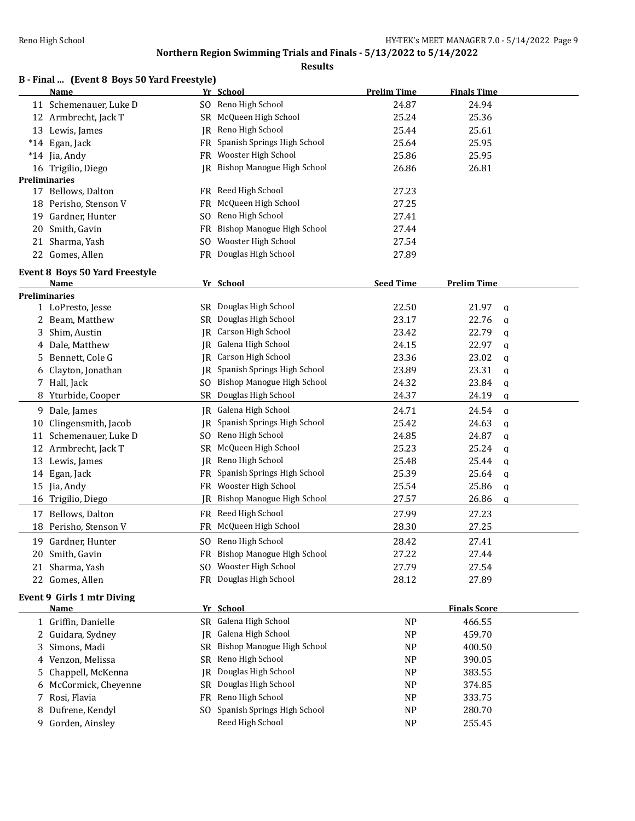|    | B - Final  (Event 8 Boys 50 Yard Freestyle) |     |                                      |                    |                       |  |
|----|---------------------------------------------|-----|--------------------------------------|--------------------|-----------------------|--|
|    | Name                                        |     | Yr School                            | <b>Prelim Time</b> | <b>Finals Time</b>    |  |
|    | 11 Schemenauer, Luke D                      |     | SO Reno High School                  | 24.87              | 24.94                 |  |
|    | 12 Armbrecht, Jack T                        |     | SR McQueen High School               | 25.24              | 25.36                 |  |
|    | 13 Lewis, James                             |     | IR Reno High School                  | 25.44              | 25.61                 |  |
|    | *14 Egan, Jack                              | FR  | Spanish Springs High School          | 25.64              | 25.95                 |  |
|    | *14 Jia, Andy                               |     | FR Wooster High School               | 25.86              | 25.95                 |  |
|    | 16 Trigilio, Diego                          |     | <b>IR</b> Bishop Manogue High School | 26.86              | 26.81                 |  |
|    | <b>Preliminaries</b>                        |     |                                      |                    |                       |  |
|    | 17 Bellows, Dalton                          |     | FR Reed High School                  | 27.23              |                       |  |
|    | 18 Perisho, Stenson V                       | FR  | McQueen High School                  | 27.25              |                       |  |
| 19 | Gardner, Hunter                             | SO. | Reno High School                     | 27.41              |                       |  |
| 20 | Smith, Gavin                                |     | FR Bishop Manogue High School        | 27.44              |                       |  |
| 21 | Sharma, Yash                                |     | SO Wooster High School               | 27.54              |                       |  |
|    | 22 Gomes, Allen                             |     | FR Douglas High School               | 27.89              |                       |  |
|    | <b>Event 8 Boys 50 Yard Freestyle</b>       |     |                                      |                    |                       |  |
|    | Name                                        |     | Yr School                            | <b>Seed Time</b>   | <b>Prelim Time</b>    |  |
|    | <b>Preliminaries</b>                        |     |                                      |                    |                       |  |
|    | 1 LoPresto, Jesse                           |     | SR Douglas High School               | 22.50              | 21.97<br>a            |  |
| 2  | Beam, Matthew                               | SR  | Douglas High School                  | 23.17              | 22.76<br>a            |  |
| 3  | Shim, Austin                                | IR  | Carson High School                   | 23.42              | 22.79<br>a            |  |
| 4  | Dale, Matthew                               | IR  | Galena High School                   | 24.15              | 22.97<br>q            |  |
| 5  | Bennett, Cole G                             | IR  | Carson High School                   | 23.36              | 23.02<br>a            |  |
| 6  | Clayton, Jonathan                           | IR  | Spanish Springs High School          | 23.89              | 23.31<br>q            |  |
|    | 7 Hall, Jack                                | SO. | <b>Bishop Manogue High School</b>    | 24.32              | 23.84<br>a            |  |
| 8  | Yturbide, Cooper                            |     | SR Douglas High School               | 24.37              | 24.19<br>q            |  |
| 9. | Dale, James                                 | IR  | Galena High School                   | 24.71              | 24.54<br>$\mathbf{q}$ |  |
| 10 | Clingensmith, Jacob                         |     | JR Spanish Springs High School       | 25.42              | 24.63<br>q            |  |
| 11 | Schemenauer, Luke D                         | SO. | Reno High School                     | 24.85              | 24.87<br>$\mathbf{q}$ |  |
| 12 | Armbrecht, Jack T                           | SR  | McQueen High School                  | 25.23              | 25.24<br>q            |  |
|    | 13 Lewis, James                             | IR  | Reno High School                     | 25.48              | 25.44<br>$\mathbf q$  |  |
|    | 14 Egan, Jack                               |     | FR Spanish Springs High School       | 25.39              | 25.64<br>$\mathbf q$  |  |
|    | 15 Jia, Andy                                | FR  | Wooster High School                  | 25.54              | 25.86<br>a            |  |
|    | 16 Trigilio, Diego                          |     | JR Bishop Manogue High School        | 27.57              | 26.86<br>a            |  |
|    | 17 Bellows, Dalton                          |     | FR Reed High School                  | 27.99              | 27.23                 |  |
|    | 18 Perisho, Stenson V                       |     | FR McQueen High School               | 28.30              | 27.25                 |  |
| 19 | Gardner, Hunter                             |     | SO Reno High School                  | 28.42              | 27.41                 |  |
| 20 | Smith, Gavin                                |     | FR Bishop Manogue High School        | 27.22              | 27.44                 |  |
| 21 | Sharma, Yash                                | SO. | Wooster High School                  | 27.79              | 27.54                 |  |
|    | 22 Gomes, Allen                             |     | FR Douglas High School               | 28.12              | 27.89                 |  |
|    |                                             |     |                                      |                    |                       |  |
|    | Event 9 Girls 1 mtr Diving<br><b>Name</b>   |     | Yr School                            |                    | <b>Finals Score</b>   |  |
|    |                                             |     | SR Galena High School                |                    |                       |  |
|    | 1 Griffin, Danielle                         |     | JR Galena High School                | <b>NP</b>          | 466.55                |  |
| 2  | Guidara, Sydney                             |     | <b>Bishop Manogue High School</b>    | NP                 | 459.70                |  |
| 3  | Simons, Madi                                | SR  |                                      | NP                 | 400.50                |  |
| 4  | Venzon, Melissa                             | SR  | Reno High School                     | NP                 | 390.05                |  |
| 5  | Chappell, McKenna                           | IR  | Douglas High School                  | NP                 | 383.55                |  |
| 6  | McCormick, Cheyenne                         | SR  | Douglas High School                  | NP                 | 374.85                |  |
| 7  | Rosi, Flavia                                | FR  | Reno High School                     | NP                 | 333.75                |  |
| 8  | Dufrene, Kendyl                             | SO. | Spanish Springs High School          | NP                 | 280.70                |  |
|    | 9 Gorden, Ainsley                           |     | Reed High School                     | <b>NP</b>          | 255.45                |  |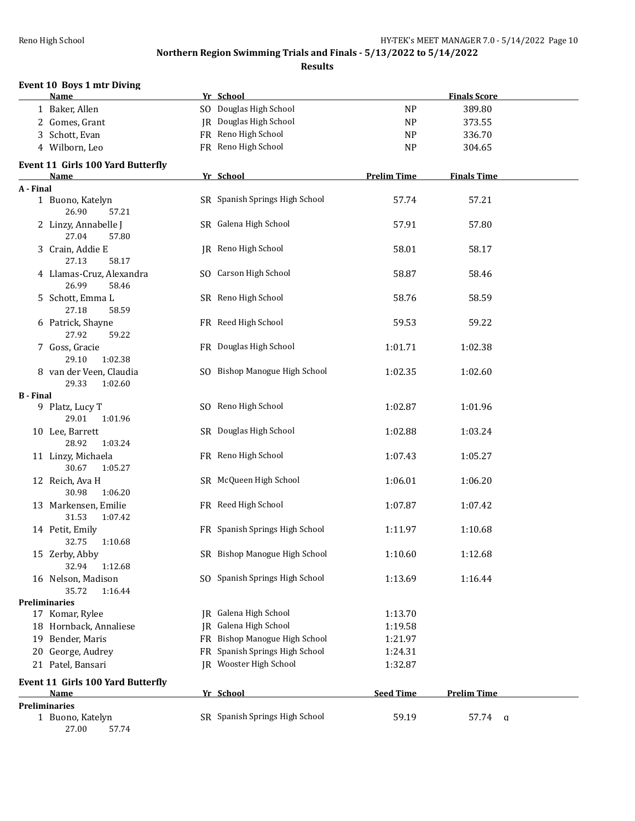| <b>Event 10 Boys 1 mtr Diving</b><br>Name        |    | Yr School                      |                    | <b>Finals Score</b> |
|--------------------------------------------------|----|--------------------------------|--------------------|---------------------|
| 1 Baker, Allen                                   |    | SO Douglas High School         | <b>NP</b>          | 389.80              |
|                                                  |    | <b>JR</b> Douglas High School  |                    |                     |
| 2 Gomes, Grant<br>3 Schott, Evan                 |    | FR Reno High School            | NP                 | 373.55              |
|                                                  |    |                                | NP                 | 336.70              |
| 4 Wilborn, Leo                                   |    | FR Reno High School            | <b>NP</b>          | 304.65              |
| <b>Event 11 Girls 100 Yard Butterfly</b><br>Name |    | Yr School                      | <b>Prelim Time</b> | <b>Finals Time</b>  |
| A - Final                                        |    |                                |                    |                     |
| 1 Buono, Katelyn<br>26.90<br>57.21               |    | SR Spanish Springs High School | 57.74              | 57.21               |
| 2 Linzy, Annabelle J<br>27.04<br>57.80           |    | SR Galena High School          | 57.91              | 57.80               |
| 3 Crain, Addie E<br>27.13<br>58.17               |    | JR Reno High School            | 58.01              | 58.17               |
| 4 Llamas-Cruz, Alexandra<br>26.99<br>58.46       |    | SO Carson High School          | 58.87              | 58.46               |
| 5 Schott, Emma L<br>27.18<br>58.59               |    | SR Reno High School            | 58.76              | 58.59               |
| 6 Patrick, Shayne<br>27.92<br>59.22              |    | FR Reed High School            | 59.53              | 59.22               |
| 7 Goss, Gracie<br>29.10<br>1:02.38               |    | FR Douglas High School         | 1:01.71            | 1:02.38             |
| 8 van der Veen, Claudia<br>29.33<br>1:02.60      |    | SO Bishop Manogue High School  | 1:02.35            | 1:02.60             |
| <b>B</b> - Final                                 |    |                                |                    |                     |
| 9 Platz, Lucy T<br>29.01<br>1:01.96              |    | SO Reno High School            | 1:02.87            | 1:01.96             |
| 10 Lee, Barrett<br>28.92<br>1:03.24              |    | SR Douglas High School         | 1:02.88            | 1:03.24             |
| 11 Linzy, Michaela<br>30.67<br>1:05.27           |    | FR Reno High School            | 1:07.43            | 1:05.27             |
| 12 Reich, Ava H<br>30.98<br>1:06.20              |    | SR McQueen High School         | 1:06.01            | 1:06.20             |
| 13 Markensen, Emilie<br>31.53<br>1:07.42         |    | FR Reed High School            | 1:07.87            | 1:07.42             |
| 14 Petit, Emily<br>32.75<br>1:10.68              |    | FR Spanish Springs High School | 1:11.97            | 1:10.68             |
| 15 Zerby, Abby<br>32.94<br>1:12.68               |    | SR Bishop Manogue High School  | 1:10.60            | 1:12.68             |
| 16 Nelson, Madison<br>35.72<br>1:16.44           |    | SO Spanish Springs High School | 1:13.69            | 1:16.44             |
| <b>Preliminaries</b>                             |    |                                |                    |                     |
| 17 Komar, Rylee                                  | IR | Galena High School             | 1:13.70            |                     |
| 18 Hornback, Annaliese                           | IR | Galena High School             | 1:19.58            |                     |
| 19 Bender, Maris                                 |    | FR Bishop Manogue High School  | 1:21.97            |                     |
| 20 George, Audrey                                |    | FR Spanish Springs High School | 1:24.31            |                     |
| 21 Patel, Bansari                                |    | IR Wooster High School         | 1:32.87            |                     |
| Event 11 Girls 100 Yard Butterfly<br>Name        |    | Yr School                      | <b>Seed Time</b>   | <b>Prelim Time</b>  |
| <b>Preliminaries</b>                             |    |                                |                    |                     |
| 1 Buono, Katelyn<br>27.00<br>57.74               |    | SR Spanish Springs High School | 59.19              | 57.74 q             |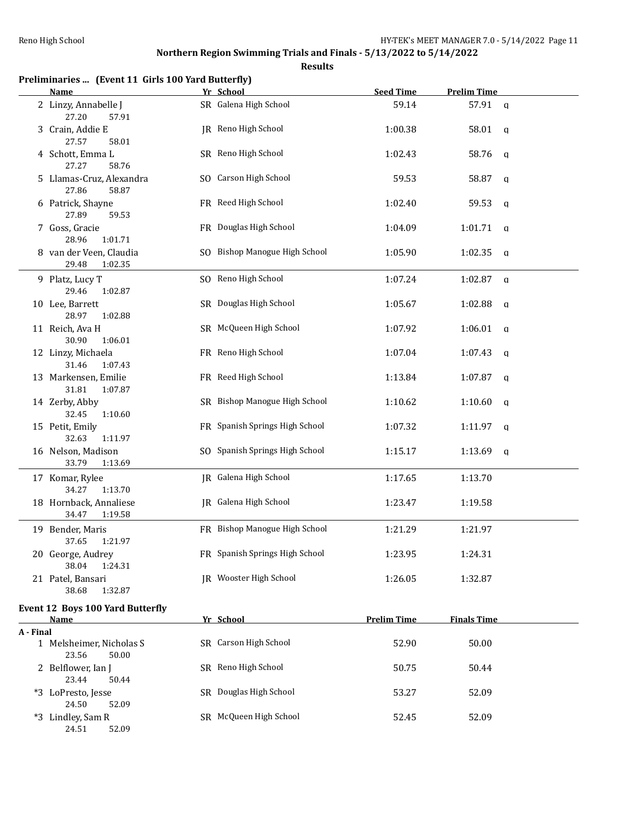|           | Preliminaries  (Event 11 Girls 100 Yard Butterfly)<br>Name | Yr School                      | <b>Seed Time</b>   | <b>Prelim Time</b>      |
|-----------|------------------------------------------------------------|--------------------------------|--------------------|-------------------------|
|           | 2 Linzy, Annabelle J<br>27.20<br>57.91                     | SR Galena High School          | 59.14              | 57.91 a                 |
|           | 3 Crain, Addie E<br>27.57<br>58.01                         | JR Reno High School            | 1:00.38            | 58.01<br>q              |
|           | 4 Schott, Emma L<br>27.27<br>58.76                         | SR Reno High School            | 1:02.43            | 58.76<br>a              |
|           | 5 Llamas-Cruz, Alexandra<br>27.86<br>58.87                 | SO Carson High School          | 59.53              | 58.87<br>q              |
|           | 6 Patrick, Shayne<br>27.89<br>59.53                        | FR Reed High School            | 1:02.40            | 59.53<br>q              |
|           | 7 Goss, Gracie<br>28.96<br>1:01.71                         | FR Douglas High School         | 1:04.09            | 1:01.71<br>q            |
|           | 8 van der Veen, Claudia<br>29.48<br>1:02.35                | SO Bishop Manogue High School  | 1:05.90            | 1:02.35<br>a            |
|           | 9 Platz, Lucy T<br>29.46<br>1:02.87                        | SO Reno High School            | 1:07.24            | 1:02.87<br>$\mathsf{q}$ |
|           | 10 Lee, Barrett<br>28.97<br>1:02.88                        | SR Douglas High School         | 1:05.67            | 1:02.88<br>q            |
|           | 11 Reich, Ava H<br>30.90<br>1:06.01                        | SR McQueen High School         | 1:07.92            | 1:06.01<br>q            |
|           | 12 Linzy, Michaela<br>31.46<br>1:07.43                     | FR Reno High School            | 1:07.04            | 1:07.43<br>a            |
|           | 13 Markensen, Emilie<br>31.81<br>1:07.87                   | FR Reed High School            | 1:13.84            | 1:07.87<br>a            |
|           | 14 Zerby, Abby<br>32.45<br>1:10.60                         | SR Bishop Manogue High School  | 1:10.62            | 1:10.60<br>a            |
|           | 15 Petit, Emily<br>32.63<br>1:11.97                        | FR Spanish Springs High School | 1:07.32            | 1:11.97<br>a            |
|           | 16 Nelson, Madison<br>33.79<br>1:13.69                     | SO Spanish Springs High School | 1:15.17            | 1:13.69<br>q            |
|           | 17 Komar, Rylee<br>34.27<br>1:13.70                        | JR Galena High School          | 1:17.65            | 1:13.70                 |
|           | 18 Hornback, Annaliese<br>34.47<br>1:19.58                 | JR Galena High School          | 1:23.47            | 1:19.58                 |
|           | 19 Bender, Maris<br>37.65<br>1:21.97                       | FR Bishop Manogue High School  | 1:21.29            | 1:21.97                 |
|           | 20 George, Audrey<br>38.04<br>1:24.31                      | FR Spanish Springs High School | 1:23.95            | 1:24.31                 |
|           | 21 Patel, Bansari<br>38.68<br>1:32.87                      | JR Wooster High School         | 1:26.05            | 1:32.87                 |
|           | <b>Event 12 Boys 100 Yard Butterfly</b><br>Name            | Yr School                      | <b>Prelim Time</b> | <b>Finals Time</b>      |
| A - Final |                                                            |                                |                    |                         |
|           | 1 Melsheimer, Nicholas S<br>23.56<br>50.00                 | SR Carson High School          | 52.90              | 50.00                   |
|           | 2 Belflower, Ian J<br>23.44<br>50.44                       | SR Reno High School            | 50.75              | 50.44                   |
|           | *3 LoPresto, Jesse<br>24.50<br>52.09                       | SR Douglas High School         | 53.27              | 52.09                   |
|           | *3 Lindley, Sam R<br>24.51<br>52.09                        | SR McQueen High School         | 52.45              | 52.09                   |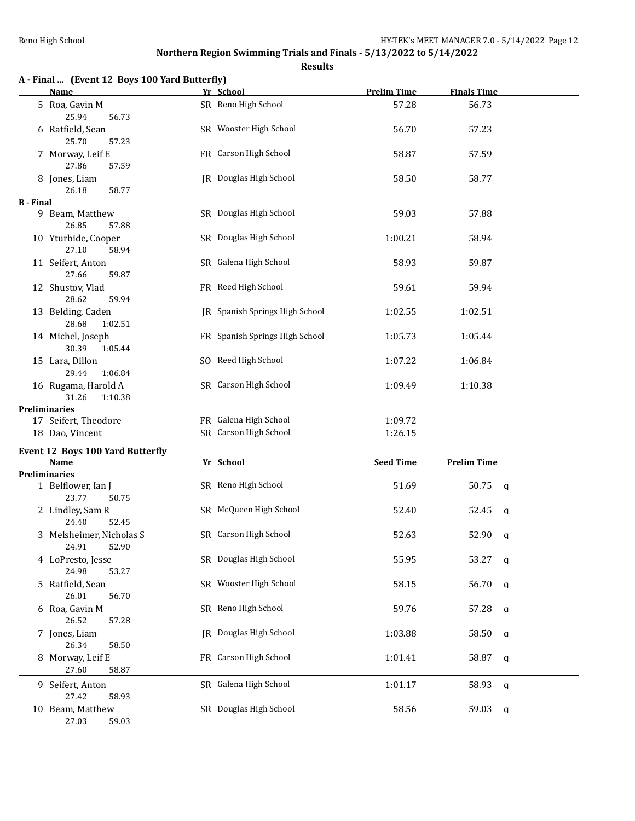**Results**

|                  | A - Final  (Event 12 Boys 100 Yard Butterfly) |                                |                    |                      |  |
|------------------|-----------------------------------------------|--------------------------------|--------------------|----------------------|--|
|                  | <b>Name</b>                                   | Yr School                      | <b>Prelim Time</b> | <b>Finals Time</b>   |  |
|                  | 5 Roa, Gavin M<br>25.94<br>56.73              | SR Reno High School            | 57.28              | 56.73                |  |
|                  | 6 Ratfield, Sean<br>25.70<br>57.23            | SR Wooster High School         | 56.70              | 57.23                |  |
|                  | 7 Morway, Leif E<br>27.86<br>57.59            | FR Carson High School          | 58.87              | 57.59                |  |
|                  | 8 Jones, Liam                                 | JR Douglas High School         | 58.50              | 58.77                |  |
| <b>B</b> - Final | 26.18<br>58.77                                |                                |                    |                      |  |
|                  | 9 Beam, Matthew<br>26.85<br>57.88             | SR Douglas High School         | 59.03              | 57.88                |  |
|                  | 10 Yturbide, Cooper<br>27.10<br>58.94         | SR Douglas High School         | 1:00.21            | 58.94                |  |
|                  | 11 Seifert, Anton<br>27.66<br>59.87           | SR Galena High School          | 58.93              | 59.87                |  |
|                  | 12 Shustov, Vlad<br>28.62<br>59.94            | FR Reed High School            | 59.61              | 59.94                |  |
|                  | 13 Belding, Caden<br>28.68<br>1:02.51         | IR Spanish Springs High School | 1:02.55            | 1:02.51              |  |
|                  | 14 Michel, Joseph<br>30.39<br>1:05.44         | FR Spanish Springs High School | 1:05.73            | 1:05.44              |  |
|                  | 15 Lara, Dillon<br>29.44<br>1:06.84           | SO Reed High School            | 1:07.22            | 1:06.84              |  |
|                  | 16 Rugama, Harold A<br>31.26<br>1:10.38       | SR Carson High School          | 1:09.49            | 1:10.38              |  |
|                  | <b>Preliminaries</b>                          |                                |                    |                      |  |
|                  | 17 Seifert, Theodore                          | FR Galena High School          | 1:09.72            |                      |  |
|                  | 18 Dao, Vincent                               | SR Carson High School          | 1:26.15            |                      |  |
|                  | <b>Event 12 Boys 100 Yard Butterfly</b>       |                                |                    |                      |  |
|                  | Name                                          | Yr School                      | <b>Seed Time</b>   | <b>Prelim Time</b>   |  |
|                  | <b>Preliminaries</b>                          |                                |                    |                      |  |
|                  | 1 Belflower, Ian J<br>23.77<br>50.75          | SR Reno High School            | 51.69              | 50.75<br>q           |  |
|                  | 2 Lindley, Sam R<br>24.40<br>52.45            | SR McQueen High School         | 52.40              | 52.45<br>q           |  |
|                  | 3 Melsheimer, Nicholas S<br>24.91<br>52.90    | SR Carson High School          | 52.63              | 52.90 a              |  |
|                  | 4 LoPresto, Jesse<br>24.98<br>53.27           | SR Douglas High School         | 55.95              | 53.27<br>a           |  |
|                  | 5 Ratfield, Sean<br>26.01<br>56.70            | SR Wooster High School         | 58.15              | 56.70<br>q           |  |
|                  | 6 Roa, Gavin M<br>26.52<br>57.28              | SR Reno High School            | 59.76              | 57.28<br>q           |  |
|                  | 7 Jones, Liam<br>26.34<br>58.50               | <b>IR</b> Douglas High School  | 1:03.88            | 58.50<br>a           |  |
|                  | 8 Morway, Leif E<br>27.60<br>58.87            | FR Carson High School          | 1:01.41            | 58.87<br>a           |  |
|                  | 9 Seifert, Anton<br>27.42<br>58.93            | SR Galena High School          | 1:01.17            | 58.93<br>$\mathbf q$ |  |
|                  | 10 Beam, Matthew                              | SR Douglas High School         | 58.56              | 59.03<br>$\mathbf q$ |  |

27.03 59.03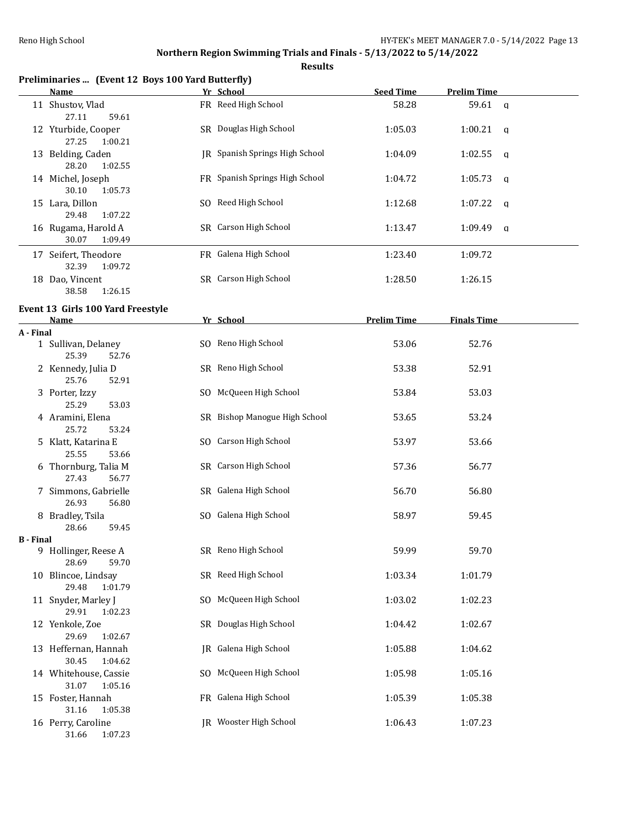|                  | Preliminaries  (Event 12 Boys 100 Yard Butterfly) |     | Yr School                             |                    |                         |  |
|------------------|---------------------------------------------------|-----|---------------------------------------|--------------------|-------------------------|--|
|                  | <b>Name</b>                                       |     |                                       | <b>Seed Time</b>   | <b>Prelim Time</b>      |  |
|                  | 11 Shustov, Vlad<br>27.11<br>59.61                |     | FR Reed High School                   | 58.28              | 59.61<br>$\mathsf{q}$   |  |
|                  | 12 Yturbide, Cooper<br>27.25<br>1:00.21           |     | SR Douglas High School                | 1:05.03            | 1:00.21<br>q            |  |
|                  | 13 Belding, Caden<br>28.20<br>1:02.55             |     | <b>IR</b> Spanish Springs High School | 1:04.09            | 1:02.55<br>$\mathbf{q}$ |  |
|                  | 14 Michel, Joseph<br>30.10<br>1:05.73             |     | FR Spanish Springs High School        | 1:04.72            | 1:05.73<br>q            |  |
|                  | 15 Lara, Dillon<br>29.48<br>1:07.22               |     | SO Reed High School                   | 1:12.68            | 1:07.22<br>q            |  |
|                  | 16 Rugama, Harold A<br>30.07<br>1:09.49           |     | SR Carson High School                 | 1:13.47            | 1:09.49<br>a            |  |
|                  | 17 Seifert, Theodore<br>32.39<br>1:09.72          |     | FR Galena High School                 | 1:23.40            | 1:09.72                 |  |
|                  | 18 Dao, Vincent<br>38.58<br>1:26.15               |     | SR Carson High School                 | 1:28.50            | 1:26.15                 |  |
|                  | Event 13 Girls 100 Yard Freestyle                 |     |                                       |                    |                         |  |
|                  | Name                                              |     | Yr School                             | <b>Prelim Time</b> | <b>Finals Time</b>      |  |
| A - Final        |                                                   |     |                                       |                    |                         |  |
|                  | 1 Sullivan, Delaney<br>25.39<br>52.76             |     | SO Reno High School                   | 53.06              | 52.76                   |  |
|                  | 2 Kennedy, Julia D<br>25.76<br>52.91              |     | SR Reno High School                   | 53.38              | 52.91                   |  |
|                  | 3 Porter, Izzy<br>25.29<br>53.03                  |     | SO McQueen High School                | 53.84              | 53.03                   |  |
|                  | 4 Aramini, Elena<br>25.72<br>53.24                |     | SR Bishop Manogue High School         | 53.65              | 53.24                   |  |
|                  | 5 Klatt, Katarina E<br>25.55<br>53.66             |     | SO Carson High School                 | 53.97              | 53.66                   |  |
|                  | 6 Thornburg, Talia M<br>27.43<br>56.77            |     | SR Carson High School                 | 57.36              | 56.77                   |  |
|                  | 7 Simmons, Gabrielle<br>26.93<br>56.80            |     | SR Galena High School                 | 56.70              | 56.80                   |  |
|                  | 8 Bradley, Tsila<br>28.66<br>59.45                |     | SO Galena High School                 | 58.97              | 59.45                   |  |
| <b>B</b> - Final |                                                   |     |                                       |                    |                         |  |
|                  | 9 Hollinger, Reese A<br>28.69<br>59.70            |     | SR Reno High School                   | 59.99              | 59.70                   |  |
|                  | 10 Blincoe, Lindsay<br>29.48<br>1:01.79           |     | SR Reed High School                   | 1:03.34            | 1:01.79                 |  |
|                  | 11 Snyder, Marley J<br>29.91<br>1:02.23           | SO. | McQueen High School                   | 1:03.02            | 1:02.23                 |  |
|                  | 12 Yenkole, Zoe<br>29.69<br>1:02.67               |     | SR Douglas High School                | 1:04.42            | 1:02.67                 |  |
|                  | 13 Heffernan, Hannah<br>30.45<br>1:04.62          |     | JR Galena High School                 | 1:05.88            | 1:04.62                 |  |
|                  | 14 Whitehouse, Cassie<br>31.07<br>1:05.16         |     | SO McQueen High School                | 1:05.98            | 1:05.16                 |  |
|                  | 15 Foster, Hannah<br>31.16<br>1:05.38             |     | FR Galena High School                 | 1:05.39            | 1:05.38                 |  |
|                  | 16 Perry, Caroline<br>31.66<br>1:07.23            |     | JR Wooster High School                | 1:06.43            | 1:07.23                 |  |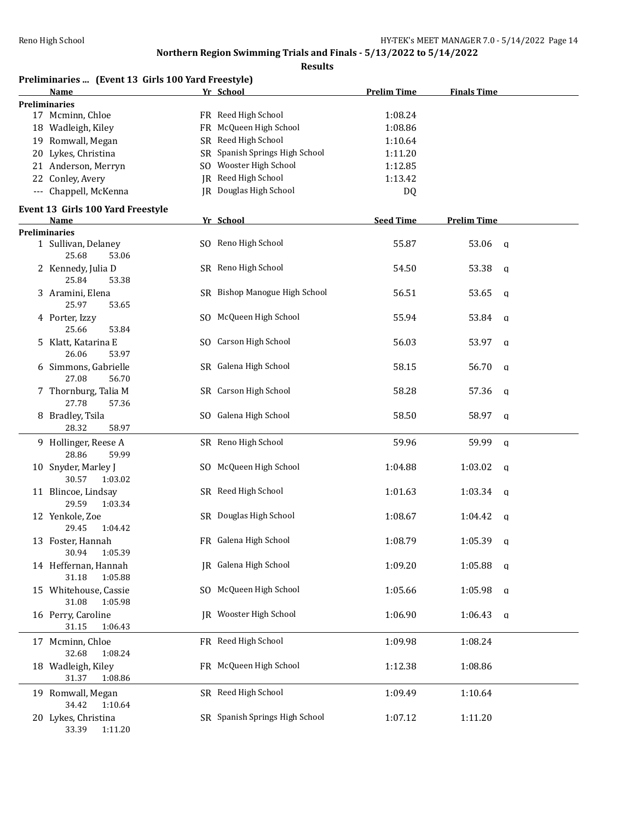**Finals Time Finals Time** 

## **Northern Region Swimming Trials and Finals - 5/13/2022 to 5/14/2022**

| Northern Region Swimming Trials and Finals - 5/13/2022 to 5/14/2022 |    |                               |                    |                       |  |  |  |
|---------------------------------------------------------------------|----|-------------------------------|--------------------|-----------------------|--|--|--|
| <b>Results</b>                                                      |    |                               |                    |                       |  |  |  |
| Preliminaries  (Event 13 Girls 100 Yard Freestyle)                  |    |                               |                    |                       |  |  |  |
| Name                                                                |    | Yr School                     | <b>Prelim Time</b> | <b>Finals Time</b>    |  |  |  |
| <b>Preliminaries</b>                                                |    |                               |                    |                       |  |  |  |
| 17 Mcminn, Chloe                                                    |    | FR Reed High School           | 1:08.24            |                       |  |  |  |
| 18 Wadleigh, Kiley                                                  |    | FR McQueen High School        | 1:08.86            |                       |  |  |  |
| 19 Romwall, Megan                                                   |    | SR Reed High School           | 1:10.64            |                       |  |  |  |
| 20 Lykes, Christina                                                 | SR | Spanish Springs High School   | 1:11.20            |                       |  |  |  |
| 21 Anderson, Merryn                                                 |    | SO Wooster High School        | 1:12.85            |                       |  |  |  |
| 22 Conley, Avery                                                    |    | JR Reed High School           | 1:13.42            |                       |  |  |  |
| --- Chappell, McKenna                                               | IR | Douglas High School           | DQ                 |                       |  |  |  |
| Event 13 Girls 100 Yard Freestyle                                   |    |                               |                    |                       |  |  |  |
| Name                                                                |    | Yr School                     | <b>Seed Time</b>   | <b>Prelim Time</b>    |  |  |  |
| <b>Preliminaries</b>                                                |    |                               |                    |                       |  |  |  |
| 1 Sullivan, Delaney                                                 |    | SO Reno High School           | 55.87              | 53.06<br>$\mathbf{q}$ |  |  |  |
| 25.68<br>53.06                                                      |    |                               |                    |                       |  |  |  |
| 2 Kennedy, Julia D                                                  |    | SR Reno High School           | 54.50              | 53.38<br>$\mathsf{q}$ |  |  |  |
| 25.84<br>53.38                                                      |    |                               |                    |                       |  |  |  |
| 3 Aramini, Elena                                                    |    | SR Bishop Manogue High School | 56.51              | 53.65<br>$\mathbf{q}$ |  |  |  |
| 25.97<br>53.65                                                      |    |                               |                    |                       |  |  |  |
| 4 Porter, Izzy                                                      |    | SO McQueen High School        | 55.94              | 53.84<br>q            |  |  |  |
| 25.66<br>53.84                                                      |    |                               |                    |                       |  |  |  |
| 5 Klatt, Katarina E                                                 |    | SO Carson High School         | 56.03              | 53.97<br>$\mathbf{a}$ |  |  |  |
| 26.06<br>53.97                                                      |    |                               |                    |                       |  |  |  |
| 6 Simmons, Gabrielle                                                |    | SR Galena High School         | 58.15              | 56.70<br>$\mathsf{q}$ |  |  |  |
| 27.08<br>56.70                                                      |    |                               |                    |                       |  |  |  |
| 7 Thornburg, Talia M                                                |    | SR Carson High School         | 58.28              | 57.36<br>q            |  |  |  |
| 27.78<br>57.36                                                      |    |                               |                    |                       |  |  |  |
| 8 Bradley, Tsila                                                    |    | SO Galena High School         | 58.50              | 58.97<br>q            |  |  |  |
| 28.32<br>58.97                                                      |    |                               |                    |                       |  |  |  |
| 9 Hollinger, Reese A                                                |    | SR Reno High School           | 59.96              | 59.99<br>$\mathbf{q}$ |  |  |  |
| 28.86<br>59.99                                                      |    |                               |                    |                       |  |  |  |

| 3 Aramini, Elena<br>25.97<br>53.65        | SR Bishop Manogue High School  | 56.51   | 53.65   | q              |
|-------------------------------------------|--------------------------------|---------|---------|----------------|
| 4 Porter, Izzy<br>25.66<br>53.84          | SO McQueen High School         | 55.94   | 53.84   | q              |
| 5 Klatt, Katarina E<br>26.06<br>53.97     | SO Carson High School          | 56.03   | 53.97   | q              |
| 6 Simmons, Gabrielle<br>27.08<br>56.70    | SR Galena High School          | 58.15   | 56.70   | $\mathsf{q}$   |
| 7 Thornburg, Talia M<br>27.78<br>57.36    | SR Carson High School          | 58.28   | 57.36   | q              |
| 8 Bradley, Tsila<br>28.32<br>58.97        | SO Galena High School          | 58.50   | 58.97   | $\mathbf q$    |
| 9 Hollinger, Reese A<br>28.86<br>59.99    | SR Reno High School            | 59.96   | 59.99   | $\mathbf{q}$   |
| 10 Snyder, Marley J<br>30.57<br>1:03.02   | SO McQueen High School         | 1:04.88 | 1:03.02 | $\mathsf{q}$   |
| 11 Blincoe, Lindsay<br>29.59<br>1:03.34   | SR Reed High School            | 1:01.63 | 1:03.34 | q              |
| 12 Yenkole, Zoe<br>29.45<br>1:04.42       | SR Douglas High School         | 1:08.67 | 1:04.42 | $\mathfrak{a}$ |
| 13 Foster, Hannah<br>30.94<br>1:05.39     | FR Galena High School          | 1:08.79 | 1:05.39 | $\mathbf{q}$   |
| 14 Heffernan, Hannah<br>31.18<br>1:05.88  | JR Galena High School          | 1:09.20 | 1:05.88 | $\mathsf{q}$   |
| 15 Whitehouse, Cassie<br>31.08<br>1:05.98 | SO McQueen High School         | 1:05.66 | 1:05.98 | $\mathsf{q}$   |
| 16 Perry, Caroline<br>31.15<br>1:06.43    | IR Wooster High School         | 1:06.90 | 1:06.43 | $\mathsf{q}$   |
| 17 Mcminn, Chloe<br>32.68<br>1:08.24      | FR Reed High School            | 1:09.98 | 1:08.24 |                |
| 18 Wadleigh, Kiley<br>31.37<br>1:08.86    | FR McQueen High School         | 1:12.38 | 1:08.86 |                |
| 19 Romwall, Megan<br>34.42<br>1:10.64     | SR Reed High School            | 1:09.49 | 1:10.64 |                |
| 20 Lykes, Christina<br>33.39<br>1:11.20   | SR Spanish Springs High School | 1:07.12 | 1:11.20 |                |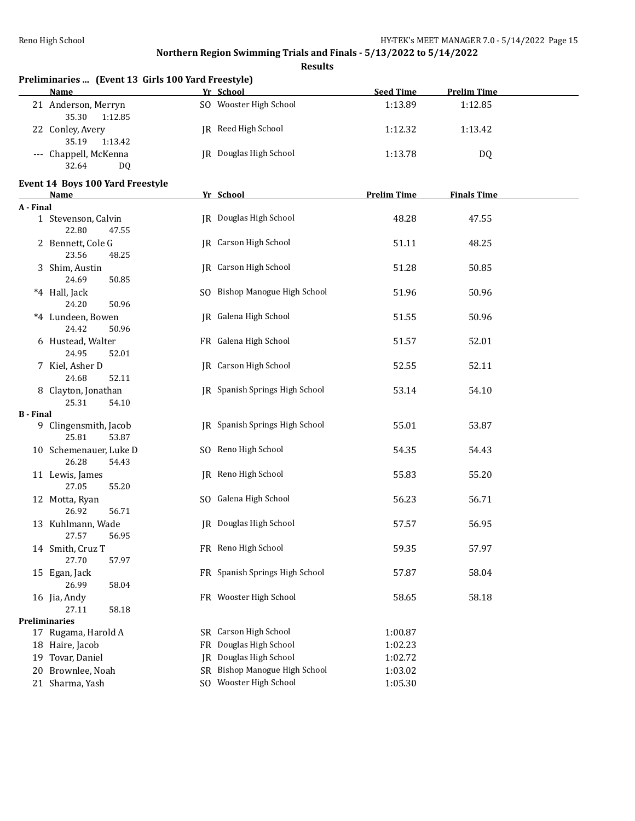|                  | Preliminaries  (Event 13 Girls 100 Yard Freestyle) |    |                                |                    |                    |  |
|------------------|----------------------------------------------------|----|--------------------------------|--------------------|--------------------|--|
|                  | <b>Name</b>                                        |    | Yr School                      | <b>Seed Time</b>   | <b>Prelim Time</b> |  |
|                  | 21 Anderson, Merryn<br>35.30<br>1:12.85            |    | SO Wooster High School         | 1:13.89            | 1:12.85            |  |
|                  | 22 Conley, Avery<br>35.19<br>1:13.42               |    | JR Reed High School            | 1:12.32            | 1:13.42            |  |
|                  | --- Chappell, McKenna<br>32.64<br><b>DQ</b>        |    | <b>JR</b> Douglas High School  | 1:13.78            | DQ                 |  |
|                  | Event 14 Boys 100 Yard Freestyle<br><b>Name</b>    |    | Yr School                      | <b>Prelim Time</b> | <b>Finals Time</b> |  |
| A - Final        |                                                    |    |                                |                    |                    |  |
|                  | 1 Stevenson, Calvin<br>22.80<br>47.55              |    | IR Douglas High School         | 48.28              | 47.55              |  |
|                  | 2 Bennett, Cole G<br>23.56<br>48.25                |    | JR Carson High School          | 51.11              | 48.25              |  |
|                  | 3 Shim, Austin<br>24.69<br>50.85                   |    | JR Carson High School          | 51.28              | 50.85              |  |
|                  | *4 Hall, Jack<br>24.20<br>50.96                    |    | SO Bishop Manogue High School  | 51.96              | 50.96              |  |
|                  | *4 Lundeen, Bowen<br>24.42<br>50.96                |    | IR Galena High School          | 51.55              | 50.96              |  |
|                  | 6 Hustead, Walter<br>24.95<br>52.01                |    | FR Galena High School          | 51.57              | 52.01              |  |
|                  | 7 Kiel, Asher D<br>24.68<br>52.11                  |    | JR Carson High School          | 52.55              | 52.11              |  |
|                  | 8 Clayton, Jonathan<br>25.31<br>54.10              |    | JR Spanish Springs High School | 53.14              | 54.10              |  |
| <b>B</b> - Final |                                                    |    |                                |                    |                    |  |
|                  | 9 Clingensmith, Jacob<br>25.81<br>53.87            |    | JR Spanish Springs High School | 55.01              | 53.87              |  |
|                  | 10 Schemenauer, Luke D<br>26.28<br>54.43           |    | SO Reno High School            | 54.35              | 54.43              |  |
|                  | 11 Lewis, James<br>27.05<br>55.20                  |    | JR Reno High School            | 55.83              | 55.20              |  |
|                  | 12 Motta, Ryan<br>26.92<br>56.71                   |    | SO Galena High School          | 56.23              | 56.71              |  |
|                  | 13 Kuhlmann, Wade<br>27.57<br>56.95                |    | JR Douglas High School         | 57.57              | 56.95              |  |
|                  | 14 Smith, Cruz T<br>27.70<br>57.97                 |    | FR Reno High School            | 59.35              | 57.97              |  |
|                  | 15 Egan, Jack<br>26.99<br>58.04                    |    | FR Spanish Springs High School | 57.87              | 58.04              |  |
|                  | 16 Jia, Andy<br>27.11<br>58.18                     |    | FR Wooster High School         | 58.65              | 58.18              |  |
|                  | <b>Preliminaries</b>                               |    |                                |                    |                    |  |
|                  | 17 Rugama, Harold A                                |    | SR Carson High School          | 1:00.87            |                    |  |
|                  | 18 Haire, Jacob                                    |    | FR Douglas High School         | 1:02.23            |                    |  |
|                  | 19 Tovar, Daniel                                   | IR | Douglas High School            | 1:02.72            |                    |  |
| 20               | Brownlee, Noah                                     |    | SR Bishop Manogue High School  | 1:03.02            |                    |  |
|                  | 21 Sharma, Yash                                    |    | SO Wooster High School         | 1:05.30            |                    |  |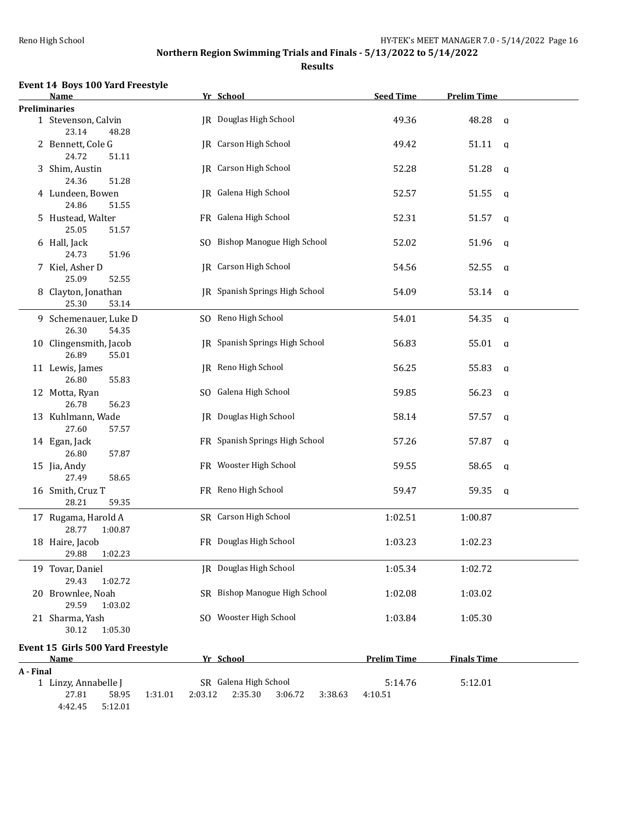| <b>Event 14 Boys 100 Yard Freestyle</b> |  |  |  |  |
|-----------------------------------------|--|--|--|--|
|-----------------------------------------|--|--|--|--|

|           | <u>Name</u>                                                             |         | Yr School                                              | <b>Seed Time</b>   | <b>Prelim Time</b>    |  |
|-----------|-------------------------------------------------------------------------|---------|--------------------------------------------------------|--------------------|-----------------------|--|
|           | <b>Preliminaries</b>                                                    |         |                                                        |                    |                       |  |
|           | 1 Stevenson, Calvin<br>23.14<br>48.28                                   |         | <b>JR</b> Douglas High School                          | 49.36              | 48.28<br>$\alpha$     |  |
|           | 2 Bennett, Cole G<br>24.72<br>51.11                                     |         | <b>IR</b> Carson High School                           | 49.42              | 51.11<br>$\mathbf{q}$ |  |
|           | 3 Shim, Austin<br>24.36<br>51.28                                        |         | JR Carson High School                                  | 52.28              | 51.28<br>q            |  |
|           | 4 Lundeen, Bowen<br>24.86<br>51.55                                      |         | JR Galena High School                                  | 52.57              | 51.55<br>q            |  |
|           | 5 Hustead, Walter<br>25.05<br>51.57                                     |         | FR Galena High School                                  | 52.31              | 51.57<br>q            |  |
|           | 6 Hall, Jack<br>24.73<br>51.96                                          |         | SO Bishop Manogue High School                          | 52.02              | 51.96<br>q            |  |
|           | 7 Kiel, Asher D<br>25.09<br>52.55                                       |         | <b>IR</b> Carson High School                           | 54.56              | 52.55<br>q            |  |
|           | 8 Clayton, Jonathan<br>25.30<br>53.14                                   |         | JR Spanish Springs High School                         | 54.09              | 53.14<br>q            |  |
|           | 9 Schemenauer, Luke D<br>26.30<br>54.35                                 |         | SO Reno High School                                    | 54.01              | 54.35<br>q            |  |
|           | 10 Clingensmith, Jacob<br>26.89<br>55.01                                |         | IR Spanish Springs High School                         | 56.83              | 55.01<br>a            |  |
|           | 11 Lewis, James<br>26.80<br>55.83                                       |         | JR Reno High School                                    | 56.25              | 55.83<br>q            |  |
|           | 12 Motta, Ryan<br>26.78<br>56.23                                        |         | SO Galena High School                                  | 59.85              | 56.23<br>q            |  |
|           | 13 Kuhlmann, Wade<br>27.60<br>57.57                                     |         | JR Douglas High School                                 | 58.14              | 57.57<br>$\mathbf q$  |  |
|           | 14 Egan, Jack<br>26.80<br>57.87                                         |         | FR Spanish Springs High School                         | 57.26              | 57.87<br>$\mathbf q$  |  |
|           | 15 Jia, Andy<br>27.49<br>58.65                                          |         | FR Wooster High School                                 | 59.55              | 58.65<br>q            |  |
|           | 16 Smith, Cruz T<br>28.21<br>59.35                                      |         | FR Reno High School                                    | 59.47              | 59.35<br>q            |  |
|           | 17 Rugama, Harold A<br>28.77<br>1:00.87                                 |         | SR Carson High School                                  | 1:02.51            | 1:00.87               |  |
|           | 18 Haire, Jacob<br>29.88 1:02.23                                        |         | FR Douglas High School                                 | 1:03.23            | 1:02.23               |  |
|           | 19 Tovar, Daniel<br>29.43<br>1:02.72                                    |         | IR Douglas High School                                 | 1:05.34            | 1:02.72               |  |
|           | 20 Brownlee, Noah<br>29.59<br>1:03.02                                   |         | SR Bishop Manogue High School                          | 1:02.08            | 1:03.02               |  |
|           | 21 Sharma, Yash<br>30.12<br>1:05.30                                     |         | SO Wooster High School                                 | 1:03.84            | 1:05.30               |  |
|           | Event 15 Girls 500 Yard Freestyle<br><b>Name</b>                        |         | Yr School                                              | <b>Prelim Time</b> | <b>Finals Time</b>    |  |
| A - Final |                                                                         |         |                                                        |                    |                       |  |
|           | 1 Linzy, Annabelle J<br>27.81<br>58.95<br>1:31.01<br>4:42.45<br>5:12.01 | 2:03.12 | SR Galena High School<br>2:35.30<br>3:06.72<br>3:38.63 | 5:14.76<br>4:10.51 | 5:12.01               |  |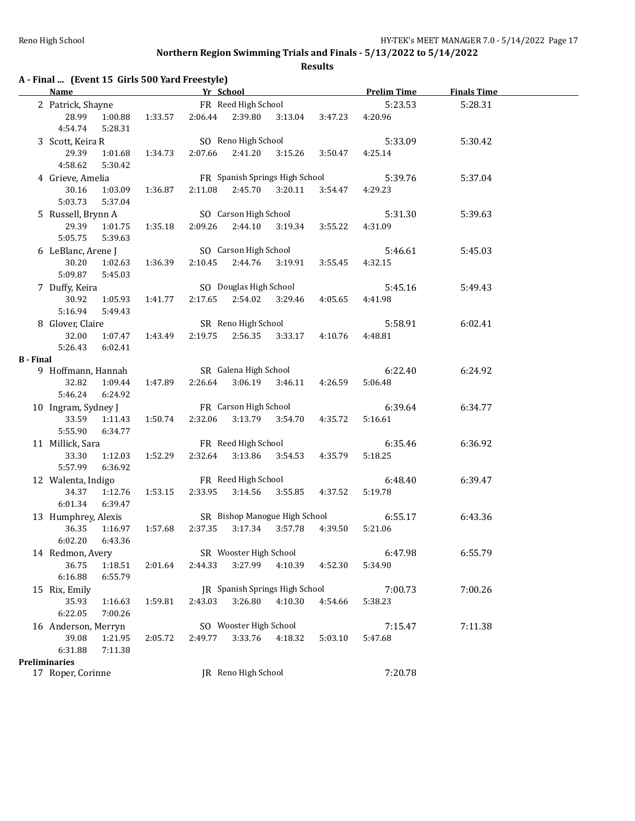|                  | A - Final  (Event 15 Girls 500 Yard Freestyle)<br><b>Name</b> |                    |         | Yr School |                        |                                |         | <b>Prelim Time</b> | <b>Finals Time</b> |
|------------------|---------------------------------------------------------------|--------------------|---------|-----------|------------------------|--------------------------------|---------|--------------------|--------------------|
|                  | 2 Patrick, Shayne                                             |                    |         |           | FR Reed High School    |                                |         | 5:23.53            | 5:28.31            |
|                  | 28.99<br>4:54.74                                              | 1:00.88<br>5:28.31 | 1:33.57 | 2:06.44   | 2:39.80                | 3:13.04                        | 3:47.23 | 4:20.96            |                    |
|                  | 3 Scott, Keira R                                              |                    |         |           | SO Reno High School    |                                |         | 5:33.09            | 5:30.42            |
|                  | 29.39<br>4:58.62                                              | 1:01.68<br>5:30.42 | 1:34.73 | 2:07.66   | 2:41.20                | 3:15.26                        | 3:50.47 | 4:25.14            |                    |
|                  | 4 Grieve, Amelia                                              |                    |         |           |                        | FR Spanish Springs High School |         | 5:39.76            | 5:37.04            |
|                  | 30.16                                                         | 1:03.09            | 1:36.87 | 2:11.08   | 2:45.70                | 3:20.11                        | 3:54.47 | 4:29.23            |                    |
|                  | 5:03.73                                                       | 5:37.04            |         |           |                        |                                |         |                    |                    |
|                  | 5 Russell, Brynn A                                            |                    |         |           | SO Carson High School  |                                |         | 5:31.30            | 5:39.63            |
|                  | 29.39                                                         | 1:01.75            | 1:35.18 | 2:09.26   | 2:44.10                | 3:19.34                        | 3:55.22 | 4:31.09            |                    |
|                  | 5:05.75                                                       | 5:39.63            |         |           |                        |                                |         |                    |                    |
|                  | 6 LeBlanc, Arene J                                            |                    |         |           | SO Carson High School  |                                |         | 5:46.61            | 5:45.03            |
|                  | 30.20                                                         | 1:02.63            | 1:36.39 | 2:10.45   | 2:44.76                | 3:19.91                        | 3:55.45 | 4:32.15            |                    |
|                  | 5:09.87                                                       | 5:45.03            |         |           |                        |                                |         |                    |                    |
|                  | 7 Duffy, Keira                                                |                    |         |           | SO Douglas High School |                                |         | 5:45.16            | 5:49.43            |
|                  | 30.92                                                         | 1:05.93            | 1:41.77 | 2:17.65   | 2:54.02                | 3:29.46                        | 4:05.65 | 4:41.98            |                    |
|                  | 5:16.94                                                       | 5:49.43            |         |           |                        |                                |         |                    |                    |
|                  | 8 Glover, Claire                                              |                    |         |           | SR Reno High School    |                                |         | 5:58.91            | 6:02.41            |
|                  | 32.00                                                         | 1:07.47            | 1:43.49 | 2:19.75   | 2:56.35                | 3:33.17                        | 4:10.76 | 4:48.81            |                    |
|                  | 5:26.43                                                       | 6:02.41            |         |           |                        |                                |         |                    |                    |
| <b>B</b> - Final |                                                               |                    |         |           |                        |                                |         |                    |                    |
|                  | 9 Hoffmann, Hannah                                            |                    |         |           | SR Galena High School  |                                |         | 6:22.40            | 6:24.92            |
|                  | 32.82                                                         | 1:09.44            | 1:47.89 | 2:26.64   | 3:06.19                | 3:46.11                        | 4:26.59 | 5:06.48            |                    |
|                  | 5:46.24                                                       | 6:24.92            |         |           |                        |                                |         |                    |                    |
|                  | 10 Ingram, Sydney J                                           |                    |         |           | FR Carson High School  |                                |         | 6:39.64            | 6:34.77            |
|                  | 33.59<br>5:55.90                                              | 1:11.43<br>6:34.77 | 1:50.74 | 2:32.06   | 3:13.79                | 3:54.70                        | 4:35.72 | 5:16.61            |                    |
|                  |                                                               |                    |         |           | FR Reed High School    |                                |         | 6:35.46            | 6:36.92            |
|                  | 11 Millick, Sara<br>33.30                                     | 1:12.03            | 1:52.29 | 2:32.64   | 3:13.86                | 3:54.53                        | 4:35.79 | 5:18.25            |                    |
|                  | 5:57.99                                                       | 6:36.92            |         |           |                        |                                |         |                    |                    |
|                  | 12 Walenta, Indigo                                            |                    |         |           | FR Reed High School    |                                |         | 6:48.40            | 6:39.47            |
|                  | 34.37                                                         | 1:12.76            | 1:53.15 | 2:33.95   | 3:14.56                | 3:55.85                        | 4:37.52 | 5:19.78            |                    |
|                  | 6:01.34                                                       | 6:39.47            |         |           |                        |                                |         |                    |                    |
|                  | 13 Humphrey, Alexis                                           |                    |         |           |                        | SR Bishop Manogue High School  |         | 6:55.17            | 6:43.36            |
|                  | 36.35                                                         | 1:16.97            | 1:57.68 | 2:37.35   | 3:17.34                | 3:57.78                        | 4:39.50 | 5:21.06            |                    |
|                  | 6:02.20                                                       | 6:43.36            |         |           |                        |                                |         |                    |                    |
|                  | 14 Redmon, Avery                                              |                    |         |           | SR Wooster High School |                                |         | 6:47.98            | 6:55.79            |
|                  | 36.75                                                         | 1:18.51            | 2:01.64 | 2:44.33   | 3:27.99                | 4:10.39                        | 4:52.30 | 5:34.90            |                    |
|                  | 6:16.88                                                       | 6:55.79            |         |           |                        |                                |         |                    |                    |
|                  | 15 Rix, Emily                                                 |                    |         |           |                        | JR Spanish Springs High School |         | 7:00.73            | 7:00.26            |
|                  | 35.93                                                         | 1:16.63            | 1:59.81 | 2:43.03   | 3:26.80                | 4:10.30                        | 4:54.66 | 5:38.23            |                    |
|                  | 6:22.05                                                       | 7:00.26            |         |           |                        |                                |         |                    |                    |
|                  | 16 Anderson, Merryn                                           |                    |         |           | SO Wooster High School |                                |         | 7:15.47            | 7:11.38            |
|                  | 39.08                                                         | 1:21.95            | 2:05.72 | 2:49.77   | 3:33.76                | 4:18.32                        | 5:03.10 | 5:47.68            |                    |
|                  | 6:31.88                                                       | 7:11.38            |         |           |                        |                                |         |                    |                    |
|                  |                                                               |                    |         |           |                        |                                |         |                    |                    |
|                  | <b>Preliminaries</b>                                          |                    |         |           |                        |                                |         |                    |                    |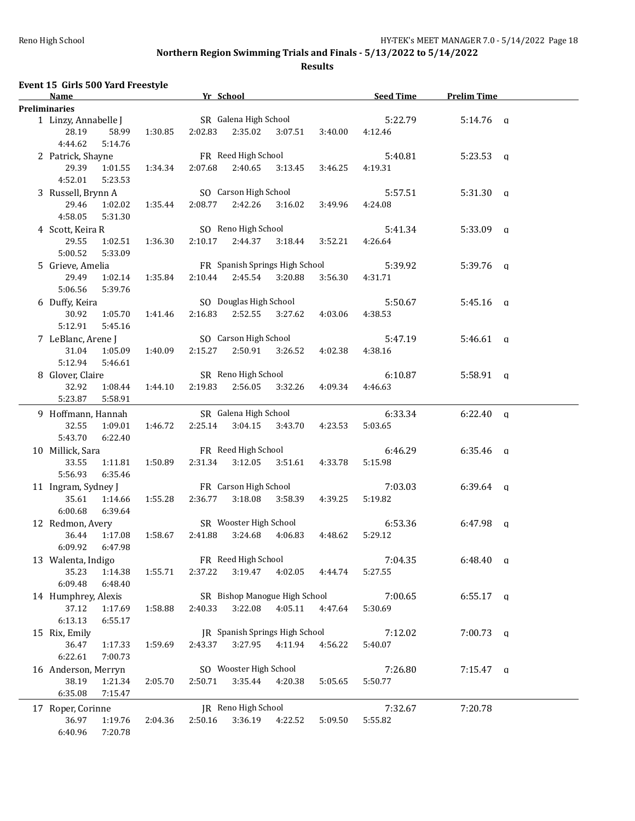| Event 15 Girls 500 Yard Freestyle            |         |                         |         |                                |         |           |                    |  |
|----------------------------------------------|---------|-------------------------|---------|--------------------------------|---------|-----------|--------------------|--|
| <b>Name</b>                                  |         | Yr School               |         |                                |         | Seed Time | <b>Prelim Time</b> |  |
| <b>Preliminaries</b><br>1 Linzy, Annabelle J |         | SR Galena High School   |         |                                |         | 5:22.79   | $5:14.76$ a        |  |
| 28.19<br>58.99<br>4:44.62<br>5:14.76         | 1:30.85 | 2:02.83                 | 2:35.02 | 3:07.51                        | 3:40.00 | 4:12.46   |                    |  |
| 2 Patrick, Shayne                            |         | FR Reed High School     |         |                                |         | 5:40.81   | $5:23.53$ a        |  |
| 29.39<br>1:01.55<br>4:52.01<br>5:23.53       | 1:34.34 | 2:07.68                 | 2:40.65 | 3:13.45                        | 3:46.25 | 4:19.31   |                    |  |
| 3 Russell, Brynn A                           |         | SO Carson High School   |         |                                |         | 5:57.51   | $5:31.30$ q        |  |
| 1:02.02<br>29.46<br>4:58.05<br>5:31.30       | 1:35.44 | 2:08.77                 | 2:42.26 | 3:16.02                        | 3:49.96 | 4:24.08   |                    |  |
| 4 Scott, Keira R                             |         | SO Reno High School     |         |                                |         | 5:41.34   | $5:33.09$ q        |  |
| 29.55<br>1:02.51<br>5:00.52<br>5:33.09       | 1:36.30 | 2:10.17                 | 2:44.37 | 3:18.44                        | 3:52.21 | 4:26.64   |                    |  |
| 5 Grieve, Amelia                             |         |                         |         | FR Spanish Springs High School |         | 5:39.92   | $5:39.76$ q        |  |
| 29.49<br>1:02.14<br>5:06.56<br>5:39.76       | 1:35.84 | 2:10.44 2:45.54 3:20.88 |         |                                | 3:56.30 | 4:31.71   |                    |  |
| 6 Duffy, Keira                               |         |                         |         | SO Douglas High School         |         | 5:50.67   | $5:45.16$ a        |  |
| 30.92<br>1:05.70<br>5:12.91<br>5:45.16       | 1:41.46 | 2:16.83                 | 2:52.55 | 3:27.62                        | 4:03.06 | 4:38.53   |                    |  |
| 7 LeBlanc, Arene J                           |         |                         |         | SO Carson High School          |         | 5:47.19   | $5:46.61$ a        |  |
| 31.04<br>1:05.09<br>5:12.94<br>5:46.61       | 1:40.09 | 2:15.27                 |         | 2:50.91 3:26.52                | 4:02.38 | 4:38.16   |                    |  |
| 8 Glover, Claire                             |         | SR Reno High School     |         |                                |         | 6:10.87   | $5:58.91$ a        |  |
| 32.92<br>1:08.44<br>5:23.87<br>5:58.91       | 1:44.10 | 2:19.83 2:56.05 3:32.26 |         |                                | 4:09.34 | 4:46.63   |                    |  |
| 9 Hoffmann, Hannah                           |         | SR Galena High School   |         |                                |         | 6:33.34   | $6:22.40$ a        |  |
| 32.55<br>1:09.01<br>5:43.70<br>6:22.40       | 1:46.72 | 2:25.14                 | 3:04.15 | 3:43.70                        | 4:23.53 | 5:03.65   |                    |  |
| 10 Millick, Sara                             |         | FR Reed High School     |         |                                |         | 6:46.29   | $6:35.46$ q        |  |
| 33.55<br>1:11.81<br>5:56.93<br>6:35.46       | 1:50.89 | 2:31.34                 |         | $3:12.05$ $3:51.61$            | 4:33.78 | 5:15.98   |                    |  |
| 11 Ingram, Sydney J                          |         | FR Carson High School   |         |                                |         | 7:03.03   | $6:39.64$ q        |  |
| 35.61<br>1:14.66<br>6:00.68<br>6:39.64       | 1:55.28 | 2:36.77                 |         | 3:18.08   3:58.39              | 4:39.25 | 5:19.82   |                    |  |
| 12 Redmon, Avery                             |         | SR Wooster High School  |         |                                |         | 6:53.36   | $6:47.98$ q        |  |
| 36.44<br>1:17.08<br>6:09.92<br>6:47.98       | 1:58.67 | 2:41.88                 | 3:24.68 | 4:06.83                        | 4:48.62 | 5:29.12   |                    |  |
| 13 Walenta, Indigo                           |         | FR Reed High School     |         |                                |         | 7:04.35   | $6:48.40$ q        |  |
| 35.23<br>1:14.38<br>6:09.48<br>6:48.40       | 1:55.71 | 2:37.22                 | 3:19.47 | 4:02.05                        | 4:44.74 | 5:27.55   |                    |  |
| 14 Humphrey, Alexis                          |         |                         |         | SR Bishop Manogue High School  |         | 7:00.65   | $6:55.17$ a        |  |
| 37.12<br>1:17.69<br>6:13.13<br>6:55.17       | 1:58.88 | 2:40.33                 | 3:22.08 | 4:05.11                        | 4:47.64 | 5:30.69   |                    |  |
| 15 Rix, Emily                                |         |                         |         | JR Spanish Springs High School |         | 7:12.02   | $7:00.73$ q        |  |
| 36.47<br>1:17.33<br>6:22.61<br>7:00.73       | 1:59.69 | 2:43.37                 | 3:27.95 | 4:11.94                        | 4:56.22 | 5:40.07   |                    |  |
| 16 Anderson, Merryn                          |         | SO Wooster High School  |         |                                |         | 7:26.80   | $7:15.47$ q        |  |
| 38.19<br>1:21.34<br>6:35.08<br>7:15.47       | 2:05.70 | 2:50.71                 | 3:35.44 | 4:20.38                        | 5:05.65 | 5:50.77   |                    |  |
| 17 Roper, Corinne                            |         | JR Reno High School     |         |                                |         | 7:32.67   | 7:20.78            |  |
| 36.97<br>1:19.76<br>6:40.96<br>7:20.78       | 2:04.36 | 2:50.16                 | 3:36.19 | 4:22.52                        | 5:09.50 | 5:55.82   |                    |  |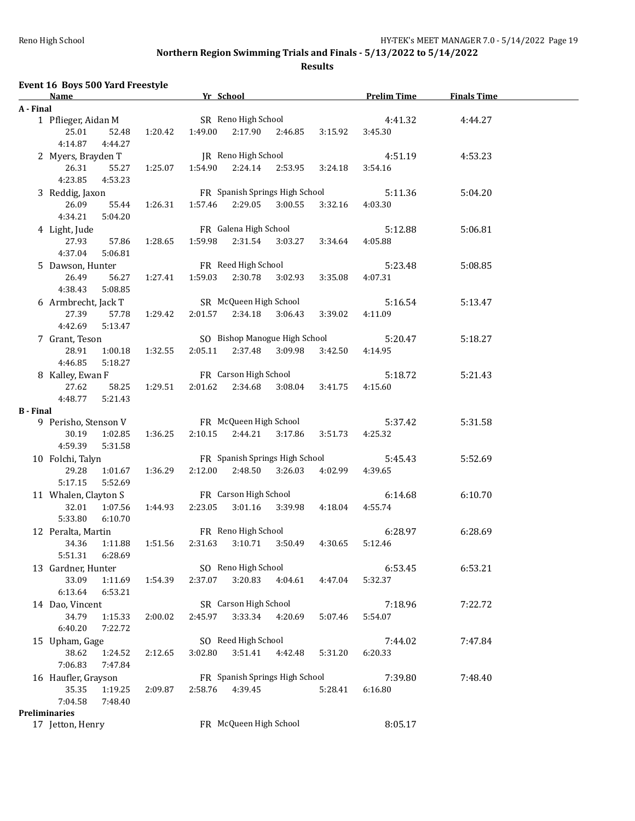|                  | Event 16 Boys 500 Yard Freestyle                                                                                                         |         |                                |                           |                                |                         |                                       |                    |
|------------------|------------------------------------------------------------------------------------------------------------------------------------------|---------|--------------------------------|---------------------------|--------------------------------|-------------------------|---------------------------------------|--------------------|
|                  | <u>The School</u> Terms of the School School School School School School School School School School School School School<br><b>Name</b> |         |                                |                           |                                |                         | <b>Prelim Time</b>                    | <b>Finals Time</b> |
| A - Final        |                                                                                                                                          |         |                                |                           |                                |                         |                                       |                    |
|                  | 1 Pflieger, Aidan M                                                                                                                      |         |                                | SR Reno High School       |                                |                         | 4:41.32                               | 4:44.27            |
|                  | 25.01<br>52.48                                                                                                                           | 1:20.42 | 1:49.00                        |                           | 2:17.90 2:46.85                | 3:15.92                 | 3:45.30                               |                    |
|                  | 4:14.87<br>4:44.27                                                                                                                       |         |                                |                           |                                |                         |                                       |                    |
|                  | 2 Myers, Brayden T                                                                                                                       |         |                                | JR Reno High School       |                                |                         | 4:51.19                               | 4:53.23            |
|                  | 26.31<br>55.27                                                                                                                           | 1:25.07 |                                | 1:54.90  2:24.14  2:53.95 |                                | 3:24.18                 | 3:54.16                               |                    |
|                  | 4:23.85<br>4:53.23                                                                                                                       |         |                                |                           |                                |                         |                                       |                    |
|                  | 3 Reddig, Jaxon                                                                                                                          |         | 1:57.46                        |                           | FR Spanish Springs High School |                         | 5:11.36                               | 5:04.20            |
|                  | 26.09<br>55.44<br>4:34.21<br>5:04.20                                                                                                     | 1:26.31 |                                |                           | 2:29.05 3:00.55                | 3:32.16                 | 4:03.30                               |                    |
|                  | 4 Light, Jude                                                                                                                            |         |                                |                           | FR Galena High School          |                         | 5:12.88                               | 5:06.81            |
|                  | 27.93<br>57.86                                                                                                                           | 1:28.65 | 1:59.98                        | 2:31.54                   | 3:03.27                        | 3:34.64                 | 4:05.88                               |                    |
|                  | 4:37.04<br>5:06.81                                                                                                                       |         |                                |                           |                                |                         |                                       |                    |
|                  | 5 Dawson, Hunter                                                                                                                         |         |                                |                           | FR Reed High School            |                         | 5:23.48                               | 5:08.85            |
|                  | 26.49<br>56.27                                                                                                                           | 1:27.41 | 1:59.03                        | 2:30.78                   | 3:02.93                        | 3:35.08                 | 4:07.31                               |                    |
|                  | 4:38.43<br>5:08.85                                                                                                                       |         |                                |                           |                                |                         |                                       |                    |
|                  | 6 Armbrecht, Jack T SR McQueen High School                                                                                               |         |                                |                           |                                |                         | 5:16.54                               | 5:13.47            |
|                  | 27.39<br>57.78                                                                                                                           | 1:29.42 | 2:01.57                        | 2:34.18                   | 3:06.43                        | 3:39.02                 | 4:11.09                               |                    |
|                  | 4:42.69<br>5:13.47                                                                                                                       |         |                                |                           |                                |                         |                                       |                    |
|                  | 7 Grant, Teson                                                                                                                           |         |                                |                           |                                |                         | SO Bishop Manogue High School 5:20.47 | 5:18.27            |
|                  | 28.91<br>1:00.18                                                                                                                         | 1:32.55 | 2:05.11                        | 2:37.48                   | 3:09.98                        | 3:42.50                 | 4:14.95                               |                    |
|                  | 4:46.85<br>5:18.27                                                                                                                       |         |                                |                           |                                |                         |                                       |                    |
|                  | 8 Kalley, Ewan F                                                                                                                         |         |                                |                           | FR Carson High School          |                         | 5:18.72                               | 5:21.43            |
|                  | 27.62<br>58.25                                                                                                                           | 1:29.51 | 2:01.62                        |                           | 2:34.68 3:08.04                | 3:41.75                 | 4:15.60                               |                    |
|                  | 4:48.77<br>5:21.43                                                                                                                       |         |                                |                           |                                |                         |                                       |                    |
| <b>B</b> - Final |                                                                                                                                          |         |                                |                           |                                |                         |                                       |                    |
|                  | 9 Perisho, Stenson V                                                                                                                     |         |                                |                           |                                | FR McQueen High School  | 5:37.42                               | 5:31.58            |
|                  | 30.19<br>1:02.85                                                                                                                         | 1:36.25 | 2:10.15                        |                           | 2:44.21 3:17.86                | 3:51.73                 | 4:25.32                               |                    |
|                  | 4:59.39<br>5:31.58                                                                                                                       |         |                                |                           |                                |                         |                                       |                    |
|                  | 10 Folchi, Talyn                                                                                                                         |         |                                |                           | FR Spanish Springs High School |                         | 5:45.43                               | 5:52.69            |
|                  | 29.28<br>1:01.67                                                                                                                         | 1:36.29 | 2:12.00                        |                           |                                | 2:48.50 3:26.03 4:02.99 | 4:39.65                               |                    |
|                  | 5:17.15<br>5:52.69                                                                                                                       |         |                                |                           |                                |                         |                                       |                    |
|                  | 11 Whalen, Clayton S                                                                                                                     |         | FR Carson High School          |                           |                                |                         | 6:14.68                               | 6:10.70            |
|                  | 32.01<br>1:07.56                                                                                                                         | 1:44.93 | 2:23.05                        |                           | 3:01.16 3:39.98                | 4:18.04                 | 4:55.74                               |                    |
|                  | 5:33.80<br>6:10.70                                                                                                                       |         |                                | FR Reno High School       |                                |                         |                                       |                    |
|                  | 12 Peralta, Martin<br>34.36  1:11.88  1:51.56  2:31.63  3:10.71  3:50.49  4:30.65  5:12.46                                               |         |                                |                           |                                |                         | 6:28.97                               | 6:28.69            |
|                  | 6:28.69<br>5:51.31                                                                                                                       |         |                                |                           |                                |                         |                                       |                    |
|                  | 13 Gardner, Hunter                                                                                                                       |         |                                | SO Reno High School       |                                |                         | 6:53.45                               | 6:53.21            |
|                  | 33.09<br>1:11.69                                                                                                                         | 1:54.39 | 2:37.07                        | 3:20.83                   | 4:04.61                        | 4:47.04                 | 5:32.37                               |                    |
|                  | 6:13.64<br>6:53.21                                                                                                                       |         |                                |                           |                                |                         |                                       |                    |
|                  | 14 Dao, Vincent                                                                                                                          |         |                                | SR Carson High School     |                                |                         | 7:18.96                               | 7:22.72            |
|                  | 34.79<br>1:15.33                                                                                                                         | 2:00.02 | 2:45.97                        | 3:33.34                   | 4:20.69                        | 5:07.46                 | 5:54.07                               |                    |
|                  | 6:40.20<br>7:22.72                                                                                                                       |         |                                |                           |                                |                         |                                       |                    |
|                  | 15 Upham, Gage                                                                                                                           |         |                                | SO Reed High School       |                                |                         | 7:44.02                               | 7:47.84            |
|                  | 38.62<br>1:24.52                                                                                                                         | 2:12.65 | 3:02.80                        | 3:51.41                   | 4:42.48                        | 5:31.20                 | 6:20.33                               |                    |
|                  | 7:06.83<br>7:47.84                                                                                                                       |         |                                |                           |                                |                         |                                       |                    |
|                  | 16 Haufler, Grayson                                                                                                                      |         | FR Spanish Springs High School |                           |                                |                         | 7:39.80                               | 7:48.40            |
|                  | 35.35<br>1:19.25                                                                                                                         | 2:09.87 | 2:58.76                        | 4:39.45<br>5:28.41        |                                |                         | 6:16.80                               |                    |
|                  | 7:04.58<br>7:48.40                                                                                                                       |         |                                |                           |                                |                         |                                       |                    |
|                  | <b>Preliminaries</b>                                                                                                                     |         |                                |                           |                                |                         |                                       |                    |
|                  | 17 Jetton, Henry                                                                                                                         |         |                                | FR McQueen High School    |                                |                         | 8:05.17                               |                    |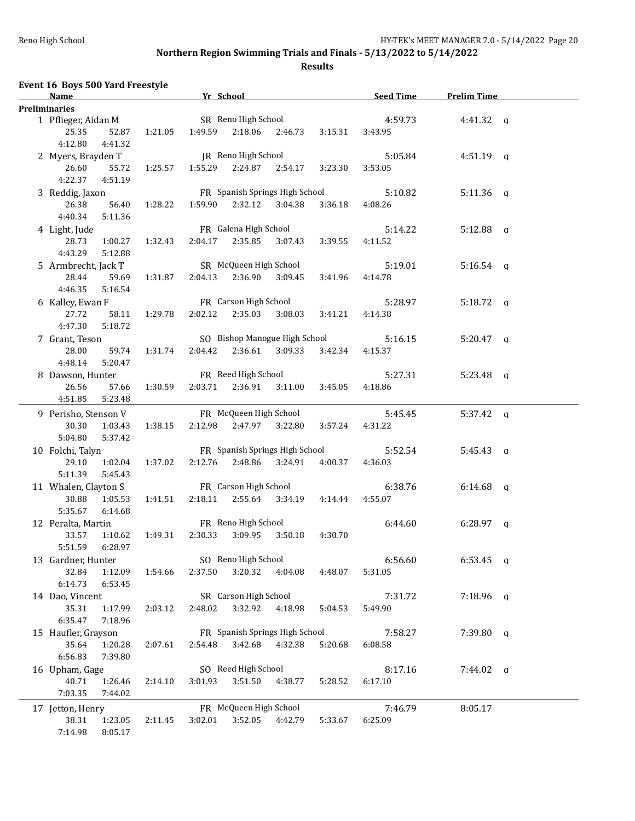| Event 16 Boys 500 Yard Freestyle<br>Name                           |         | Yr School |                                                |                 |                  | <b>Seed Time</b>   | <b>Prelim Time</b> |  |
|--------------------------------------------------------------------|---------|-----------|------------------------------------------------|-----------------|------------------|--------------------|--------------------|--|
| <b>Preliminaries</b>                                               |         |           |                                                |                 |                  |                    |                    |  |
| 1 Pflieger, Aidan M<br>25.35<br>52.87<br>4:12.80<br>4:41.32        | 1:21.05 |           | SR Reno High School<br>1:49.59 2:18.06 2:46.73 |                 | 3:15.31          | 4:59.73<br>3:43.95 | $4:41.32$ q        |  |
| 2 Myers, Brayden T<br>26.60<br>55.72                               | 1:25.57 | 1:55.29   | JR Reno High School<br>2:24.87                 | 2:54.17         | 3:23.30          | 5:05.84<br>3:53.05 | $4:51.19$ a        |  |
| 4:22.37<br>4:51.19<br>3 Reddig, Jaxon<br>26.38<br>56.40<br>4:40.34 | 1:28.22 | 1:59.90   | FR Spanish Springs High School                 | 2:32.12 3:04.38 | 3:36.18          | 5:10.82<br>4:08.26 | $5:11.36$ a        |  |
| 5:11.36<br>4 Light, Jude<br>28.73<br>1:00.27<br>4:43.29<br>5:12.88 | 1:32.43 | 2:04.17   | FR Galena High School<br>2:35.85               | 3:07.43         | 3:39.55          | 5:14.22<br>4:11.52 | $5:12.88$ q        |  |
| 5 Armbrecht, Jack T<br>28.44<br>59.69<br>4:46.35<br>5:16.54        | 1:31.87 | 2:04.13   | SR McQueen High School<br>2:36.90              | 3:09.45         | 3:41.96          | 5:19.01<br>4:14.78 | $5:16.54$ q        |  |
| 6 Kalley, Ewan F<br>27.72<br>58.11<br>4:47.30<br>5:18.72           | 1:29.78 | 2:02.12   | FR Carson High School<br>2:35.03               | 3:08.03         | 3:41.21          | 5:28.97<br>4:14.38 | $5:18.72$ q        |  |
| 7 Grant, Teson<br>28.00<br>59.74<br>4:48.14<br>5:20.47             | 1:31.74 | 2:04.42   | SO Bishop Manogue High School<br>2:36.61       |                 | 3:09.33 3:42.34  | 5:16.15<br>4:15.37 | $5:20.47$ a        |  |
| 8 Dawson, Hunter<br>26.56<br>57.66<br>4:51.85<br>5:23.48           | 1:30.59 | 2:03.71   | FR Reed High School                            | 2:36.91 3:11.00 | 3:45.05          | 5:27.31<br>4:18.86 | $5:23.48$ q        |  |
| 9 Perisho, Stenson V<br>30.30<br>1:03.43<br>5:04.80<br>5:37.42     | 1:38.15 | 2:12.98   | FR McQueen High School<br>2:47.97              | 3:22.80         | 3:57.24          | 5:45.45<br>4:31.22 | $5:37.42 \quad q$  |  |
| 10 Folchi, Talyn<br>29.10<br>1:02.04<br>5:11.39<br>5:45.43         | 1:37.02 | 2:12.76   | FR Spanish Springs High School<br>2:48.86      |                 | 3:24.91  4:00.37 | 5:52.54<br>4:36.03 | $5:45.43$ q        |  |
| 11 Whalen, Clayton S<br>30.88<br>1:05.53<br>5:35.67<br>6:14.68     | 1:41.51 | 2:18.11   | FR Carson High School                          | 2:55.64 3:34.19 | 4:14.44          | 6:38.76<br>4:55.07 | $6:14.68$ q        |  |
| 12 Peralta, Martin<br>33.57<br>1:10.62<br>5:51.59<br>6:28.97       | 1:49.31 | 2:30.33   | FR Reno High School<br>3:09.95                 | 3:50.18         | 4:30.70          | 6:44.60            | $6:28.97$ q        |  |
| 13 Gardner, Hunter<br>32.84<br>1:12.09<br>6:14.73<br>6:53.45       | 1:54.66 | 2:37.50   | SO Reno High School<br>3:20.32                 | 4:04.08         | 4:48.07          | 6:56.60<br>5:31.05 | $6:53.45$ q        |  |
| 14 Dao, Vincent<br>35.31<br>1:17.99<br>6:35.47<br>7:18.96          | 2:03.12 | 2:48.02   | SR Carson High School<br>3:32.92               | 4:18.98         | 5:04.53          | 7:31.72<br>5:49.90 | $7:18.96$ q        |  |
| 15 Haufler, Grayson<br>35.64<br>1:20.28<br>6:56.83<br>7:39.80      | 2:07.61 | 2:54.48   | FR Spanish Springs High School<br>3:42.68      | 4:32.38         | 5:20.68          | 7:58.27<br>6:08.58 | $7:39.80$ a        |  |
| 16 Upham, Gage<br>40.71<br>1:26.46<br>7:03.35<br>7:44.02           | 2:14.10 | 3:01.93   | SO Reed High School<br>3:51.50                 | 4:38.77         | 5:28.52          | 8:17.16<br>6:17.10 | $7:44.02$ q        |  |
| 17 Jetton, Henry<br>38.31<br>1:23.05<br>8:05.17<br>7:14.98         | 2:11.45 | 3:02.01   | FR McQueen High School<br>3:52.05              | 4:42.79         | 5:33.67          | 7:46.79<br>6:25.09 | 8:05.17            |  |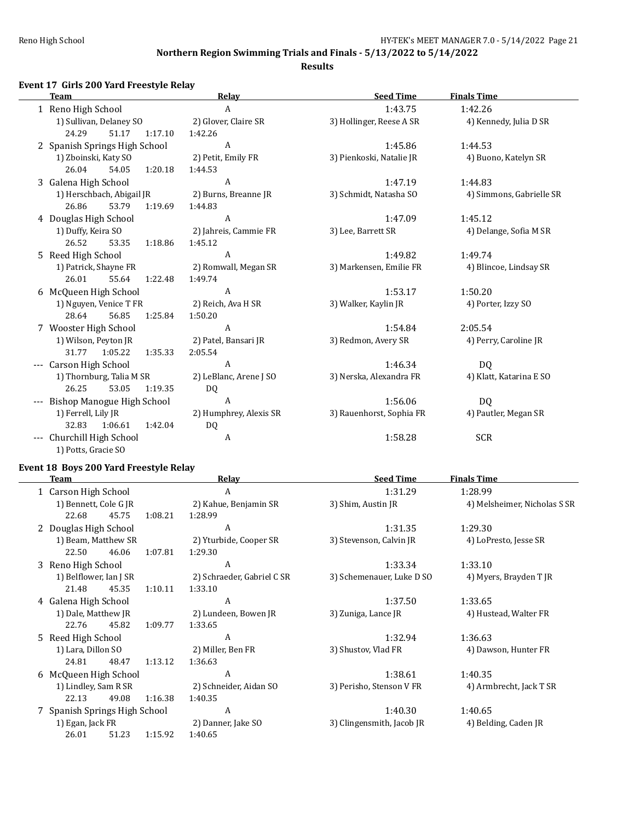### **Results**

# **Event 17 Girls 200 Yard Freestyle Relay**

| <b>Team</b>                    | Relay                  | <b>Seed Time</b>         | <b>Finals Time</b>       |
|--------------------------------|------------------------|--------------------------|--------------------------|
| 1 Reno High School             | A                      | 1:43.75                  | 1:42.26                  |
| 1) Sullivan, Delaney SO        | 2) Glover, Claire SR   | 3) Hollinger, Reese A SR | 4) Kennedy, Julia D SR   |
| 24.29<br>51.17<br>1:17.10      | 1:42.26                |                          |                          |
| 2 Spanish Springs High School  | A                      | 1:45.86                  | 1:44.53                  |
| 1) Zboinski, Katy SO           | 2) Petit, Emily FR     | 3) Pienkoski, Natalie JR | 4) Buono, Katelyn SR     |
| 26.04<br>1:20.18<br>54.05      | 1:44.53                |                          |                          |
| 3 Galena High School           | A                      | 1:47.19                  | 1:44.83                  |
| 1) Herschbach, Abigail JR      | 2) Burns, Breanne JR   | 3) Schmidt, Natasha SO   | 4) Simmons, Gabrielle SR |
| 53.79<br>26.86<br>1:19.69      | 1:44.83                |                          |                          |
| 4 Douglas High School          | A                      | 1:47.09                  | 1:45.12                  |
| 1) Duffy, Keira SO             | 2) Jahreis, Cammie FR  | 3) Lee, Barrett SR       | 4) Delange, Sofia M SR   |
| 26.52<br>53.35<br>1:18.86      | 1:45.12                |                          |                          |
| 5 Reed High School             | $\mathbf{A}$           | 1:49.82                  | 1:49.74                  |
| 1) Patrick, Shayne FR          | 2) Romwall, Megan SR   | 3) Markensen, Emilie FR  | 4) Blincoe, Lindsay SR   |
| 26.01<br>55.64<br>1:22.48      | 1:49.74                |                          |                          |
| 6 McQueen High School          | A                      | 1:53.17                  | 1:50.20                  |
| 1) Nguyen, Venice T FR         | 2) Reich, Ava H SR     | 3) Walker, Kaylin JR     | 4) Porter, Izzy SO       |
| 28.64<br>56.85<br>1:25.84      | 1:50.20                |                          |                          |
| 7 Wooster High School          | A                      | 1:54.84                  | 2:05.54                  |
| 1) Wilson, Peyton JR           | 2) Patel, Bansari JR   | 3) Redmon, Avery SR      | 4) Perry, Caroline JR    |
| 31.77 1:05.22<br>1:35.33       | 2:05.54                |                          |                          |
| Carson High School<br>$\cdots$ | A                      | 1:46.34                  | DQ                       |
| 1) Thornburg, Talia M SR       | 2) LeBlanc, Arene J SO | 3) Nerska, Alexandra FR  | 4) Klatt, Katarina E SO  |
| 26.25<br>53.05<br>1:19.35      | DQ                     |                          |                          |
| Bishop Manogue High School     | A                      | 1:56.06                  | D <sub>0</sub>           |
| 1) Ferrell, Lily JR            | 2) Humphrey, Alexis SR | 3) Rauenhorst, Sophia FR | 4) Pautler, Megan SR     |
| 32.83<br>1:42.04<br>1:06.61    | DQ                     |                          |                          |
| Churchill High School          | A                      | 1:58.28                  | <b>SCR</b>               |
| 1) Potts, Gracie SO            |                        |                          |                          |

## **Event 18 Boys 200 Yard Freestyle Relay**

| Team                          |       |         | Relay                      | <b>Seed Time</b>          | <b>Finals Time</b>           |
|-------------------------------|-------|---------|----------------------------|---------------------------|------------------------------|
| 1 Carson High School          |       |         | A                          | 1:31.29                   | 1:28.99                      |
| 1) Bennett, Cole G JR         |       |         | 2) Kahue, Benjamin SR      | 3) Shim, Austin JR        | 4) Melsheimer, Nicholas S SR |
| 22.68                         | 45.75 | 1:08.21 | 1:28.99                    |                           |                              |
| 2 Douglas High School         |       |         | A                          | 1:31.35                   | 1:29.30                      |
| 1) Beam, Matthew SR           |       |         | 2) Yturbide, Cooper SR     | 3) Stevenson, Calvin JR   | 4) LoPresto, Jesse SR        |
| 22.50                         | 46.06 | 1:07.81 | 1:29.30                    |                           |                              |
| 3 Reno High School            |       |         | A                          | 1:33.34                   | 1:33.10                      |
| 1) Belflower, Ian J SR        |       |         | 2) Schraeder, Gabriel C SR | 3) Schemenauer, Luke D SO | 4) Myers, Brayden T JR       |
| 21.48                         | 45.35 | 1:10.11 | 1:33.10                    |                           |                              |
| 4 Galena High School          |       |         | A                          | 1:37.50                   | 1:33.65                      |
| 1) Dale, Matthew JR           |       |         | 2) Lundeen, Bowen JR       | 3) Zuniga, Lance JR       | 4) Hustead, Walter FR        |
| 22.76                         | 45.82 | 1:09.77 | 1:33.65                    |                           |                              |
| 5 Reed High School            |       |         | A                          | 1:32.94                   | 1:36.63                      |
| 1) Lara, Dillon SO            |       |         | 2) Miller, Ben FR          | 3) Shustov, Vlad FR       | 4) Dawson, Hunter FR         |
| 24.81                         | 48.47 | 1:13.12 | 1:36.63                    |                           |                              |
| 6 McQueen High School         |       |         | A                          | 1:38.61                   | 1:40.35                      |
| 1) Lindley, Sam R SR          |       |         | 2) Schneider, Aidan SO     | 3) Perisho, Stenson V FR  | 4) Armbrecht, Jack T SR      |
| 22.13                         | 49.08 | 1:16.38 | 1:40.35                    |                           |                              |
| 7 Spanish Springs High School |       |         | A                          | 1:40.30                   | 1:40.65                      |
| 1) Egan, Jack FR              |       |         | 2) Danner, Jake SO         | 3) Clingensmith, Jacob JR | 4) Belding, Caden JR         |
| 26.01                         | 51.23 | 1:15.92 | 1:40.65                    |                           |                              |
|                               |       |         |                            |                           |                              |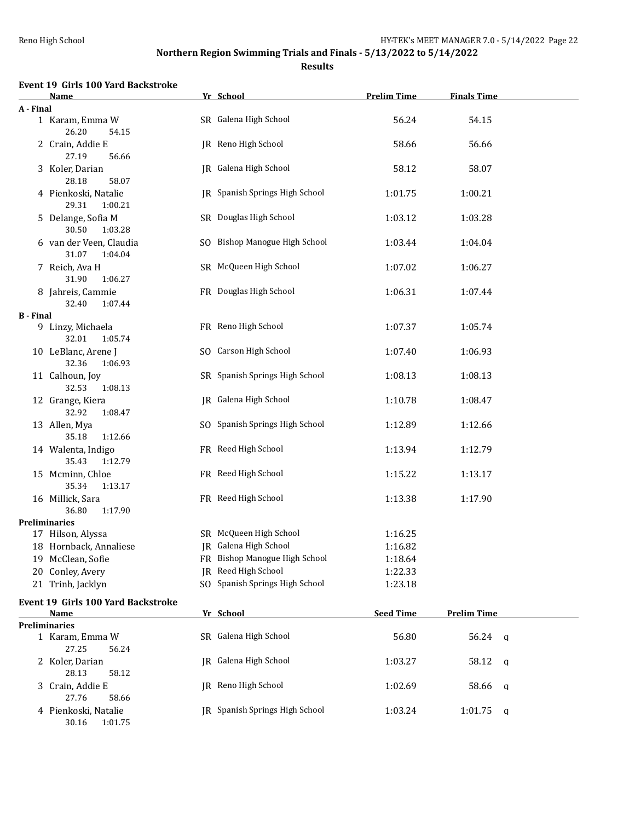**Results**

### **Event 19 Girls 100 Yard Backstroke**

|                  | Name                                        | Yr School                      | <b>Prelim Time</b> | <b>Finals Time</b> |  |
|------------------|---------------------------------------------|--------------------------------|--------------------|--------------------|--|
| A - Final        |                                             |                                |                    |                    |  |
|                  | 1 Karam, Emma W<br>26.20<br>54.15           | SR Galena High School          | 56.24              | 54.15              |  |
|                  | 2 Crain, Addie E<br>27.19<br>56.66          | IR Reno High School            | 58.66              | 56.66              |  |
|                  | 3 Koler, Darian<br>28.18<br>58.07           | JR Galena High School          | 58.12              | 58.07              |  |
|                  | 4 Pienkoski, Natalie<br>29.31<br>1:00.21    | JR Spanish Springs High School | 1:01.75            | 1:00.21            |  |
|                  | 5 Delange, Sofia M<br>30.50<br>1:03.28      | SR Douglas High School         | 1:03.12            | 1:03.28            |  |
|                  | 6 van der Veen, Claudia<br>31.07<br>1:04.04 | SO Bishop Manogue High School  | 1:03.44            | 1:04.04            |  |
|                  | 7 Reich, Ava H<br>31.90<br>1:06.27          | SR McQueen High School         | 1:07.02            | 1:06.27            |  |
|                  | 8 Jahreis, Cammie<br>32.40<br>1:07.44       | FR Douglas High School         | 1:06.31            | 1:07.44            |  |
| <b>B</b> - Final |                                             |                                |                    |                    |  |
|                  | 9 Linzy, Michaela<br>32.01<br>1:05.74       | FR Reno High School            | 1:07.37            | 1:05.74            |  |
|                  | 10 LeBlanc, Arene J<br>32.36<br>1:06.93     | SO Carson High School          | 1:07.40            | 1:06.93            |  |
|                  | 11 Calhoun, Joy<br>32.53<br>1:08.13         | SR Spanish Springs High School | 1:08.13            | 1:08.13            |  |
|                  | 12 Grange, Kiera<br>32.92<br>1:08.47        | JR Galena High School          | 1:10.78            | 1:08.47            |  |
|                  | 13 Allen, Mya<br>35.18<br>1:12.66           | SO Spanish Springs High School | 1:12.89            | 1:12.66            |  |
|                  | 14 Walenta, Indigo<br>35.43<br>1:12.79      | FR Reed High School            | 1:13.94            | 1:12.79            |  |
|                  | 15 Mcminn, Chloe<br>35.34<br>1:13.17        | FR Reed High School            | 1:15.22            | 1:13.17            |  |
|                  | 16 Millick, Sara<br>36.80<br>1:17.90        | FR Reed High School            | 1:13.38            | 1:17.90            |  |
|                  | <b>Preliminaries</b>                        |                                |                    |                    |  |
|                  | 17 Hilson, Alyssa                           | SR McQueen High School         | 1:16.25            |                    |  |
|                  | 18 Hornback, Annaliese                      | JR Galena High School          | 1:16.82            |                    |  |
|                  | 19 McClean, Sofie                           | FR Bishop Manogue High School  | 1:18.64            |                    |  |
|                  | 20 Conley, Avery                            | JR Reed High School            | 1:22.33            |                    |  |
|                  | 21 Trinh, Jacklyn                           | SO Spanish Springs High School | 1:23.18            |                    |  |
|                  | <b>Event 19 Girls 100 Yard Backstroke</b>   |                                |                    |                    |  |
|                  | Name                                        | Yr School                      | <b>Seed Time</b>   | <b>Prelim Time</b> |  |
|                  | <b>Preliminaries</b>                        |                                |                    |                    |  |
|                  | 1 Karam, Emma W<br>27.25<br>56.24           | SR Galena High School          | 56.80              | $56.24$ a          |  |
|                  | 2 Koler, Darian<br>28.13<br>58.12           | JR Galena High School          | 1:03.27            | 58.12<br>- q       |  |
|                  | 3 Crain, Addie E<br>27.76<br>58.66          | JR Reno High School            | 1:02.69            | 58.66<br>q         |  |
|                  | 4 Pienkoski, Natalie<br>30.16<br>1:01.75    | JR Spanish Springs High School | 1:03.24            | 1:01.75<br>a       |  |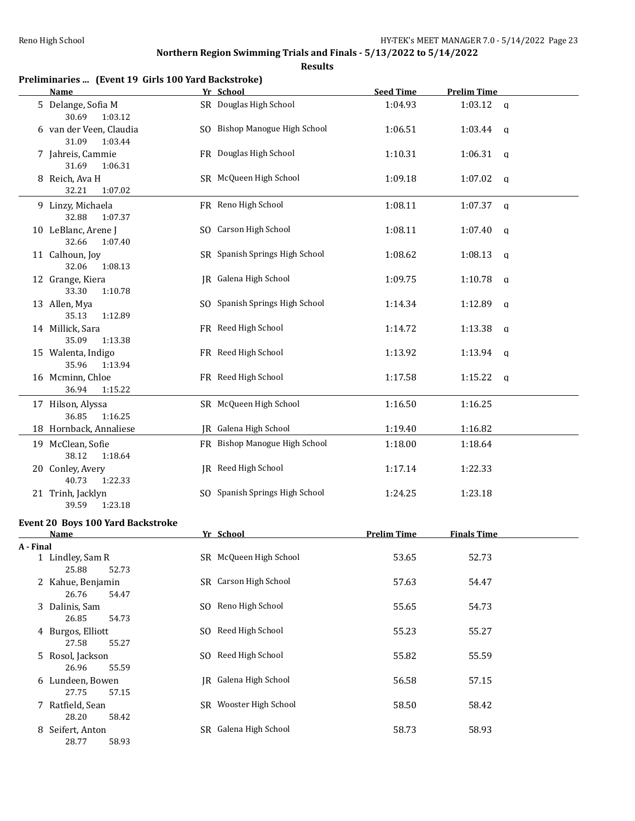|           | Preliminaries  (Event 19 Girls 100 Yard Backstroke)<br>Name | Yr School                      | <b>Seed Time</b>   | <b>Prelim Time</b>      |
|-----------|-------------------------------------------------------------|--------------------------------|--------------------|-------------------------|
|           | 5 Delange, Sofia M<br>30.69<br>1:03.12                      | SR Douglas High School         | 1:04.93            | 1:03.12<br>$\mathbf{q}$ |
|           | 6 van der Veen, Claudia<br>31.09<br>1:03.44                 | SO Bishop Manogue High School  | 1:06.51            | 1:03.44<br>q            |
|           | 7 Jahreis, Cammie<br>31.69<br>1:06.31                       | FR Douglas High School         | 1:10.31            | 1:06.31<br>q            |
|           | 8 Reich, Ava H<br>32.21<br>1:07.02                          | SR McQueen High School         | 1:09.18            | 1:07.02<br>q            |
|           | 9 Linzy, Michaela<br>32.88<br>1:07.37                       | FR Reno High School            | 1:08.11            | 1:07.37<br>$\mathbf q$  |
|           | 10 LeBlanc, Arene J<br>32.66<br>1:07.40                     | SO Carson High School          | 1:08.11            | 1:07.40<br>q            |
|           | 11 Calhoun, Joy<br>32.06<br>1:08.13                         | SR Spanish Springs High School | 1:08.62            | 1:08.13<br>a            |
|           | 12 Grange, Kiera<br>33.30<br>1:10.78                        | JR Galena High School          | 1:09.75            | 1:10.78<br>q            |
|           | 13 Allen, Mya<br>35.13<br>1:12.89                           | SO Spanish Springs High School | 1:14.34            | 1:12.89<br>q            |
|           | 14 Millick, Sara<br>35.09<br>1:13.38                        | FR Reed High School            | 1:14.72            | 1:13.38<br>q            |
|           | 15 Walenta, Indigo<br>35.96<br>1:13.94                      | FR Reed High School            | 1:13.92            | 1:13.94<br>q            |
|           | 16 Mcminn, Chloe<br>36.94<br>1:15.22                        | FR Reed High School            | 1:17.58            | 1:15.22<br>q            |
|           | 17 Hilson, Alyssa<br>36.85<br>1:16.25                       | SR McQueen High School         | 1:16.50            | 1:16.25                 |
|           | 18 Hornback, Annaliese                                      | JR Galena High School          | 1:19.40            | 1:16.82                 |
|           | 19 McClean, Sofie<br>38.12<br>1:18.64                       | FR Bishop Manogue High School  | 1:18.00            | 1:18.64                 |
|           | 20 Conley, Avery<br>40.73<br>1:22.33                        | JR Reed High School            | 1:17.14            | 1:22.33                 |
|           | 21 Trinh, Jacklyn<br>39.59<br>1:23.18                       | SO Spanish Springs High School | 1:24.25            | 1:23.18                 |
|           | Event 20 Boys 100 Yard Backstroke                           |                                |                    |                         |
|           | Name                                                        | Yr School                      | <b>Prelim Time</b> | Finals Time             |
| A - Final | 1 Lindley, Sam R                                            | SR McQueen High School         | 53.65              | 52.73                   |
|           | 25.88<br>52.73<br>2 Kahue, Benjamin<br>26.76<br>54.47       | SR Carson High School          | 57.63              | 54.47                   |
|           | 3 Dalinis, Sam<br>26.85<br>54.73                            | SO Reno High School            | 55.65              | 54.73                   |
|           | 4 Burgos, Elliott<br>27.58<br>55.27                         | SO Reed High School            | 55.23              | 55.27                   |
|           | 5 Rosol, Jackson<br>26.96<br>55.59                          | SO Reed High School            | 55.82              | 55.59                   |
|           | 6 Lundeen, Bowen<br>27.75<br>57.15                          | JR Galena High School          | 56.58              | 57.15                   |
|           | 7 Ratfield, Sean<br>28.20<br>58.42                          | SR Wooster High School         | 58.50              | 58.42                   |
|           | 8 Seifert, Anton<br>28.77<br>58.93                          | SR Galena High School          | 58.73              | 58.93                   |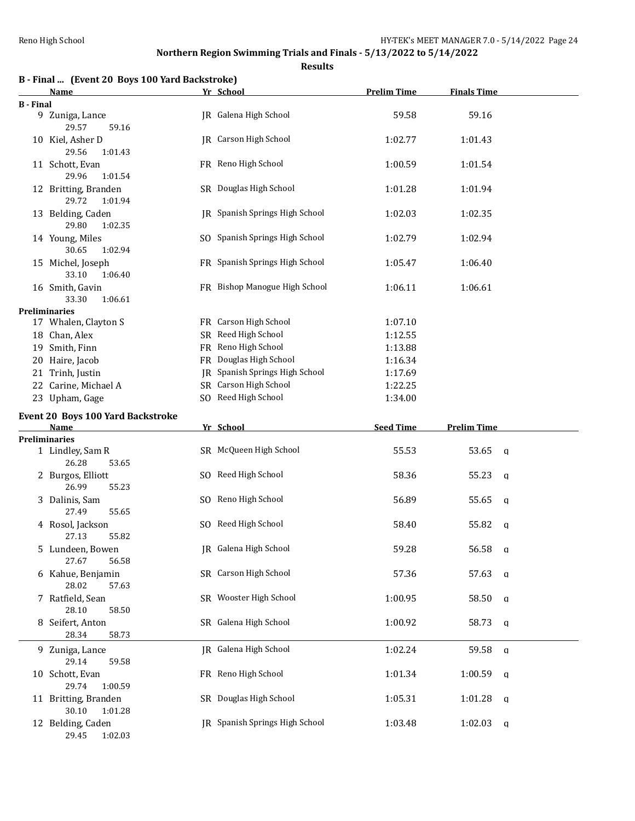| B - Final  (Event 20 Boys 100 Yard Backstroke) |  |  |  |  |
|------------------------------------------------|--|--|--|--|
|                                                |  |  |  |  |

|                  | Name                                                         | Yr School                             | <b>Prelim Time</b> | <b>Finals Time</b>   |  |
|------------------|--------------------------------------------------------------|---------------------------------------|--------------------|----------------------|--|
| <b>B</b> - Final |                                                              |                                       |                    |                      |  |
|                  | 9 Zuniga, Lance<br>29.57<br>59.16                            | JR Galena High School                 | 59.58              | 59.16                |  |
|                  | 10 Kiel, Asher D<br>29.56<br>1:01.43                         | <b>IR</b> Carson High School          | 1:02.77            | 1:01.43              |  |
|                  | 11 Schott, Evan<br>29.96<br>1:01.54                          | FR Reno High School                   | 1:00.59            | 1:01.54              |  |
|                  | 12 Britting, Branden<br>29.72<br>1:01.94                     | SR Douglas High School                | 1:01.28            | 1:01.94              |  |
|                  | 13 Belding, Caden<br>29.80<br>1:02.35                        | <b>IR</b> Spanish Springs High School | 1:02.03            | 1:02.35              |  |
|                  | 14 Young, Miles<br>30.65<br>1:02.94                          | SO Spanish Springs High School        | 1:02.79            | 1:02.94              |  |
|                  | 15 Michel, Joseph<br>33.10<br>1:06.40                        | FR Spanish Springs High School        | 1:05.47            | 1:06.40              |  |
|                  | 16 Smith, Gavin<br>33.30<br>1:06.61                          | FR Bishop Manogue High School         | 1:06.11            | 1:06.61              |  |
|                  | <b>Preliminaries</b>                                         |                                       |                    |                      |  |
|                  | 17 Whalen, Clayton S                                         | FR Carson High School                 | 1:07.10            |                      |  |
|                  |                                                              |                                       |                    |                      |  |
|                  | 18 Chan, Alex                                                | SR Reed High School                   | 1:12.55            |                      |  |
|                  | 19 Smith, Finn                                               | FR Reno High School                   | 1:13.88            |                      |  |
|                  | 20 Haire, Jacob                                              | FR Douglas High School                | 1:16.34            |                      |  |
|                  | 21 Trinh, Justin                                             | JR Spanish Springs High School        | 1:17.69            |                      |  |
|                  | 22 Carine, Michael A                                         | SR Carson High School                 | 1:22.25            |                      |  |
|                  | 23 Upham, Gage                                               | SO Reed High School                   | 1:34.00            |                      |  |
|                  |                                                              |                                       |                    |                      |  |
|                  | Event 20 Boys 100 Yard Backstroke                            |                                       |                    |                      |  |
|                  |                                                              |                                       |                    |                      |  |
|                  | Name                                                         | Yr School                             | <b>Seed Time</b>   | <b>Prelim Time</b>   |  |
|                  | <b>Preliminaries</b>                                         |                                       |                    |                      |  |
|                  | 1 Lindley, Sam R<br>26.28<br>53.65                           | SR McQueen High School                | 55.53              | 53.65<br>q           |  |
|                  | 2 Burgos, Elliott<br>26.99<br>55.23                          | SO Reed High School                   | 58.36              | 55.23<br>q           |  |
|                  | 3 Dalinis, Sam<br>27.49<br>55.65                             | SO Reno High School                   | 56.89              | 55.65<br>$\mathbf q$ |  |
|                  | 4 Rosol, Jackson<br>27.13<br>55.82                           | SO Reed High School                   | 58.40              | 55.82<br>a           |  |
|                  | 5 Lundeen, Bowen<br>27.67<br>56.58                           | JR Galena High School                 | 59.28              | 56.58<br>a           |  |
|                  | 6 Kahue, Benjamin<br>28.02<br>57.63                          | SR Carson High School                 | 57.36              | 57.63<br>q           |  |
|                  | 7 Ratfield, Sean<br>58.50                                    | SR Wooster High School                | 1:00.95            | 58.50<br>q           |  |
|                  | 28.10<br>8 Seifert, Anton                                    | SR Galena High School                 | 1:00.92            | 58.73<br>a           |  |
|                  | 28.34<br>58.73<br>9 Zuniga, Lance                            | JR Galena High School                 | 1:02.24            | 59.58<br>a           |  |
|                  | 29.14<br>59.58<br>10 Schott, Evan                            | FR Reno High School                   | 1:01.34            | 1:00.59<br>a         |  |
|                  | 29.74<br>1:00.59<br>11 Britting, Branden<br>30.10<br>1:01.28 | SR Douglas High School                | 1:05.31            | 1:01.28<br>q         |  |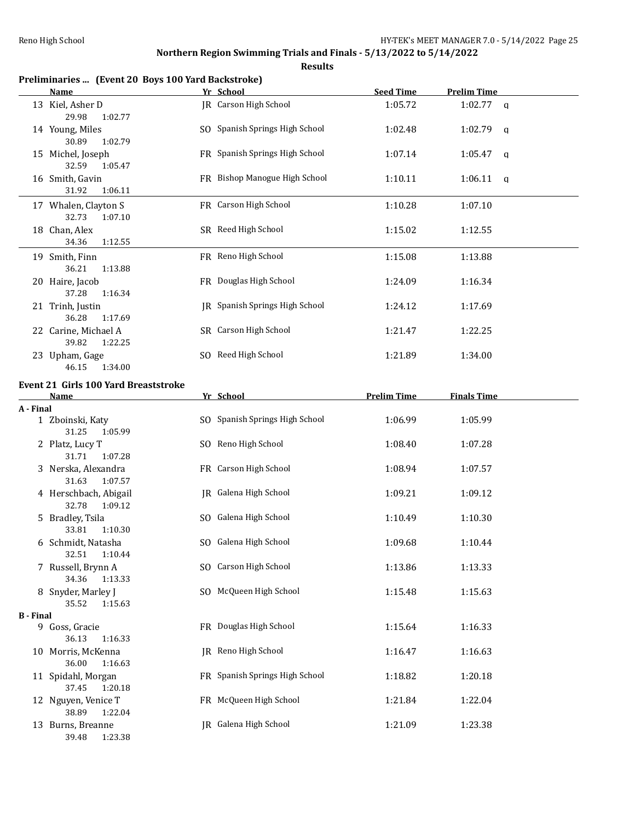|                  | Preliminaries  (Event 20 Boys 100 Yard Backstroke)       |                                |                    |                         |
|------------------|----------------------------------------------------------|--------------------------------|--------------------|-------------------------|
|                  | Name                                                     | Yr School                      | <b>Seed Time</b>   | <b>Prelim Time</b>      |
|                  | 13 Kiel, Asher D<br>29.98<br>1:02.77                     | JR Carson High School          | 1:05.72            | $1:02.77$ a             |
|                  | 14 Young, Miles<br>30.89<br>1:02.79                      | SO Spanish Springs High School | 1:02.48            | 1:02.79<br><b>a</b>     |
|                  | 15 Michel, Joseph<br>32.59<br>1:05.47                    | FR Spanish Springs High School | 1:07.14            | 1:05.47<br>$\mathsf{q}$ |
|                  | 16 Smith, Gavin<br>31.92<br>1:06.11                      | FR Bishop Manogue High School  | 1:10.11            | 1:06.11<br>$\mathsf{q}$ |
|                  | 17 Whalen, Clayton S<br>32.73<br>1:07.10                 | FR Carson High School          | 1:10.28            | 1:07.10                 |
|                  | 18 Chan, Alex<br>34.36<br>1:12.55                        | SR Reed High School            | 1:15.02            | 1:12.55                 |
|                  | 19 Smith, Finn<br>36.21<br>1:13.88                       | FR Reno High School            | 1:15.08            | 1:13.88                 |
|                  | 20 Haire, Jacob<br>37.28<br>1:16.34                      | FR Douglas High School         | 1:24.09            | 1:16.34                 |
|                  | 21 Trinh, Justin<br>36.28<br>1:17.69                     | JR Spanish Springs High School | 1:24.12            | 1:17.69                 |
|                  | 22 Carine, Michael A<br>39.82<br>1:22.25                 | SR Carson High School          | 1:21.47            | 1:22.25                 |
|                  | 23 Upham, Gage<br>46.15<br>1:34.00                       | SO Reed High School            | 1:21.89            | 1:34.00                 |
|                  | <b>Event 21 Girls 100 Yard Breaststroke</b>              |                                |                    |                         |
|                  | <b>Name</b>                                              | Yr School                      | <b>Prelim Time</b> | <b>Finals Time</b>      |
| A - Final        | 1 Zboinski, Katy                                         | SO Spanish Springs High School | 1:06.99            | 1:05.99                 |
|                  | 31.25<br>1:05.99<br>2 Platz, Lucy T                      | SO Reno High School            | 1:08.40            | 1:07.28                 |
|                  | 31.71<br>1:07.28<br>3 Nerska, Alexandra                  | FR Carson High School          | 1:08.94            | 1:07.57                 |
|                  | 31.63<br>1:07.57<br>4 Herschbach, Abigail                | JR Galena High School          | 1:09.21            | 1:09.12                 |
|                  | 32.78<br>1:09.12<br>5 Bradley, Tsila<br>33.81<br>1:10.30 | SO Galena High School          | 1:10.49            | 1:10.30                 |
|                  | 6 Schmidt, Natasha<br>32.51<br>1:10.44                   | SO Galena High School          | 1:09.68            | 1:10.44                 |
|                  | 7 Russell, Brynn A<br>34.36<br>1:13.33                   | SO Carson High School          | 1:13.86            | 1:13.33                 |
|                  | 8 Snyder, Marley J<br>35.52<br>1:15.63                   | SO McQueen High School         | 1:15.48            | 1:15.63                 |
| <b>B</b> - Final |                                                          |                                |                    |                         |
|                  | 9 Goss, Gracie<br>36.13<br>1:16.33                       | FR Douglas High School         | 1:15.64            | 1:16.33                 |
|                  | 10 Morris, McKenna<br>36.00<br>1:16.63                   | JR Reno High School            | 1:16.47            | 1:16.63                 |
|                  | 11 Spidahl, Morgan<br>37.45<br>1:20.18                   | FR Spanish Springs High School | 1:18.82            | 1:20.18                 |
|                  | 12 Nguyen, Venice T<br>38.89<br>1:22.04                  | FR McQueen High School         | 1:21.84            | 1:22.04                 |
|                  | 13 Burns, Breanne<br>1:23.38<br>39.48                    | JR Galena High School          | 1:21.09            | 1:23.38                 |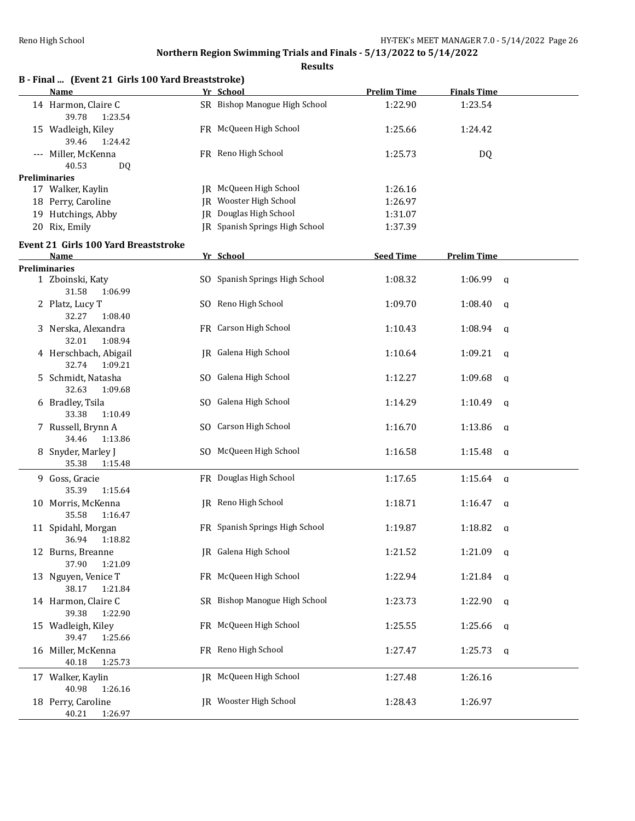| B - Final  (Event 21 Girls 100 Yard Breaststroke)<br>Name  | Yr School                      | <b>Prelim Time</b> | <b>Finals Time</b>      |
|------------------------------------------------------------|--------------------------------|--------------------|-------------------------|
| 14 Harmon, Claire C<br>39.78<br>1:23.54                    | SR Bishop Manogue High School  | 1:22.90            | 1:23.54                 |
| 15 Wadleigh, Kiley<br>39.46<br>1:24.42                     | FR McQueen High School         | 1:25.66            | 1:24.42                 |
| --- Miller, McKenna<br>40.53<br>DQ                         | FR Reno High School            | 1:25.73            | DQ                      |
| <b>Preliminaries</b>                                       |                                |                    |                         |
| 17 Walker, Kaylin                                          | JR McQueen High School         | 1:26.16            |                         |
| 18 Perry, Caroline                                         | JR Wooster High School         | 1:26.97            |                         |
| 19 Hutchings, Abby                                         | JR Douglas High School         | 1:31.07            |                         |
| 20 Rix, Emily                                              | JR Spanish Springs High School | 1:37.39            |                         |
| Event 21 Girls 100 Yard Breaststroke                       |                                |                    |                         |
| <b>Name</b>                                                | Yr School                      | <b>Seed Time</b>   | <b>Prelim Time</b>      |
| <b>Preliminaries</b>                                       |                                |                    |                         |
| 1 Zboinski, Katy<br>31.58<br>1:06.99                       | SO Spanish Springs High School | 1:08.32            | 1:06.99<br>q            |
| 2 Platz, Lucy T<br>32.27<br>1:08.40                        | SO Reno High School            | 1:09.70            | 1:08.40<br>q            |
| 3 Nerska, Alexandra<br>32.01<br>1:08.94                    | FR Carson High School          | 1:10.43            | 1:08.94<br>q            |
| 4 Herschbach, Abigail<br>32.74<br>1:09.21                  | JR Galena High School          | 1:10.64            | 1:09.21<br>a            |
| 5 Schmidt, Natasha<br>32.63<br>1:09.68                     | SO Galena High School          | 1:12.27            | 1:09.68<br>a            |
| 6 Bradley, Tsila<br>33.38<br>1:10.49                       | SO Galena High School          | 1:14.29            | 1:10.49<br>a            |
| 7 Russell, Brynn A<br>34.46<br>1:13.86                     | SO Carson High School          | 1:16.70            | 1:13.86<br>q            |
| 8 Snyder, Marley J<br>35.38<br>1:15.48                     | SO McQueen High School         | 1:16.58            | 1:15.48<br>a            |
| 9 Goss, Gracie<br>35.39<br>1:15.64                         | FR Douglas High School         | 1:17.65            | 1:15.64<br>$\mathsf{q}$ |
| 10 Morris, McKenna<br>35.58<br>1:16.47                     | JR Reno High School            | 1:18.71            | 1:16.47<br>a            |
| 11 Spidahl, Morgan<br>36.94<br>1:18.82                     | FR Spanish Springs High School | 1:19.87            | 1:18.82<br>a            |
| 12 Burns, Breanne<br>37.90<br>1:21.09                      | JR Galena High School          | 1:21.52            | $1:21.09$ q             |
| 13 Nguyen, Venice T<br>38.17<br>1:21.84                    | FR McQueen High School         | 1:22.94            | 1:21.84<br>q            |
| 14 Harmon, Claire C<br>39.38<br>1:22.90                    | SR Bishop Manogue High School  | 1:23.73            | 1:22.90<br>q            |
| 15 Wadleigh, Kiley<br>39.47<br>1:25.66                     | FR McQueen High School         | 1:25.55            | 1:25.66<br>a            |
| 16 Miller, McKenna<br>40.18<br>1:25.73                     | FR Reno High School            | 1:27.47            | 1:25.73<br>a            |
| 17 Walker, Kaylin                                          | JR McQueen High School         | 1:27.48            | 1:26.16                 |
| 40.98<br>1:26.16<br>18 Perry, Caroline<br>1:26.97<br>40.21 | JR Wooster High School         | 1:28.43            | 1:26.97                 |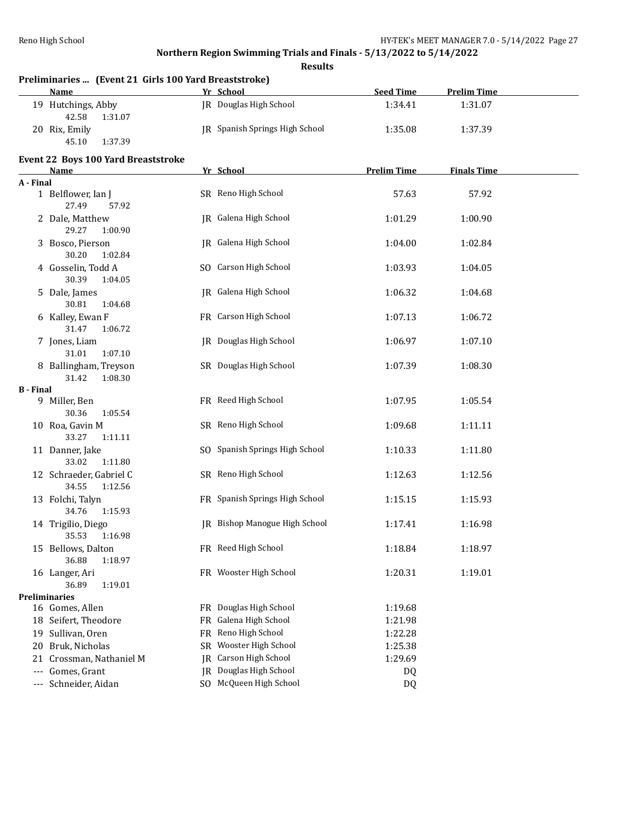|                  | Preliminaries  (Event 21 Girls 100 Yard Breaststroke)         |                                                       |       |  |  |  |  |  |
|------------------|---------------------------------------------------------------|-------------------------------------------------------|-------|--|--|--|--|--|
|                  | Name                                                          | Yr School<br><b>Seed Time</b><br><b>Prelim Time</b>   |       |  |  |  |  |  |
|                  | 19 Hutchings, Abby<br>42.58<br>1:31.07                        | JR Douglas High School<br>1:34.41<br>1:31.07          |       |  |  |  |  |  |
|                  | 20 Rix, Emily<br>45.10<br>1:37.39                             | JR Spanish Springs High School<br>1:35.08<br>1:37.39  |       |  |  |  |  |  |
|                  | <b>Event 22 Boys 100 Yard Breaststroke</b>                    |                                                       |       |  |  |  |  |  |
|                  | Name                                                          | Yr School<br><b>Prelim Time</b><br><b>Finals Time</b> |       |  |  |  |  |  |
| A - Final        |                                                               |                                                       |       |  |  |  |  |  |
|                  | 1 Belflower, Ian J<br>27.49<br>57.92                          | SR Reno High School<br>57.63                          | 57.92 |  |  |  |  |  |
|                  | 2 Dale, Matthew<br>29.27<br>1:00.90                           | JR Galena High School<br>1:01.29<br>1:00.90           |       |  |  |  |  |  |
|                  | 3 Bosco, Pierson<br>30.20<br>1:02.84                          | JR Galena High School<br>1:04.00<br>1:02.84           |       |  |  |  |  |  |
|                  | 4 Gosselin, Todd A<br>30.39<br>1:04.05                        | SO Carson High School<br>1:03.93<br>1:04.05           |       |  |  |  |  |  |
|                  | 5 Dale, James<br>30.81<br>1:04.68                             | JR Galena High School<br>1:06.32<br>1:04.68           |       |  |  |  |  |  |
|                  | 6 Kalley, Ewan F<br>31.47<br>1:06.72                          | FR Carson High School<br>1:07.13<br>1:06.72           |       |  |  |  |  |  |
|                  | 7 Jones, Liam                                                 | <b>IR</b> Douglas High School<br>1:06.97<br>1:07.10   |       |  |  |  |  |  |
|                  | 31.01<br>1:07.10<br>8 Ballingham, Treyson<br>1:08.30<br>31.42 | SR Douglas High School<br>1:07.39<br>1:08.30          |       |  |  |  |  |  |
| <b>B</b> - Final |                                                               |                                                       |       |  |  |  |  |  |
|                  | 9 Miller, Ben<br>30.36<br>1:05.54                             | FR Reed High School<br>1:07.95<br>1:05.54             |       |  |  |  |  |  |
|                  | 10 Roa, Gavin M<br>33.27<br>1:11.11                           | SR Reno High School<br>1:09.68<br>1:11.11             |       |  |  |  |  |  |
|                  | 11 Danner, Jake<br>33.02<br>1:11.80                           | SO Spanish Springs High School<br>1:10.33<br>1:11.80  |       |  |  |  |  |  |
|                  | 12 Schraeder, Gabriel C<br>34.55<br>1:12.56                   | SR Reno High School<br>1:12.63<br>1:12.56             |       |  |  |  |  |  |
|                  | 13 Folchi, Talyn<br>34.76<br>1:15.93                          | FR Spanish Springs High School<br>1:15.15<br>1:15.93  |       |  |  |  |  |  |
|                  | 14 Trigilio, Diego                                            | JR Bishop Manogue High School<br>1:17.41<br>1:16.98   |       |  |  |  |  |  |
|                  | 35.53 1:16.98<br>15 Bellows, Dalton                           | FR Reed High School<br>1:18.84<br>1:18.97             |       |  |  |  |  |  |
|                  | 36.88<br>1:18.97<br>16 Langer, Ari                            | FR Wooster High School<br>1:20.31<br>1:19.01          |       |  |  |  |  |  |
|                  | 36.89<br>1:19.01                                              |                                                       |       |  |  |  |  |  |
|                  | <b>Preliminaries</b><br>16 Gomes, Allen                       | FR Douglas High School<br>1:19.68                     |       |  |  |  |  |  |
|                  | 18 Seifert, Theodore                                          | FR Galena High School<br>1:21.98                      |       |  |  |  |  |  |
|                  | 19 Sullivan, Oren                                             | FR Reno High School<br>1:22.28                        |       |  |  |  |  |  |
| 20               | Bruk, Nicholas                                                | SR Wooster High School<br>1:25.38                     |       |  |  |  |  |  |
| 21               | Crossman, Nathaniel M                                         | Carson High School<br>1:29.69<br>IR                   |       |  |  |  |  |  |
|                  | Gomes, Grant                                                  | JR Douglas High School<br>DQ                          |       |  |  |  |  |  |
| ---              | Schneider, Aidan                                              | SO McQueen High School<br>DQ                          |       |  |  |  |  |  |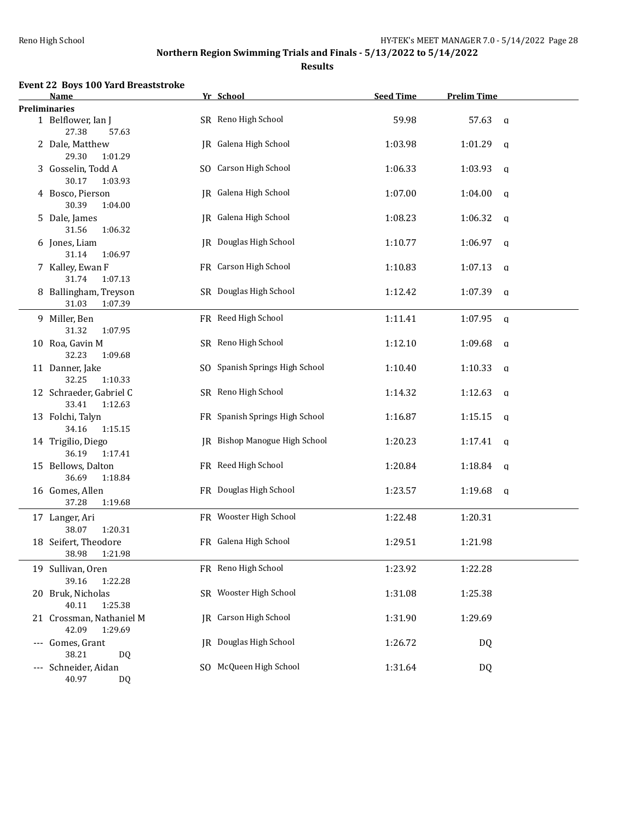**Results**

## **Event 22 Boys 100 Yard Breaststroke**

|               | Name                                                          | Yr School                      | <b>Seed Time</b> | <b>Prelim Time</b>     |
|---------------|---------------------------------------------------------------|--------------------------------|------------------|------------------------|
| Preliminaries |                                                               |                                |                  |                        |
|               | 1 Belflower, Ian J<br>27.38<br>57.63                          | SR Reno High School            | 59.98            | 57.63<br>$\mathsf{q}$  |
|               | 2 Dale, Matthew<br>29.30<br>1:01.29                           | JR Galena High School          | 1:03.98          | 1:01.29<br>$\mathbf q$ |
|               | 3 Gosselin, Todd A<br>30.17<br>1:03.93                        | SO Carson High School          | 1:06.33          | 1:03.93<br>$\mathbf q$ |
|               | 4 Bosco, Pierson<br>30.39<br>1:04.00                          | JR Galena High School          | 1:07.00          | 1:04.00<br>q           |
|               | 5 Dale, James                                                 | JR Galena High School          | 1:08.23          | 1:06.32<br>a           |
|               | 31.56<br>1:06.32<br>6 Jones, Liam                             | <b>JR</b> Douglas High School  | 1:10.77          | 1:06.97<br>a           |
|               | 31.14<br>1:06.97<br>7 Kalley, Ewan F                          | FR Carson High School          | 1:10.83          | 1:07.13<br>$\mathbf q$ |
|               | 31.74<br>1:07.13<br>8 Ballingham, Treyson<br>31.03<br>1:07.39 | SR Douglas High School         | 1:12.42          | 1:07.39<br>q           |
|               | 9 Miller, Ben<br>31.32<br>1:07.95                             | FR Reed High School            | 1:11.41          | 1:07.95<br>q           |
|               | 10 Roa, Gavin M<br>32.23<br>1:09.68                           | SR Reno High School            | 1:12.10          | 1:09.68<br>a           |
|               | 11 Danner, Jake<br>32.25<br>1:10.33                           | SO Spanish Springs High School | 1:10.40          | 1:10.33<br>$\mathbf q$ |
|               | 12 Schraeder, Gabriel C<br>33.41<br>1:12.63                   | SR Reno High School            | 1:14.32          | 1:12.63<br>$\mathbf q$ |
|               | 13 Folchi, Talyn<br>34.16<br>1:15.15                          | FR Spanish Springs High School | 1:16.87          | 1:15.15<br>q           |
|               | 14 Trigilio, Diego<br>36.19<br>1:17.41                        | JR Bishop Manogue High School  | 1:20.23          | 1:17.41<br>q           |
|               | 15 Bellows, Dalton<br>36.69<br>1:18.84                        | FR Reed High School            | 1:20.84          | 1:18.84<br>a           |
|               | 16 Gomes, Allen<br>37.28<br>1:19.68                           | FR Douglas High School         | 1:23.57          | 1:19.68<br>a           |
|               | 17 Langer, Ari<br>38.07<br>1:20.31                            | FR Wooster High School         | 1:22.48          | 1:20.31                |
|               | 18 Seifert, Theodore<br>38.98 1:21.98                         | FR Galena High School          | 1:29.51          | 1:21.98                |
|               | 19 Sullivan, Oren<br>39.16<br>1:22.28                         | FR Reno High School            | 1:23.92          | 1:22.28                |
|               | 20 Bruk, Nicholas<br>40.11<br>1:25.38                         | SR Wooster High School         | 1:31.08          | 1:25.38                |
|               | 21 Crossman, Nathaniel M<br>42.09<br>1:29.69                  | <b>IR</b> Carson High School   | 1:31.90          | 1:29.69                |
|               | --- Gomes, Grant<br>38.21<br>DQ                               | <b>JR</b> Douglas High School  | 1:26.72          | DQ                     |
|               | --- Schneider, Aidan<br>40.97<br>DQ                           | SO McQueen High School         | 1:31.64          | <b>DQ</b>              |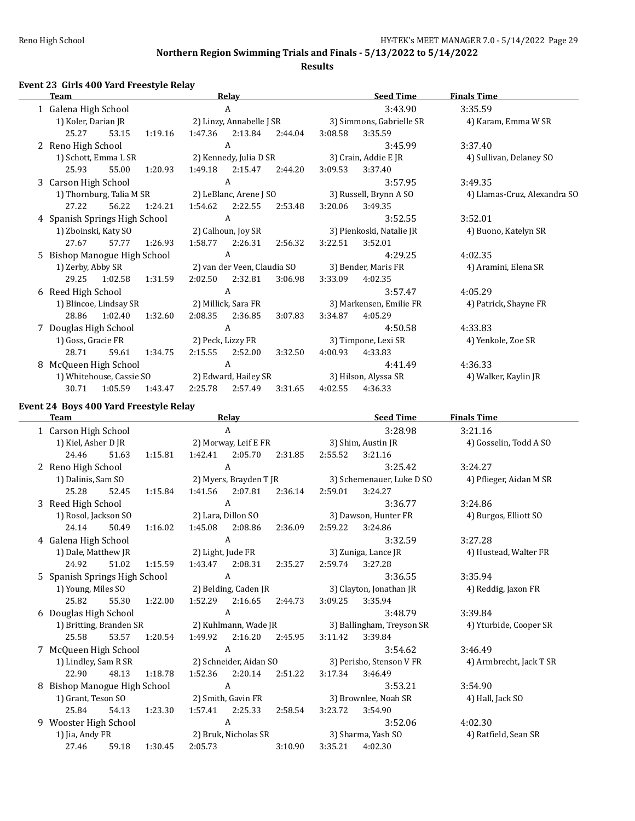**Results**

## **Event 23 Girls 400 Yard Freestyle Relay**

|    | <b>Team</b>                   |                          |         |         | Relay                       |         |                          | <b>Seed Time</b>         | <b>Finals Time</b>           |
|----|-------------------------------|--------------------------|---------|---------|-----------------------------|---------|--------------------------|--------------------------|------------------------------|
|    | 1 Galena High School          |                          |         |         | A                           |         |                          | 3:43.90                  | 3:35.59                      |
|    | 1) Koler, Darian JR           |                          |         |         | 2) Linzy, Annabelle J SR    |         |                          | 3) Simmons, Gabrielle SR | 4) Karam, Emma W SR          |
|    | 25.27                         | 53.15                    | 1:19.16 | 1:47.36 | 2:13.84                     | 2:44.04 | 3:08.58                  | 3:35.59                  |                              |
|    | 2 Reno High School            |                          |         |         | A                           |         |                          | 3:45.99                  | 3:37.40                      |
|    |                               | 1) Schott, Emma L SR     |         |         | 2) Kennedy, Julia D SR      |         |                          | 3) Crain, Addie E JR     | 4) Sullivan, Delaney SO      |
|    | 25.93                         | 55.00                    | 1:20.93 | 1:49.18 | 2:15.47                     | 2:44.20 | 3:09.53                  | 3:37.40                  |                              |
|    | 3 Carson High School          |                          |         |         | A                           |         |                          | 3:57.95                  | 3:49.35                      |
|    |                               | 1) Thornburg, Talia M SR |         |         | 2) LeBlanc, Arene J SO      |         |                          | 3) Russell, Brynn A SO   | 4) Llamas-Cruz, Alexandra SO |
|    | 27.22                         | 56.22                    | 1:24.21 | 1:54.62 | 2:22.55                     | 2:53.48 | 3:20.06                  | 3:49.35                  |                              |
|    | 4 Spanish Springs High School |                          |         |         | A                           |         |                          | 3:52.55                  | 3:52.01                      |
|    | 1) Zboinski, Katy SO          |                          |         |         | 2) Calhoun, Joy SR          |         | 3) Pienkoski, Natalie JR |                          | 4) Buono, Katelyn SR         |
|    | 27.67                         | 57.77                    | 1:26.93 | 1:58.77 | 2:26.31                     | 2:56.32 | 3:22.51                  | 3:52.01                  |                              |
| 5. | Bishop Manogue High School    |                          |         |         | A                           |         |                          | 4:29.25                  | 4:02.35                      |
|    | 1) Zerby, Abby SR             |                          |         |         | 2) van der Veen, Claudia SO |         |                          | 3) Bender, Maris FR      | 4) Aramini, Elena SR         |
|    | 29.25                         | 1:02.58                  | 1:31.59 | 2:02.50 | 2:32.81                     | 3:06.98 | 3:33.09                  | 4:02.35                  |                              |
|    | 6 Reed High School            |                          |         |         | A                           |         |                          | 3:57.47                  | 4:05.29                      |
|    |                               | 1) Blincoe, Lindsay SR   |         |         | 2) Millick, Sara FR         |         |                          | 3) Markensen, Emilie FR  | 4) Patrick, Shayne FR        |
|    | 28.86                         | 1:02.40                  | 1:32.60 | 2:08.35 | 2:36.85                     | 3:07.83 | 3:34.87                  | 4:05.29                  |                              |
|    | 7 Douglas High School         |                          |         |         | A                           |         |                          | 4:50.58                  | 4:33.83                      |
|    | 1) Goss, Gracie FR            |                          |         |         | 2) Peck, Lizzy FR           |         |                          | 3) Timpone, Lexi SR      | 4) Yenkole, Zoe SR           |
|    | 28.71                         | 59.61                    | 1:34.75 |         | 2:15.55 2:52.00             | 3:32.50 | 4:00.93                  | 4:33.83                  |                              |
| 8  | McQueen High School           |                          |         |         | A                           |         |                          | 4:41.49                  | 4:36.33                      |
|    |                               | 1) Whitehouse, Cassie SO |         |         | 2) Edward, Hailey SR        |         |                          | 3) Hilson, Alyssa SR     | 4) Walker, Kaylin JR         |
|    | 30.71                         | 1:05.59                  | 1:43.47 | 2:25.78 | 2:57.49                     | 3:31.65 | 4:02.55                  | 4:36.33                  |                              |
|    |                               |                          |         |         |                             |         |                          |                          |                              |

## **Event 24 Boys 400 Yard Freestyle Relay**

 $\overline{\phantom{a}}$ 

|   | Team                              |       |         |         | Relay                     |         |         | <b>Seed Time</b>          | <b>Finals Time</b>      |
|---|-----------------------------------|-------|---------|---------|---------------------------|---------|---------|---------------------------|-------------------------|
|   | 1 Carson High School              |       |         |         | A                         |         |         | 3:28.98                   | 3:21.16                 |
|   | 1) Kiel, Asher D JR               |       |         |         | 2) Morway, Leif E FR      |         |         | 3) Shim, Austin JR        | 4) Gosselin, Todd A SO  |
|   | 24.46                             | 51.63 | 1:15.81 | 1:42.41 | 2:05.70                   | 2:31.85 | 2:55.52 | 3:21.16                   |                         |
|   | 2 Reno High School                |       |         |         | $\mathbf{A}$              |         |         | 3:25.42                   | 3:24.27                 |
|   | 1) Dalinis, Sam SO                |       |         |         | 2) Myers, Brayden T JR    |         |         | 3) Schemenauer, Luke D SO | 4) Pflieger, Aidan M SR |
|   | 25.28                             | 52.45 | 1:15.84 | 1:41.56 | 2:07.81                   | 2:36.14 | 2:59.01 | 3:24.27                   |                         |
|   | 3 Reed High School                |       |         |         | $\mathbf{A}$              |         |         | 3:36.77                   | 3:24.86                 |
|   | 1) Rosol, Jackson SO              |       |         |         | 2) Lara, Dillon SO        |         |         | 3) Dawson, Hunter FR      | 4) Burgos, Elliott SO   |
|   | 24.14                             | 50.49 | 1:16.02 |         | 1:45.08 2:08.86           | 2:36.09 | 2:59.22 | 3:24.86                   |                         |
|   | 4 Galena High School              |       |         |         | $\mathbf{A}$              |         |         | 3:32.59                   | 3:27.28                 |
|   | 1) Dale, Matthew JR               |       |         |         | 2) Light, Jude FR         |         |         | 3) Zuniga, Lance JR       | 4) Hustead, Walter FR   |
|   | 24.92                             | 51.02 | 1:15.59 |         | 1:43.47 2:08.31           | 2:35.27 | 2:59.74 | 3:27.28                   |                         |
|   | 5 Spanish Springs High School     |       |         |         | $\boldsymbol{A}$          |         |         | 3:36.55                   | 3:35.94                 |
|   | 1) Young, Miles SO                |       |         |         | 2) Belding, Caden JR      |         |         | 3) Clayton, Jonathan JR   | 4) Reddig, Jaxon FR     |
|   | 25.82                             | 55.30 |         |         | 1:22.00  1:52.29  2:16.65 | 2:44.73 | 3:09.25 | 3:35.94                   |                         |
|   | 6 Douglas High School             |       |         |         | A                         |         |         | 3:48.79                   | 3:39.84                 |
|   | 1) Britting, Branden SR           |       |         |         | 2) Kuhlmann, Wade JR      |         |         | 3) Ballingham, Treyson SR | 4) Yturbide, Cooper SR  |
|   | 25.58                             | 53.57 | 1:20.54 |         | 1:49.92 2:16.20 2:45.95   |         | 3:11.42 | 3:39.84                   |                         |
|   | 7 McQueen High School             |       |         |         | $\mathbf{A}$              |         |         | 3:54.62                   | 3:46.49                 |
|   | 1) Lindley, Sam R SR              |       |         |         | 2) Schneider, Aidan SO    |         |         | 3) Perisho, Stenson V FR  | 4) Armbrecht, Jack T SR |
|   | 22.90                             | 48.13 | 1:18.78 |         | 1:52.36 2:20.14           | 2:51.22 | 3:17.34 | 3:46.49                   |                         |
| 8 | <b>Bishop Manogue High School</b> |       |         |         | A                         |         |         | 3:53.21                   | 3:54.90                 |
|   | 1) Grant, Teson SO                |       |         |         | 2) Smith, Gavin FR        |         |         | 3) Brownlee, Noah SR      | 4) Hall, Jack SO        |
|   | 25.84                             | 54.13 | 1:23.30 |         | 1:57.41 2:25.33           | 2:58.54 | 3:23.72 | 3:54.90                   |                         |
|   | 9 Wooster High School             |       |         |         | A                         |         |         | 3:52.06                   | 4:02.30                 |
|   | 1) Jia, Andy FR                   |       |         |         | 2) Bruk, Nicholas SR      |         |         | 3) Sharma, Yash SO        | 4) Ratfield, Sean SR    |
|   | 27.46                             | 59.18 | 1:30.45 | 2:05.73 |                           | 3:10.90 | 3:35.21 | 4:02.30                   |                         |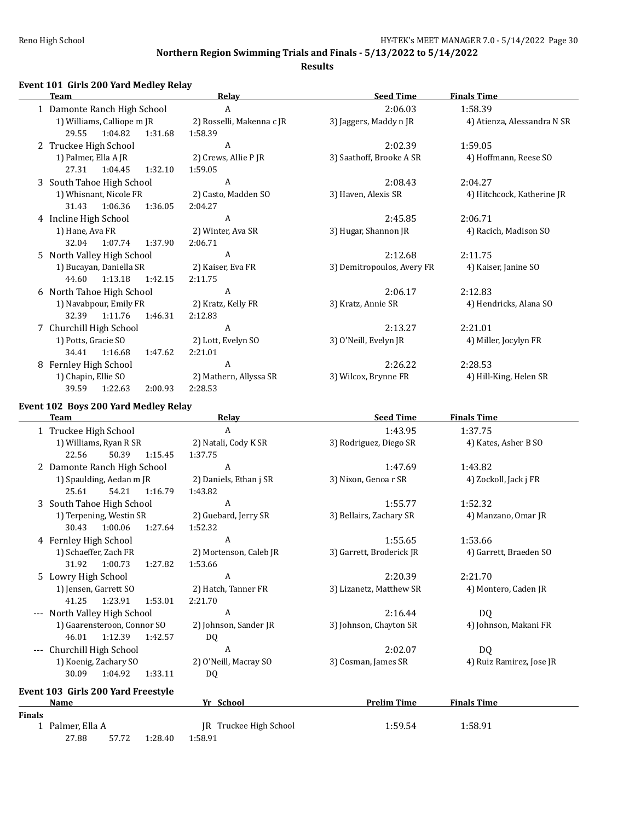$\overline{\phantom{0}}$ 

## **Northern Region Swimming Trials and Finals - 5/13/2022 to 5/14/2022**

### **Results**

## **Event 101 Girls 200 Yard Medley Relay**

|   | <b>Team</b>                 | Relay                     | <b>Seed Time</b>           | <b>Finals Time</b>          |
|---|-----------------------------|---------------------------|----------------------------|-----------------------------|
|   | 1 Damonte Ranch High School | A                         | 2:06.03                    | 1:58.39                     |
|   | 1) Williams, Calliope m JR  | 2) Rosselli, Makenna c JR | 3) Jaggers, Maddy n JR     | 4) Atienza, Alessandra N SR |
|   | 29.55<br>1:04.82<br>1:31.68 | 1:58.39                   |                            |                             |
|   | 2 Truckee High School       | A                         | 2:02.39                    | 1:59.05                     |
|   | 1) Palmer, Ella A JR        | 2) Crews, Allie P JR      | 3) Saathoff, Brooke A SR   | 4) Hoffmann, Reese SO       |
|   | 27.31<br>1:32.10<br>1:04.45 | 1:59.05                   |                            |                             |
|   | 3 South Tahoe High School   | A                         | 2:08.43                    | 2:04.27                     |
|   | 1) Whisnant, Nicole FR      | 2) Casto, Madden SO       | 3) Haven, Alexis SR        | 4) Hitchcock, Katherine JR  |
|   | 31.43<br>1:06.36<br>1:36.05 | 2:04.27                   |                            |                             |
|   | 4 Incline High School       | A                         | 2:45.85                    | 2:06.71                     |
|   | 1) Hane, Ava FR             | 2) Winter, Ava SR         | 3) Hugar, Shannon JR       | 4) Racich, Madison SO       |
|   | 1:07.74<br>1:37.90<br>32.04 | 2:06.71                   |                            |                             |
|   | 5 North Valley High School  | A                         | 2:12.68                    | 2:11.75                     |
|   | 1) Bucayan, Daniella SR     | 2) Kaiser, Eva FR         | 3) Demitropoulos, Avery FR | 4) Kaiser, Janine SO        |
|   | 1:13.18<br>1:42.15<br>44.60 | 2:11.75                   |                            |                             |
|   | 6 North Tahoe High School   | A                         | 2:06.17                    | 2:12.83                     |
|   | 1) Navabpour, Emily FR      | 2) Kratz, Kelly FR        | 3) Kratz, Annie SR         | 4) Hendricks, Alana SO      |
|   | 32.39<br>1:11.76<br>1:46.31 | 2:12.83                   |                            |                             |
|   | 7 Churchill High School     | A                         | 2:13.27                    | 2:21.01                     |
|   | 1) Potts, Gracie SO         | 2) Lott, Evelyn SO        | 3) O'Neill, Evelyn JR      | 4) Miller, Jocylyn FR       |
|   | 34.41<br>1:16.68<br>1:47.62 | 2:21.01                   |                            |                             |
| 8 | Fernley High School         | A                         | 2:26.22                    | 2:28.53                     |
|   | 1) Chapin, Ellie SO         | 2) Mathern, Allyssa SR    | 3) Wilcox, Brynne FR       | 4) Hill-King, Helen SR      |
|   | 2:00.93<br>39.59<br>1:22.63 | 2:28.53                   |                            |                             |

## **Event 102 Boys 200 Yard Medley Relay**

| <b>Team</b>                        | Relay                  | <b>Seed Time</b>         | <b>Finals Time</b>       |
|------------------------------------|------------------------|--------------------------|--------------------------|
| 1 Truckee High School              | A                      | 1:43.95                  | 1:37.75                  |
| 1) Williams, Ryan R SR             | 2) Natali, Cody K SR   | 3) Rodriguez, Diego SR   | 4) Kates, Asher B SO     |
| 22.56<br>50.39<br>1:15.45          | 1:37.75                |                          |                          |
| 2 Damonte Ranch High School        | A                      | 1:47.69                  | 1:43.82                  |
| 1) Spaulding, Aedan m JR           | 2) Daniels, Ethan j SR | 3) Nixon, Genoa r SR     | 4) Zockoll, Jack j FR    |
| 25.61<br>54.21<br>1:16.79          | 1:43.82                |                          |                          |
| 3 South Tahoe High School          | A                      | 1:55.77                  | 1:52.32                  |
| 1) Terpening, Westin SR            | 2) Guebard, Jerry SR   | 3) Bellairs, Zachary SR  | 4) Manzano, Omar JR      |
| 1:00.06<br>1:27.64<br>30.43        | 1:52.32                |                          |                          |
| 4 Fernley High School              | A                      | 1:55.65                  | 1:53.66                  |
| 1) Schaeffer, Zach FR              | 2) Mortenson, Caleb JR | 3) Garrett, Broderick JR | 4) Garrett, Braeden SO   |
| 31.92<br>1:00.73<br>1:27.82        | 1:53.66                |                          |                          |
| 5 Lowry High School                | A                      | 2:20.39                  | 2:21.70                  |
| 1) Jensen, Garrett SO              | 2) Hatch, Tanner FR    | 3) Lizanetz, Matthew SR  | 4) Montero, Caden JR     |
| 41.25<br>1:23.91<br>1:53.01        | 2:21.70                |                          |                          |
| --- North Valley High School       | A                      | 2:16.44                  | DQ                       |
| 1) Gaarensteroon, Connor SO        | 2) Johnson, Sander JR  | 3) Johnson, Chayton SR   | 4) Johnson, Makani FR    |
| 46.01<br>1:12.39<br>1:42.57        | DQ                     |                          |                          |
| Churchill High School<br>$---$     | A                      | 2:02.07                  | DQ                       |
| 1) Koenig, Zachary SO              | 2) O'Neill, Macray SO  | 3) Cosman, James SR      | 4) Ruiz Ramirez, Jose JR |
| 30.09<br>1:04.92<br>1:33.11        | DQ                     |                          |                          |
| Event 103 Girls 200 Yard Freestyle |                        |                          |                          |
| Name                               | Yr School              | <b>Prelim Time</b>       | <b>Finals Time</b>       |
| <b>Finals</b>                      |                        |                          |                          |
| 1 Palmer, Ella A                   | JR Truckee High School | 1:59.54                  | 1:58.91                  |

27.88 57.72 1:28.40 1:58.91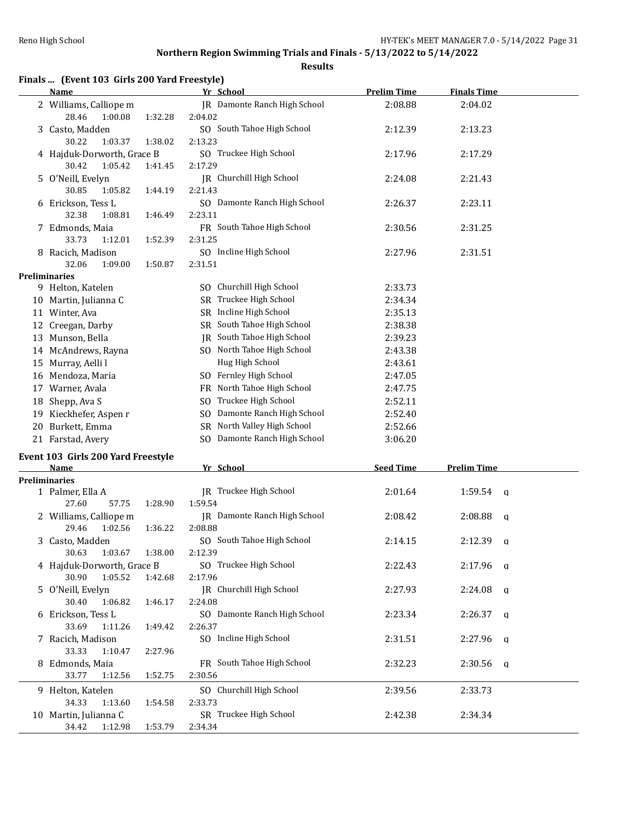**Results**

|  |  | Finals  (Event 103 Girls 200 Yard Freestyle) |
|--|--|----------------------------------------------|
|--|--|----------------------------------------------|

|    | <b>Name</b>                |         | Yr School                        | <b>Prelim Time</b> | <b>Finals Time</b> |  |
|----|----------------------------|---------|----------------------------------|--------------------|--------------------|--|
|    | 2 Williams, Calliope m     |         | JR Damonte Ranch High School     | 2:08.88            | 2:04.02            |  |
|    | 28.46<br>1:00.08           | 1:32.28 | 2:04.02                          |                    |                    |  |
|    | 3 Casto, Madden            |         | SO South Tahoe High School       | 2:12.39            | 2:13.23            |  |
|    | 30.22<br>1:03.37           | 1:38.02 | 2:13.23                          |                    |                    |  |
|    | 4 Hajduk-Dorworth, Grace B |         | SO Truckee High School           | 2:17.96            | 2:17.29            |  |
|    | 30.42<br>1:05.42           | 1:41.45 | 2:17.29                          |                    |                    |  |
|    | 5 O'Neill, Evelyn          |         | JR Churchill High School         | 2:24.08            | 2:21.43            |  |
|    | 30.85<br>1:05.82           | 1:44.19 | 2:21.43                          |                    |                    |  |
| 6  | Erickson, Tess L           |         | SO Damonte Ranch High School     | 2:26.37            | 2:23.11            |  |
|    | 32.38<br>1:08.81           | 1:46.49 | 2:23.11                          |                    |                    |  |
|    | 7 Edmonds, Maia            |         | FR South Tahoe High School       | 2:30.56            | 2:31.25            |  |
|    | 33.73<br>1:12.01           | 1:52.39 | 2:31.25                          |                    |                    |  |
| 8  | Racich, Madison            |         | SO Incline High School           | 2:27.96            | 2:31.51            |  |
|    | 32.06<br>1:09.00           | 1:50.87 | 2:31.51                          |                    |                    |  |
|    | Preliminaries              |         |                                  |                    |                    |  |
|    | 9 Helton, Katelen          |         | SO Churchill High School         | 2:33.73            |                    |  |
| 10 | Martin, Julianna C         |         | Truckee High School<br>SR        | 2:34.34            |                    |  |
|    | 11 Winter, Ava             |         | SR Incline High School           | 2:35.13            |                    |  |
| 12 | Creegan, Darby             |         | SR South Tahoe High School       | 2:38.38            |                    |  |
| 13 | Munson, Bella              |         | South Tahoe High School<br>IR    | 2:39.23            |                    |  |
|    | 14 McAndrews, Rayna        |         | SO North Tahoe High School       | 2:43.38            |                    |  |
| 15 | Murray, Aelli l            |         | Hug High School                  | 2:43.61            |                    |  |
| 16 | Mendoza, Maria             |         | Fernley High School<br>SO.       | 2:47.05            |                    |  |
| 17 | Warner, Avala              |         | North Tahoe High School<br>FR    | 2:47.75            |                    |  |
| 18 | Shepp, Ava S               |         | Truckee High School<br>SO.       | 2:52.11            |                    |  |
| 19 | Kieckhefer, Aspen r        |         | Damonte Ranch High School<br>SO. | 2:52.40            |                    |  |
| 20 | Burkett, Emma              |         | North Valley High School<br>SR   | 2:52.66            |                    |  |
|    | 21 Farstad, Avery          |         | SO Damonte Ranch High School     | 3:06.20            |                    |  |

# **Event 103 Girls 200 Yard Freestyle**

|     | <b>Name</b>                |         |         | Yr School                    | <b>Seed Time</b> | <b>Prelim Time</b> |          |
|-----|----------------------------|---------|---------|------------------------------|------------------|--------------------|----------|
|     | <b>Preliminaries</b>       |         |         |                              |                  |                    |          |
|     | 1 Palmer, Ella A           |         |         | IR Truckee High School       | 2:01.64          | $1:59.54$ q        |          |
|     | 27.60                      | 57.75   | 1:28.90 | 1:59.54                      |                  |                    |          |
|     | 2 Williams, Calliope m     |         |         | IR Damonte Ranch High School | 2:08.42          | 2:08.88            | <b>a</b> |
|     | 29.46                      | 1:02.56 | 1:36.22 | 2:08.88                      |                  |                    |          |
|     | 3 Casto, Madden            |         |         | SO South Tahoe High School   | 2:14.15          | $2:12.39$ q        |          |
|     | 30.63                      | 1:03.67 | 1:38.00 | 2:12.39                      |                  |                    |          |
|     | 4 Hajduk-Dorworth, Grace B |         |         | SO Truckee High School       | 2:22.43          | $2:17.96$ a        |          |
|     | 30.90                      | 1:05.52 | 1:42.68 | 2:17.96                      |                  |                    |          |
|     | 5 O'Neill, Evelyn          |         |         | IR Churchill High School     | 2:27.93          | $2:24.08$ a        |          |
|     | 30.40                      | 1:06.82 | 1:46.17 | 2:24.08                      |                  |                    |          |
|     | 6 Erickson, Tess L         |         |         | SO Damonte Ranch High School | 2:23.34          | 2:26.37            | $\alpha$ |
|     | 33.69                      | 1:11.26 | 1:49.42 | 2:26.37                      |                  |                    |          |
|     | 7 Racich, Madison          |         |         | SO Incline High School       | 2:31.51          | $2:27.96$ a        |          |
|     | 33.33                      | 1:10.47 | 2:27.96 |                              |                  |                    |          |
|     | 8 Edmonds, Maia            |         |         | FR South Tahoe High School   | 2:32.23          | $2:30.56$ q        |          |
|     | 33.77                      | 1:12.56 | 1:52.75 | 2:30.56                      |                  |                    |          |
|     | 9 Helton, Katelen          |         |         | SO Churchill High School     | 2:39.56          | 2:33.73            |          |
|     | 34.33                      | 1:13.60 | 1:54.58 | 2:33.73                      |                  |                    |          |
| 10. | Martin, Julianna C         |         |         | SR Truckee High School       | 2:42.38          | 2:34.34            |          |
|     | 34.42                      | 1:12.98 | 1:53.79 | 2:34.34                      |                  |                    |          |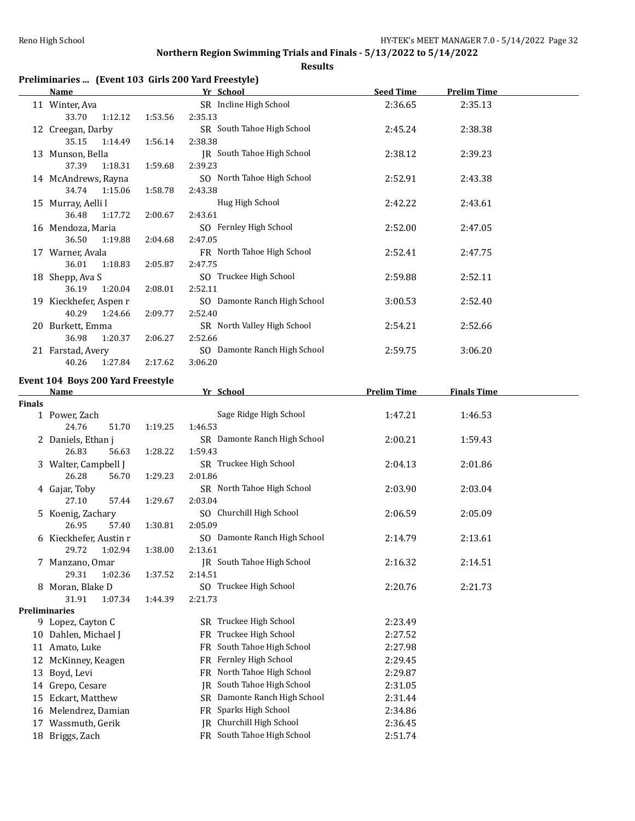### **Results**

## **Preliminaries ... (Event 103 Girls 200 Yard Freestyle)**

|    | <u>Name</u>            |         | Yr School                    | <b>Seed Time</b> | <b>Prelim Time</b> |  |
|----|------------------------|---------|------------------------------|------------------|--------------------|--|
|    | 11 Winter, Ava         |         | SR Incline High School       | 2:36.65          | 2:35.13            |  |
|    | 33.70<br>1:12.12       | 1:53.56 | 2:35.13                      |                  |                    |  |
|    | 12 Creegan, Darby      |         | SR South Tahoe High School   | 2:45.24          | 2:38.38            |  |
|    | 35.15<br>1:14.49       | 1:56.14 | 2:38.38                      |                  |                    |  |
|    | 13 Munson, Bella       |         | JR South Tahoe High School   | 2:38.12          | 2:39.23            |  |
|    | 1:18.31<br>37.39       | 1:59.68 | 2:39.23                      |                  |                    |  |
|    | 14 McAndrews, Rayna    |         | SO North Tahoe High School   | 2:52.91          | 2:43.38            |  |
|    | 34.74 1:15.06          | 1:58.78 | 2:43.38                      |                  |                    |  |
|    | 15 Murray, Aelli l     |         | Hug High School              | 2:42.22          | 2:43.61            |  |
|    | 1:17.72<br>36.48       | 2:00.67 | 2:43.61                      |                  |                    |  |
|    | 16 Mendoza, Maria      |         | SO Fernley High School       | 2:52.00          | 2:47.05            |  |
|    | 36.50<br>1:19.88       | 2:04.68 | 2:47.05                      |                  |                    |  |
| 17 | Warner, Avala          |         | FR North Tahoe High School   | 2:52.41          | 2:47.75            |  |
|    | 1:18.83<br>36.01       | 2:05.87 | 2:47.75                      |                  |                    |  |
|    | 18 Shepp, Ava S        |         | SO Truckee High School       | 2:59.88          | 2:52.11            |  |
|    | 36.19<br>1:20.04       | 2:08.01 | 2:52.11                      |                  |                    |  |
|    | 19 Kieckhefer, Aspen r |         | SO Damonte Ranch High School | 3:00.53          | 2:52.40            |  |
|    | 40.29<br>1:24.66       | 2:09.77 | 2:52.40                      |                  |                    |  |
| 20 | Burkett, Emma          |         | SR North Valley High School  | 2:54.21          | 2:52.66            |  |
|    | 36.98<br>1:20.37       | 2:06.27 | 2:52.66                      |                  |                    |  |
|    | 21 Farstad, Avery      |         | SO Damonte Ranch High School | 2:59.75          | 3:06.20            |  |
|    | 40.26<br>1:27.84       | 2:17.62 | 3:06.20                      |                  |                    |  |

### **Event 104 Boys 200 Yard Freestyle**

|               | Name                   |                    |         | Yr School                       | <b>Prelim Time</b> | <b>Finals Time</b> |  |
|---------------|------------------------|--------------------|---------|---------------------------------|--------------------|--------------------|--|
| <b>Finals</b> |                        |                    |         |                                 |                    |                    |  |
|               | 1 Power, Zach          |                    |         | Sage Ridge High School          | 1:47.21            | 1:46.53            |  |
|               | 24.76                  | 51.70<br>1:19.25   | 1:46.53 |                                 |                    |                    |  |
|               | 2 Daniels, Ethan j     |                    |         | SR Damonte Ranch High School    | 2:00.21            | 1:59.43            |  |
|               | 26.83                  | 1:28.22<br>56.63   | 1:59.43 |                                 |                    |                    |  |
|               | 3 Walter, Campbell J   |                    |         | SR Truckee High School          | 2:04.13            | 2:01.86            |  |
|               | 26.28                  | 1:29.23<br>56.70   | 2:01.86 |                                 |                    |                    |  |
|               | 4 Gajar, Toby          |                    |         | SR North Tahoe High School      | 2:03.90            | 2:03.04            |  |
|               | 27.10                  | 1:29.67<br>57.44   | 2:03.04 |                                 |                    |                    |  |
|               | 5 Koenig, Zachary      |                    |         | SO Churchill High School        | 2:06.59            | 2:05.09            |  |
|               | 26.95                  | 57.40<br>1:30.81   | 2:05.09 |                                 |                    |                    |  |
|               | 6 Kieckhefer, Austin r |                    |         | SO Damonte Ranch High School    | 2:14.79            | 2:13.61            |  |
|               | 29.72                  | 1:02.94<br>1:38.00 | 2:13.61 |                                 |                    |                    |  |
|               | 7 Manzano, Omar        |                    |         | JR South Tahoe High School      | 2:16.32            | 2:14.51            |  |
|               | 29.31                  | 1:02.36<br>1:37.52 | 2:14.51 |                                 |                    |                    |  |
|               | 8 Moran, Blake D       |                    |         | SO Truckee High School          | 2:20.76            | 2:21.73            |  |
|               | 31.91                  | 1:07.34<br>1:44.39 | 2:21.73 |                                 |                    |                    |  |
|               | <b>Preliminaries</b>   |                    |         |                                 |                    |                    |  |
|               | 9 Lopez, Cayton C      |                    |         | SR Truckee High School          | 2:23.49            |                    |  |
|               | 10 Dahlen, Michael J   |                    | FR.     | Truckee High School             | 2:27.52            |                    |  |
|               | 11 Amato, Luke         |                    | FR      | South Tahoe High School         | 2:27.98            |                    |  |
| 12            | McKinney, Keagen       |                    |         | FR Fernley High School          | 2:29.45            |                    |  |
| 13            | Boyd, Levi             |                    | FR.     | North Tahoe High School         | 2:29.87            |                    |  |
| 14            | Grepo, Cesare          |                    | IR      | South Tahoe High School         | 2:31.05            |                    |  |
| 15            | Eckart, Matthew        |                    |         | SR Damonte Ranch High School    | 2:31.44            |                    |  |
| 16            | Melendrez, Damian      |                    |         | FR Sparks High School           | 2:34.86            |                    |  |
|               | 17 Wassmuth, Gerik     |                    |         | <b>JR</b> Churchill High School | 2:36.45            |                    |  |
|               | 18 Briggs, Zach        |                    |         | FR South Tahoe High School      | 2:51.74            |                    |  |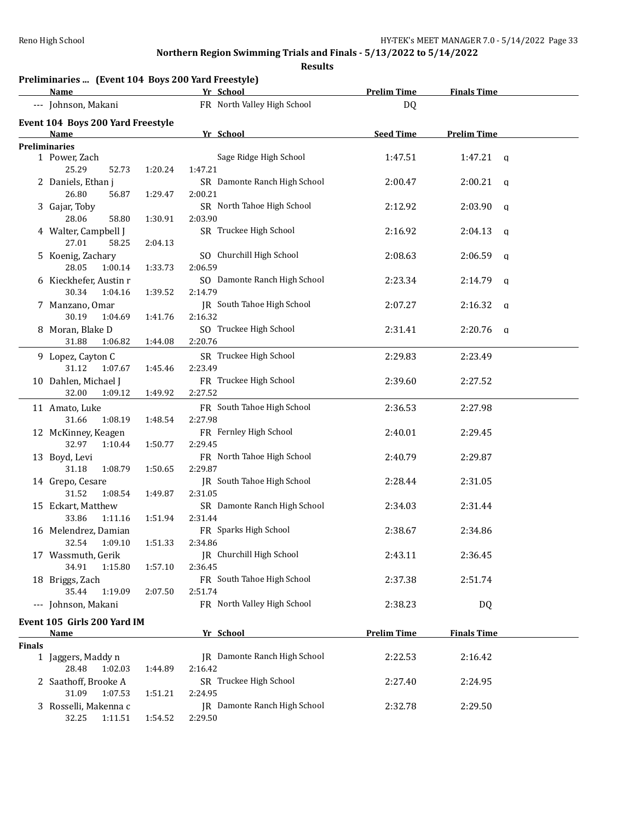|               | Preliminaries  (Event 104 Boys 200 Yard Freestyle)<br>Name |         | Yr School                       | <b>Prelim Time</b> | <b>Finals Time</b>      |   |
|---------------|------------------------------------------------------------|---------|---------------------------------|--------------------|-------------------------|---|
|               | --- Johnson, Makani                                        |         | FR North Valley High School     | DQ                 |                         |   |
|               | Event 104 Boys 200 Yard Freestyle                          |         |                                 |                    |                         |   |
|               | <b>Name</b>                                                |         | Yr School                       | <b>Seed Time</b>   | <b>Prelim Time</b>      |   |
|               | Preliminaries                                              |         |                                 |                    |                         |   |
|               | 1 Power, Zach                                              |         | Sage Ridge High School          | 1:47.51            | 1:47.21<br>$\mathbf{q}$ |   |
|               | 25.29<br>52.73                                             | 1:20.24 | 1:47.21                         |                    |                         |   |
|               | 2 Daniels, Ethan j                                         |         | SR Damonte Ranch High School    | 2:00.47            | 2:00.21                 | q |
|               | 26.80<br>56.87                                             | 1:29.47 | 2:00.21                         |                    |                         |   |
|               | 3 Gajar, Toby                                              |         | SR North Tahoe High School      | 2:12.92            | 2:03.90                 | q |
|               | 28.06<br>58.80                                             | 1:30.91 | 2:03.90                         |                    |                         |   |
|               | 4 Walter, Campbell J                                       |         | SR Truckee High School          | 2:16.92            | 2:04.13                 | q |
|               | 27.01<br>58.25                                             | 2:04.13 |                                 |                    |                         |   |
|               | 5 Koenig, Zachary                                          |         | SO Churchill High School        | 2:08.63            | 2:06.59                 | q |
|               | 28.05<br>1:00.14                                           | 1:33.73 | 2:06.59                         |                    |                         |   |
|               | 6 Kieckhefer, Austin r                                     |         | SO Damonte Ranch High School    | 2:23.34            | 2:14.79                 | q |
|               | 30.34<br>1:04.16                                           | 1:39.52 | 2:14.79                         |                    |                         |   |
|               | 7 Manzano, Omar                                            |         | JR South Tahoe High School      | 2:07.27            | 2:16.32                 | q |
|               | 30.19<br>1:04.69                                           | 1:41.76 | 2:16.32                         |                    |                         |   |
|               | 8 Moran, Blake D                                           |         | SO Truckee High School          | 2:31.41            | 2:20.76<br>$\mathbf{q}$ |   |
|               | 31.88<br>1:06.82                                           | 1:44.08 | 2:20.76                         |                    |                         |   |
|               | 9 Lopez, Cayton C                                          |         | SR Truckee High School          | 2:29.83            | 2:23.49                 |   |
|               | 31.12<br>1:07.67                                           | 1:45.46 | 2:23.49                         |                    |                         |   |
|               | 10 Dahlen, Michael J                                       |         | FR Truckee High School          | 2:39.60            | 2:27.52                 |   |
|               | 32.00<br>1:09.12                                           | 1:49.92 | 2:27.52                         |                    |                         |   |
|               | 11 Amato, Luke                                             |         | FR South Tahoe High School      | 2:36.53            | 2:27.98                 |   |
|               | 31.66<br>1:08.19                                           | 1:48.54 | 2:27.98                         |                    |                         |   |
|               | 12 McKinney, Keagen                                        |         | FR Fernley High School          | 2:40.01            | 2:29.45                 |   |
|               | 32.97<br>1:10.44                                           | 1:50.77 | 2:29.45                         |                    |                         |   |
|               | 13 Boyd, Levi                                              |         | FR North Tahoe High School      | 2:40.79            | 2:29.87                 |   |
|               | 31.18<br>1:08.79                                           | 1:50.65 | 2:29.87                         |                    |                         |   |
|               | 14 Grepo, Cesare                                           |         | JR South Tahoe High School      | 2:28.44            | 2:31.05                 |   |
|               | 31.52<br>1:08.54                                           | 1:49.87 | 2:31.05                         |                    |                         |   |
|               | 15 Eckart, Matthew                                         |         | SR Damonte Ranch High School    | 2:34.03            | 2:31.44                 |   |
|               | 33.86<br>1:11.16                                           | 1:51.94 | 2:31.44                         |                    |                         |   |
|               | 16 Melendrez, Damian                                       |         | FR Sparks High School           | 2:38.67            | 2:34.86                 |   |
|               | 32.54 1:09.10                                              |         | 1:51.33   2:34.86               |                    |                         |   |
|               | 17 Wassmuth, Gerik                                         |         | <b>IR</b> Churchill High School | 2:43.11            | 2:36.45                 |   |
|               | 34.91<br>1:15.80                                           | 1:57.10 | 2:36.45                         |                    |                         |   |
|               | 18 Briggs, Zach                                            |         | FR South Tahoe High School      | 2:37.38            | 2:51.74                 |   |
|               | 35.44<br>1:19.09                                           | 2:07.50 | 2:51.74                         |                    |                         |   |
|               | --- Johnson, Makani                                        |         | FR North Valley High School     | 2:38.23            | DQ                      |   |
|               | Event 105 Girls 200 Yard IM                                |         |                                 |                    |                         |   |
|               | <u>Name</u>                                                |         | Yr School                       | <b>Prelim Time</b> | <b>Finals Time</b>      |   |
| <b>Finals</b> |                                                            |         |                                 |                    |                         |   |
|               | 1 Jaggers, Maddy n                                         |         | JR Damonte Ranch High School    | 2:22.53            | 2:16.42                 |   |
|               | 28.48<br>1:02.03                                           | 1:44.89 | 2:16.42                         |                    |                         |   |
|               | 2 Saathoff, Brooke A                                       |         | SR Truckee High School          | 2:27.40            | 2:24.95                 |   |
|               | 31.09<br>1:07.53                                           | 1:51.21 | 2:24.95                         |                    |                         |   |
|               | 3 Rosselli, Makenna c                                      |         | JR Damonte Ranch High School    | 2:32.78            | 2:29.50                 |   |
|               | 32.25<br>1:11.51                                           | 1:54.52 | 2:29.50                         |                    |                         |   |
|               |                                                            |         |                                 |                    |                         |   |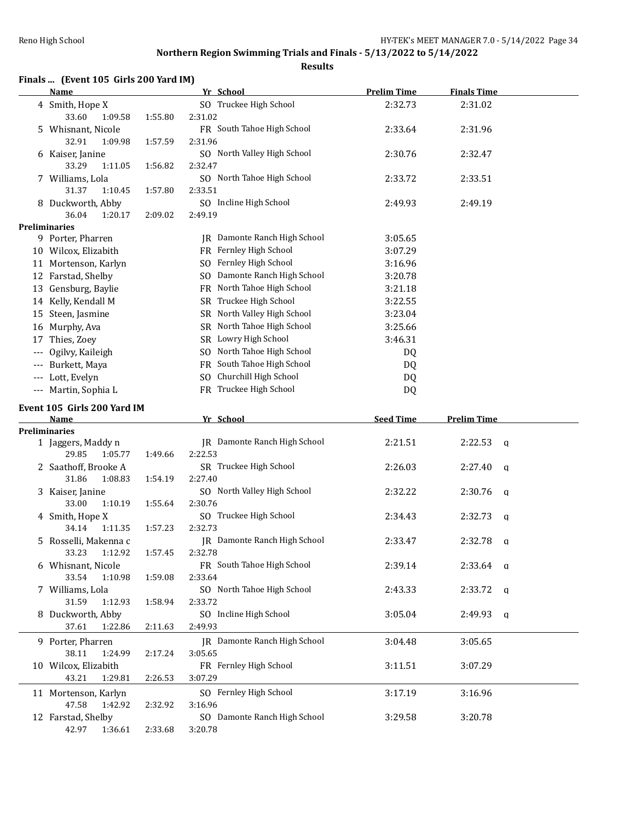**Results**

## **Finals ... (Event 105 Girls 200 Yard IM)**

|          | Name                                   |         | Yr School                               | <b>Prelim Time</b> | <b>Finals Time</b>      |  |
|----------|----------------------------------------|---------|-----------------------------------------|--------------------|-------------------------|--|
|          | 4 Smith, Hope X<br>33.60<br>1:09.58    | 1:55.80 | SO Truckee High School<br>2:31.02       | 2:32.73            | 2:31.02                 |  |
|          | 5 Whisnant, Nicole<br>32.91<br>1:09.98 |         | FR South Tahoe High School<br>2:31.96   | 2:33.64            | 2:31.96                 |  |
|          | 6 Kaiser, Janine                       | 1:57.59 | SO North Valley High School             | 2:30.76            | 2:32.47                 |  |
|          | 33.29<br>1:11.05                       | 1:56.82 | 2:32.47                                 |                    |                         |  |
|          | 7 Williams, Lola<br>31.37<br>1:10.45   | 1:57.80 | SO North Tahoe High School<br>2:33.51   | 2:33.72            | 2:33.51                 |  |
|          | 8 Duckworth, Abby                      |         | SO Incline High School                  | 2:49.93            | 2:49.19                 |  |
|          | 36.04<br>1:20.17                       | 2:09.02 | 2:49.19                                 |                    |                         |  |
|          | <b>Preliminaries</b>                   |         |                                         |                    |                         |  |
|          | 9 Porter, Pharren                      |         | JR Damonte Ranch High School            | 3:05.65            |                         |  |
|          | 10 Wilcox, Elizabith                   |         | FR Fernley High School                  | 3:07.29            |                         |  |
|          | 11 Mortenson, Karlyn                   |         | SO Fernley High School                  | 3:16.96            |                         |  |
|          | 12 Farstad, Shelby                     |         | SO Damonte Ranch High School            | 3:20.78            |                         |  |
|          | 13 Gensburg, Baylie                    |         | FR North Tahoe High School              | 3:21.18            |                         |  |
|          | 14 Kelly, Kendall M                    |         | SR Truckee High School                  | 3:22.55            |                         |  |
|          | 15 Steen, Jasmine                      |         | SR North Valley High School             | 3:23.04            |                         |  |
|          | 16 Murphy, Ava                         |         | SR North Tahoe High School              | 3:25.66            |                         |  |
|          | 17 Thies, Zoey                         |         | SR Lowry High School                    | 3:46.31            |                         |  |
| $\cdots$ | Ogilvy, Kaileigh                       |         | SO North Tahoe High School              | DQ                 |                         |  |
|          | --- Burkett, Maya                      |         | FR South Tahoe High School              | DQ                 |                         |  |
|          | --- Lott, Evelyn                       |         | SO Churchill High School                | DQ                 |                         |  |
|          | --- Martin, Sophia L                   |         | FR Truckee High School                  | DQ                 |                         |  |
|          | Event 105 Girls 200 Yard IM            |         |                                         |                    |                         |  |
|          | Name                                   |         |                                         |                    |                         |  |
|          |                                        |         |                                         |                    |                         |  |
|          |                                        |         | Yr School                               | <b>Seed Time</b>   | <b>Prelim Time</b>      |  |
|          | <b>Preliminaries</b>                   |         | JR Damonte Ranch High School            | 2:21.51            | 2:22.53<br>q            |  |
|          | 1 Jaggers, Maddy n<br>29.85<br>1:05.77 | 1:49.66 | 2:22.53                                 |                    |                         |  |
|          | 2 Saathoff, Brooke A                   |         | SR Truckee High School                  | 2:26.03            | 2:27.40<br>q            |  |
|          | 31.86<br>1:08.83                       | 1:54.19 | 2:27.40                                 |                    |                         |  |
|          | 3 Kaiser, Janine                       |         | SO North Valley High School             | 2:32.22            | 2:30.76<br>q            |  |
|          | 33.00<br>1:10.19                       | 1:55.64 | 2:30.76                                 |                    |                         |  |
|          | 4 Smith, Hope X                        |         | SO Truckee High School                  | 2:34.43            | 2:32.73<br>a            |  |
|          | 34.14<br>1:11.35                       | 1:57.23 | 2:32.73                                 |                    |                         |  |
|          | 5 Rosselli, Makenna c                  |         | JR Damonte Ranch High School            | 2:33.47            | 2:32.78<br>a            |  |
|          | 33.23 1:12.92                          | 1:57.45 | 2:32.78                                 |                    |                         |  |
|          | 6 Whisnant, Nicole                     |         | FR South Tahoe High School              | 2:39.14            | $2:33.64$ q             |  |
|          | 33.54<br>1:10.98                       | 1:59.08 | 2:33.64                                 |                    |                         |  |
|          | 7 Williams, Lola                       |         | SO North Tahoe High School              | 2:43.33            | 2:33.72<br>$\mathbf{q}$ |  |
|          | 31.59<br>1:12.93                       | 1:58.94 | 2:33.72                                 |                    |                         |  |
|          | 8 Duckworth, Abby                      |         | SO Incline High School                  | 3:05.04            | 2:49.93<br>q            |  |
|          | 37.61<br>1:22.86                       | 2:11.63 | 2:49.93                                 |                    |                         |  |
|          | 9 Porter, Pharren                      |         | IR Damonte Ranch High School            | 3:04.48            | 3:05.65                 |  |
|          | 38.11<br>1:24.99                       | 2:17.24 | 3:05.65                                 |                    |                         |  |
|          | 10 Wilcox, Elizabith                   |         | FR Fernley High School                  | 3:11.51            | 3:07.29                 |  |
|          | 43.21<br>1:29.81                       | 2:26.53 | 3:07.29                                 |                    |                         |  |
|          | 11 Mortenson, Karlyn                   |         | SO Fernley High School                  | 3:17.19            | 3:16.96                 |  |
|          | 47.58<br>1:42.92                       | 2:32.92 | 3:16.96                                 |                    |                         |  |
|          | 12 Farstad, Shelby<br>42.97<br>1:36.61 | 2:33.68 | SO Damonte Ranch High School<br>3:20.78 | 3:29.58            | 3:20.78                 |  |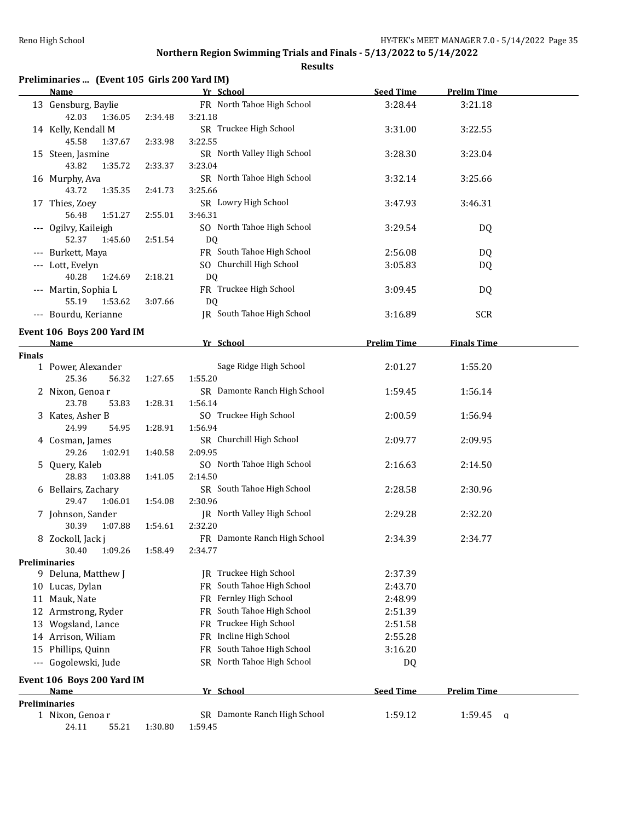|  |  | Preliminaries  (Event 105 Girls 200 Yard IM) |
|--|--|----------------------------------------------|
|--|--|----------------------------------------------|

|        | <b>Name</b>                                |         | Yr School                               | <b>Seed Time</b>   | <b>Prelim Time</b> |  |
|--------|--------------------------------------------|---------|-----------------------------------------|--------------------|--------------------|--|
|        | 13 Gensburg, Baylie<br>42.03<br>1:36.05    | 2:34.48 | FR North Tahoe High School<br>3:21.18   | 3:28.44            | 3:21.18            |  |
|        | 14 Kelly, Kendall M<br>45.58<br>1:37.67    | 2:33.98 | SR Truckee High School<br>3:22.55       | 3:31.00            | 3:22.55            |  |
|        | 15 Steen, Jasmine<br>43.82<br>1:35.72      | 2:33.37 | SR North Valley High School<br>3:23.04  | 3:28.30            | 3:23.04            |  |
|        | 16 Murphy, Ava<br>43.72<br>1:35.35         | 2:41.73 | SR North Tahoe High School<br>3:25.66   | 3:32.14            | 3:25.66            |  |
|        | 17 Thies, Zoey<br>56.48<br>1:51.27         |         | SR Lowry High School<br>3:46.31         | 3:47.93            | 3:46.31            |  |
|        | --- Ogilvy, Kaileigh                       | 2:55.01 | SO North Tahoe High School              | 3:29.54            | DQ                 |  |
|        | 52.37<br>1:45.60                           | 2:51.54 | DQ<br>FR South Tahoe High School        |                    |                    |  |
|        | --- Burkett, Maya                          |         |                                         | 2:56.08            | DQ                 |  |
|        | --- Lott, Evelyn<br>40.28<br>1:24.69       | 2:18.21 | SO Churchill High School<br>DQ          | 3:05.83            | DQ                 |  |
|        | --- Martin, Sophia L<br>55.19<br>1:53.62   | 3:07.66 | FR Truckee High School<br><b>DQ</b>     | 3:09.45            | DQ                 |  |
|        | --- Bourdu, Kerianne                       |         | IR South Tahoe High School              | 3:16.89            | <b>SCR</b>         |  |
|        | Event 106 Boys 200 Yard IM<br><u>Name</u>  |         | Yr School                               | <b>Prelim Time</b> | <b>Finals Time</b> |  |
| Finals |                                            |         |                                         |                    |                    |  |
|        | 1 Power, Alexander                         |         | Sage Ridge High School                  | 2:01.27            | 1:55.20            |  |
|        | 25.36<br>56.32                             | 1:27.65 | 1:55.20                                 |                    |                    |  |
|        | 2 Nixon, Genoar                            |         | SR Damonte Ranch High School            | 1:59.45            | 1:56.14            |  |
|        | 23.78<br>53.83                             | 1:28.31 | 1:56.14                                 |                    |                    |  |
|        | 3 Kates, Asher B<br>24.99<br>54.95         | 1:28.91 | SO Truckee High School<br>1:56.94       | 2:00.59            | 1:56.94            |  |
|        | 4 Cosman, James<br>29.26<br>1:02.91        | 1:40.58 | SR Churchill High School<br>2:09.95     | 2:09.77            | 2:09.95            |  |
|        | 5 Query, Kaleb<br>28.83<br>1:03.88         | 1:41.05 | SO North Tahoe High School<br>2:14.50   | 2:16.63            | 2:14.50            |  |
|        | 6 Bellairs, Zachary<br>29.47<br>1:06.01    | 1:54.08 | SR South Tahoe High School<br>2:30.96   | 2:28.58            | 2:30.96            |  |
|        | 7 Johnson, Sander<br>30.39<br>1:07.88      | 1:54.61 | JR North Valley High School<br>2:32.20  | 2:29.28            | 2:32.20            |  |
|        | 8 Zockoll, Jack j<br>30.40 1:09.26 1:58.49 |         | FR Damonte Ranch High School<br>2:34.77 | 2:34.39            | 2:34.77            |  |
|        | Preliminaries                              |         |                                         |                    |                    |  |
|        | 9 Deluna, Matthew J                        |         | JR Truckee High School                  | 2:37.39            |                    |  |
|        | 10 Lucas, Dylan                            |         | FR South Tahoe High School              | 2:43.70            |                    |  |
|        | 11 Mauk, Nate                              |         | FR Fernley High School                  | 2:48.99            |                    |  |
|        | 12 Armstrong, Ryder                        |         | FR South Tahoe High School              | 2:51.39            |                    |  |
|        | 13 Wogsland, Lance                         |         | Truckee High School<br>FR.              | 2:51.58            |                    |  |
|        | 14 Arrison, Wiliam                         |         | FR Incline High School                  | 2:55.28            |                    |  |
|        | 15 Phillips, Quinn                         |         | South Tahoe High School<br>FR           | 3:16.20            |                    |  |
|        |                                            |         | SR North Tahoe High School              |                    |                    |  |
|        | --- Gogolewski, Jude                       |         |                                         | DQ                 |                    |  |
|        | Event 106 Boys 200 Yard IM<br>Name         |         | Yr School                               | <b>Seed Time</b>   | <b>Prelim Time</b> |  |
|        | Preliminaries                              |         |                                         |                    |                    |  |
|        | 1 Nixon, Genoar                            |         | SR Damonte Ranch High School            | 1:59.12            | 1:59.45<br>q       |  |
|        | 24.11<br>55.21                             | 1:30.80 | 1:59.45                                 |                    |                    |  |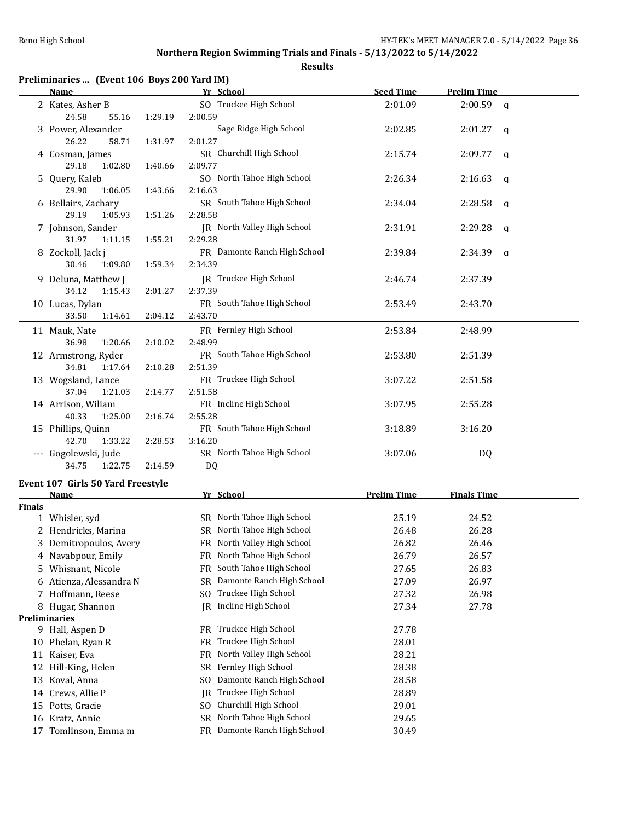|               | Preliminaries  (Event 106 Boys 200 Yard IM)<br>Name |         | Yr School                                   | <b>Seed Time</b>   | <b>Prelim Time</b> |
|---------------|-----------------------------------------------------|---------|---------------------------------------------|--------------------|--------------------|
|               |                                                     |         |                                             |                    |                    |
|               | 2 Kates, Asher B                                    |         | SO Truckee High School                      | 2:01.09            | $2:00.59$ a        |
|               | 24.58<br>55.16                                      | 1:29.19 | 2:00.59                                     |                    |                    |
|               | 3 Power, Alexander                                  |         | Sage Ridge High School                      | 2:02.85            | $2:01.27$ q        |
|               | 26.22<br>58.71<br>1:31.97                           |         | 2:01.27                                     |                    |                    |
|               | 4 Cosman, James                                     |         | SR Churchill High School<br>2:09.77         | 2:15.74            | 2:09.77<br>q       |
|               | 29.18<br>1:02.80<br>1:40.66                         |         | SO North Tahoe High School                  | 2:26.34            |                    |
|               | 5 Query, Kaleb<br>29.90                             |         |                                             |                    | 2:16.63<br>q       |
|               | 1:06.05                                             | 1:43.66 | 2:16.63                                     |                    |                    |
|               | 6 Bellairs, Zachary<br>29.19<br>1:05.93             | 1:51.26 | SR South Tahoe High School<br>2:28.58       | 2:34.04            | 2:28.58<br>q       |
|               |                                                     |         | JR North Valley High School                 |                    |                    |
|               | 7 Johnson, Sander                                   |         | 2:29.28                                     | 2:31.91            | 2:29.28<br>a       |
|               | 31.97<br>1:11.15                                    | 1:55.21 |                                             |                    |                    |
|               | 8 Zockoll, Jack j                                   |         | FR Damonte Ranch High School                | 2:39.84            | 2:34.39<br>a       |
|               | 30.46<br>1:09.80                                    | 1:59.34 | 2:34.39                                     |                    |                    |
|               | 9 Deluna, Matthew J                                 |         | JR Truckee High School                      | 2:46.74            | 2:37.39            |
|               | 34.12<br>1:15.43                                    | 2:01.27 | 2:37.39                                     |                    |                    |
|               | 10 Lucas, Dylan                                     |         | FR South Tahoe High School                  | 2:53.49            | 2:43.70            |
|               | 33.50<br>1:14.61                                    | 2:04.12 | 2:43.70                                     |                    |                    |
|               | 11 Mauk, Nate                                       |         | FR Fernley High School                      | 2:53.84            | 2:48.99            |
|               | 36.98<br>1:20.66                                    | 2:10.02 | 2:48.99                                     |                    |                    |
|               | 12 Armstrong, Ryder                                 |         | FR South Tahoe High School                  | 2:53.80            | 2:51.39            |
|               | 34.81<br>1:17.64                                    | 2:10.28 | 2:51.39                                     |                    |                    |
|               | 13 Wogsland, Lance                                  |         | FR Truckee High School                      | 3:07.22            | 2:51.58            |
|               | 37.04<br>1:21.03                                    | 2:14.77 | 2:51.58                                     |                    |                    |
|               | 14 Arrison, Wiliam                                  |         | FR Incline High School                      | 3:07.95            | 2:55.28            |
|               | 40.33<br>1:25.00                                    | 2:16.74 | 2:55.28                                     |                    |                    |
|               | 15 Phillips, Quinn                                  |         | FR South Tahoe High School                  | 3:18.89            | 3:16.20            |
|               | 42.70<br>1:33.22                                    | 2:28.53 | 3:16.20                                     |                    |                    |
|               | --- Gogolewski, Jude                                |         | SR North Tahoe High School                  | 3:07.06            | DQ                 |
|               | 34.75<br>1:22.75                                    | 2:14.59 | DQ                                          |                    |                    |
|               | Event 107 Girls 50 Yard Freestyle                   |         |                                             |                    |                    |
|               | <b>Name</b>                                         |         | Yr School                                   | <b>Prelim Time</b> | <b>Finals Time</b> |
| <b>Finals</b> |                                                     |         |                                             |                    |                    |
|               | 1 Whisler, syd                                      |         | SR North Tahoe High School                  | 25.19              | 24.52              |
|               | 2 Hendricks, Marina                                 |         | SR North Tahoe High School                  | 26.48              | 26.28              |
|               | 3 Demitropoulos, Avery                              |         | FR North Valley High School                 | 26.82              | 26.46              |
|               | 4 Navabpour, Emily                                  |         | North Tahoe High School<br>FR               | 26.79              | 26.57              |
|               | 5 Whisnant, Nicole                                  |         | South Tahoe High School<br>FR               | 27.65              | 26.83              |
| 6             | Atienza, Alessandra N                               |         | Damonte Ranch High School<br><b>SR</b>      | 27.09              | 26.97              |
|               | 7 Hoffmann, Reese                                   |         | Truckee High School<br>SO.                  | 27.32              | 26.98              |
|               | 8 Hugar, Shannon                                    |         | Incline High School<br>IR                   | 27.34              | 27.78              |
|               | Preliminaries                                       |         |                                             |                    |                    |
|               | 9 Hall, Aspen D                                     |         | FR Truckee High School                      | 27.78              |                    |
|               | 10 Phelan, Ryan R                                   |         | Truckee High School<br>FR.                  | 28.01              |                    |
|               | 11 Kaiser, Eva                                      |         | North Valley High School<br>FR              | 28.21              |                    |
|               | 12 Hill-King, Helen                                 |         | Fernley High School<br>SR                   | 28.38              |                    |
|               | 13 Koval, Anna                                      |         | Damonte Ranch High School<br>S <sub>O</sub> | 28.58              |                    |
|               | 14 Crews, Allie P                                   |         | Truckee High School<br>IR.                  | 28.89              |                    |
| 15            | Potts, Gracie                                       |         | Churchill High School<br>S <sub>0</sub>     | 29.01              |                    |
|               | 16 Kratz, Annie                                     |         | North Tahoe High School<br>SR               | 29.65              |                    |
|               | 17 Tomlinson, Emma m                                |         | FR Damonte Ranch High School                | 30.49              |                    |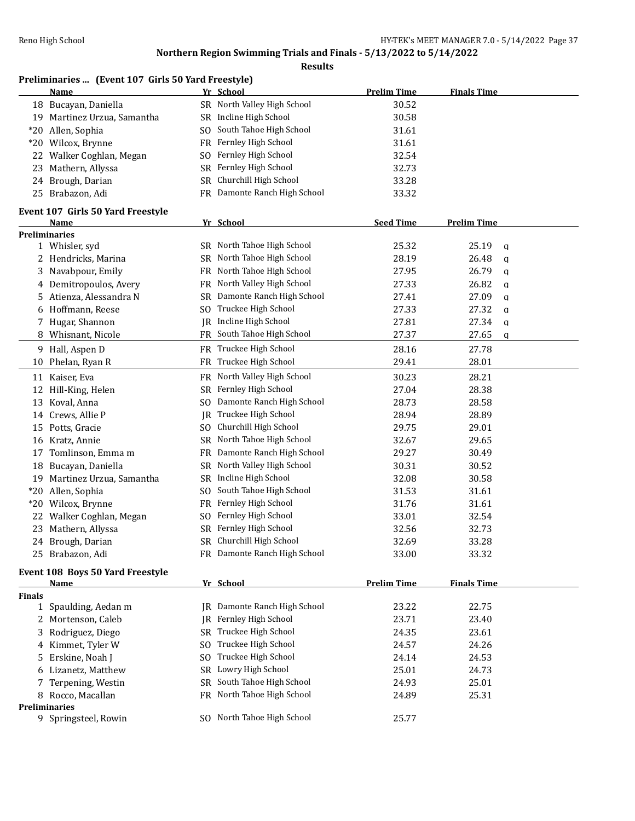**Results**

|        | Preliminaries  (Event 107 Girls 50 Yard Freestyle) |     |                              |                    |                       |  |
|--------|----------------------------------------------------|-----|------------------------------|--------------------|-----------------------|--|
|        | <u>Name</u>                                        |     | Yr School                    | <b>Prelim Time</b> | <b>Finals Time</b>    |  |
|        | 18 Bucayan, Daniella                               |     | SR North Valley High School  | 30.52              |                       |  |
|        | 19 Martinez Urzua, Samantha                        |     | SR Incline High School       | 30.58              |                       |  |
| *20    | Allen, Sophia                                      | SO. | South Tahoe High School      | 31.61              |                       |  |
|        | *20 Wilcox, Brynne                                 |     | FR Fernley High School       | 31.61              |                       |  |
| 22     | Walker Coghlan, Megan                              | SO  | Fernley High School          | 32.54              |                       |  |
| 23     | Mathern, Allyssa                                   | SR  | Fernley High School          | 32.73              |                       |  |
| 24     | Brough, Darian                                     | SR  | Churchill High School        | 33.28              |                       |  |
|        | 25 Brabazon, Adi                                   |     | FR Damonte Ranch High School | 33.32              |                       |  |
|        | Event 107 Girls 50 Yard Freestyle                  |     |                              |                    |                       |  |
|        | Name                                               |     | Yr School                    | <b>Seed Time</b>   | <b>Prelim Time</b>    |  |
|        | <b>Preliminaries</b>                               |     |                              |                    |                       |  |
|        | 1 Whisler, syd                                     |     | SR North Tahoe High School   | 25.32              | 25.19<br>$\mathbf q$  |  |
| 2      | Hendricks, Marina                                  | SR  | North Tahoe High School      | 28.19              | 26.48<br>q            |  |
| 3      | Navabpour, Emily                                   | FR  | North Tahoe High School      | 27.95              | 26.79<br>$\mathbf{q}$ |  |
| 4      | Demitropoulos, Avery                               |     | FR North Valley High School  | 27.33              | 26.82<br>q            |  |
| 5      | Atienza, Alessandra N                              | SR  | Damonte Ranch High School    | 27.41              | 27.09<br>$\mathbf{q}$ |  |
| 6      | Hoffmann, Reese                                    | SO. | Truckee High School          | 27.33              | 27.32<br>q            |  |
|        | Hugar, Shannon                                     | IR  | Incline High School          | 27.81              | 27.34<br>$\mathbf q$  |  |
|        | Whisnant, Nicole                                   |     | FR South Tahoe High School   | 27.37              | 27.65<br>q            |  |
|        | 9 Hall, Aspen D                                    |     | FR Truckee High School       | 28.16              | 27.78                 |  |
| 10     | Phelan, Ryan R                                     |     | FR Truckee High School       | 29.41              | 28.01                 |  |
|        | 11 Kaiser, Eva                                     | FR  | North Valley High School     | 30.23              | 28.21                 |  |
| 12     | Hill-King, Helen                                   | SR  | Fernley High School          | 27.04              | 28.38                 |  |
| 13     | Koval, Anna                                        | SO  | Damonte Ranch High School    | 28.73              | 28.58                 |  |
| 14     | Crews, Allie P                                     | IR  | Truckee High School          | 28.94              | 28.89                 |  |
| 15     | Potts, Gracie                                      | SO. | Churchill High School        | 29.75              | 29.01                 |  |
| 16     | Kratz, Annie                                       | SR  | North Tahoe High School      | 32.67              | 29.65                 |  |
| 17     | Tomlinson, Emma m                                  | FR  | Damonte Ranch High School    | 29.27              | 30.49                 |  |
| 18     | Bucayan, Daniella                                  | SR  | North Valley High School     | 30.31              | 30.52                 |  |
|        | 19 Martinez Urzua, Samantha                        | SR  | Incline High School          | 32.08              | 30.58                 |  |
| $*20$  | Allen, Sophia                                      | SO. | South Tahoe High School      | 31.53              | 31.61                 |  |
| $*20$  | Wilcox, Brynne                                     |     | FR Fernley High School       | 31.76              | 31.61                 |  |
| 22     | Walker Coghlan, Megan                              | SO. | Fernley High School          | 33.01              | 32.54                 |  |
|        | 23 Mathern, Allyssa                                |     | SR Fernley High School       | 32.56              | 32.73                 |  |
|        | 24 Brough, Darian                                  |     | SR Churchill High School     | 32.69              | 33.28                 |  |
|        | 25 Brabazon, Adi                                   |     | FR Damonte Ranch High School | 33.00              | 33.32                 |  |
|        | <b>Event 108 Boys 50 Yard Freestyle</b>            |     |                              |                    |                       |  |
|        | <u>Name</u>                                        |     | Yr School                    | <b>Prelim Time</b> | <b>Finals Time</b>    |  |
| Finals |                                                    |     |                              |                    |                       |  |
|        | 1 Spaulding, Aedan m                               |     | IR Damonte Ranch High School | 23.22              | 22.75                 |  |
| 2      | Mortenson, Caleb                                   |     | JR Fernley High School       | 23.71              | 23.40                 |  |
| 3      | Rodriguez, Diego                                   | SR  | Truckee High School          | 24.35              | 23.61                 |  |
| 4      | Kimmet, Tyler W                                    | SO. | Truckee High School          | 24.57              | 24.26                 |  |
|        | 5 Erskine, Noah J                                  | SO. | Truckee High School          | 24.14              | 24.53                 |  |

 Lizanetz, Matthew SR Lowry High School 25.01 24.73 7 Terpening, Westin SR South Tahoe High School 24.93 25.01

9 SQ North Tahoe High School 25.77

# 8 Rocco, Macallan **FR** North Tahoe High School 24.89 25.31

**Preliminaries**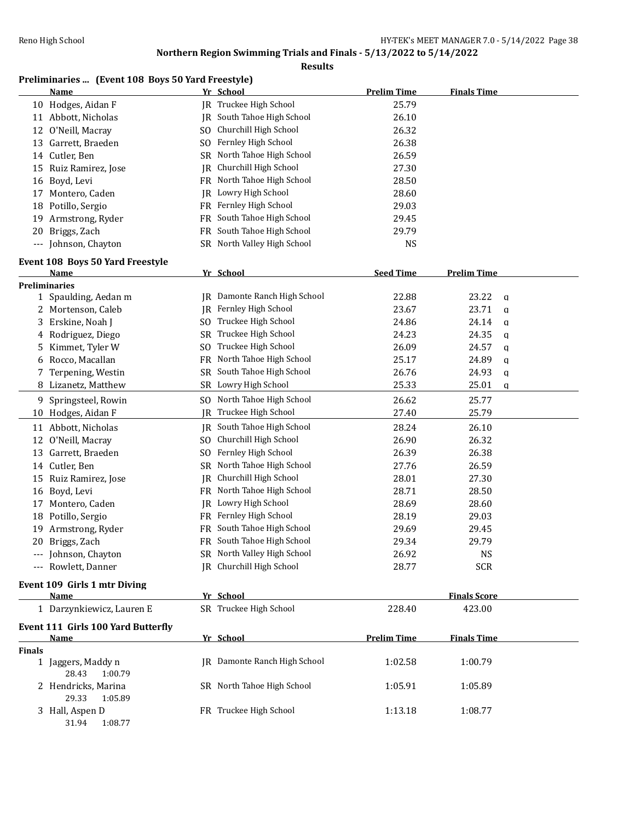|               | Preliminaries  (Event 108 Boys 50 Yard Freestyle) |           |                                     |                    |                       |
|---------------|---------------------------------------------------|-----------|-------------------------------------|--------------------|-----------------------|
|               | Name                                              |           | Yr School                           | <b>Prelim Time</b> | <b>Finals Time</b>    |
|               | 10 Hodges, Aidan F                                |           | <b>IR</b> Truckee High School       | 25.79              |                       |
|               | 11 Abbott, Nicholas                               |           | JR South Tahoe High School          | 26.10              |                       |
|               | 12 O'Neill, Macray                                | SO.       | Churchill High School               | 26.32              |                       |
|               | 13 Garrett, Braeden                               | SO.       | Fernley High School                 | 26.38              |                       |
|               | 14 Cutler, Ben                                    | SR        | North Tahoe High School             | 26.59              |                       |
|               | 15 Ruiz Ramirez, Jose                             | IR        | Churchill High School               | 27.30              |                       |
|               | 16 Boyd, Levi                                     | FR        | North Tahoe High School             | 28.50              |                       |
|               | 17 Montero, Caden                                 |           | JR Lowry High School                | 28.60              |                       |
|               | 18 Potillo, Sergio                                |           | FR Fernley High School              | 29.03              |                       |
|               | 19 Armstrong, Ryder                               | FR        | South Tahoe High School             | 29.45              |                       |
| 20            | Briggs, Zach                                      | FR.       | South Tahoe High School             | 29.79              |                       |
|               | --- Johnson, Chayton                              |           | SR North Valley High School         | <b>NS</b>          |                       |
|               | Event 108 Boys 50 Yard Freestyle                  |           |                                     |                    |                       |
|               | Name                                              |           | Yr School                           | <b>Seed Time</b>   | <b>Prelim Time</b>    |
|               | <b>Preliminaries</b>                              |           |                                     |                    |                       |
|               | 1 Spaulding, Aedan m                              |           | <b>JR</b> Damonte Ranch High School | 22.88              | 23.22<br>$\mathbf{q}$ |
|               | 2 Mortenson, Caleb                                |           | JR Fernley High School              | 23.67              | 23.71<br>$\mathbf q$  |
| 3             | Erskine, Noah J                                   | SO.       | Truckee High School                 | 24.86              | 24.14<br>a            |
| 4             | Rodriguez, Diego                                  | <b>SR</b> | Truckee High School                 | 24.23              | 24.35<br>q            |
| 5             | Kimmet, Tyler W                                   | SO.       | Truckee High School                 | 26.09              | 24.57<br>a            |
| 6             | Rocco, Macallan                                   | FR        | North Tahoe High School             | 25.17              | 24.89<br>q            |
| 7             | Terpening, Westin                                 | SR        | South Tahoe High School             | 26.76              | 24.93<br>$\mathbf q$  |
|               | 8 Lizanetz, Matthew                               |           | SR Lowry High School                | 25.33              | 25.01<br>q            |
|               | 9 Springsteel, Rowin                              | SO.       | North Tahoe High School             | 26.62              | 25.77                 |
|               | 10 Hodges, Aidan F                                | IR        | Truckee High School                 | 27.40              | 25.79                 |
| 11            | Abbott, Nicholas                                  |           | JR South Tahoe High School          | 28.24              | 26.10                 |
| 12            | O'Neill, Macray                                   | SO.       | Churchill High School               | 26.90              | 26.32                 |
|               | 13 Garrett, Braeden                               | SO.       | Fernley High School                 | 26.39              | 26.38                 |
|               | 14 Cutler, Ben                                    | SR        | North Tahoe High School             | 27.76              | 26.59                 |
| 15            | Ruiz Ramirez, Jose                                | IR        | Churchill High School               | 28.01              | 27.30                 |
|               | 16 Boyd, Levi                                     |           | FR North Tahoe High School          | 28.71              | 28.50                 |
| 17            | Montero, Caden                                    |           | JR Lowry High School                | 28.69              | 28.60                 |
|               | 18 Potillo, Sergio                                |           | FR Fernley High School              | 28.19              | 29.03                 |
|               | 19 Armstrong, Ryder                               |           | FR South Tahoe High School          | 29.69              | 29.45                 |
|               | 20 Briggs, Zach                                   |           | FR South Tahoe High School          | 29.34              | 29.79                 |
|               | --- Johnson, Chayton                              |           | SR North Valley High School         | 26.92              | <b>NS</b>             |
|               | --- Rowlett, Danner                               |           | IR Churchill High School            | 28.77              | <b>SCR</b>            |
|               | Event 109 Girls 1 mtr Diving                      |           |                                     |                    |                       |
|               | <b>Name</b>                                       |           | Yr School                           |                    | <b>Finals Score</b>   |
|               | 1 Darzynkiewicz, Lauren E                         |           | SR Truckee High School              | 228.40             | 423.00                |
|               | <b>Event 111 Girls 100 Yard Butterfly</b>         |           |                                     |                    |                       |
|               | <b>Name</b>                                       |           | Yr School                           | <b>Prelim Time</b> | <b>Finals Time</b>    |
| <b>Finals</b> | 1 Jaggers, Maddy n                                |           | IR Damonte Ranch High School        | 1:02.58            | 1:00.79               |
|               | 28.43<br>1:00.79                                  |           |                                     |                    |                       |
|               | 2 Hendricks, Marina                               |           | SR North Tahoe High School          | 1:05.91            | 1:05.89               |
|               | 29.33<br>1:05.89                                  |           |                                     |                    |                       |
|               | 3 Hall, Aspen D                                   |           | FR Truckee High School              | 1:13.18            | 1:08.77               |
|               | 31.94<br>1:08.77                                  |           |                                     |                    |                       |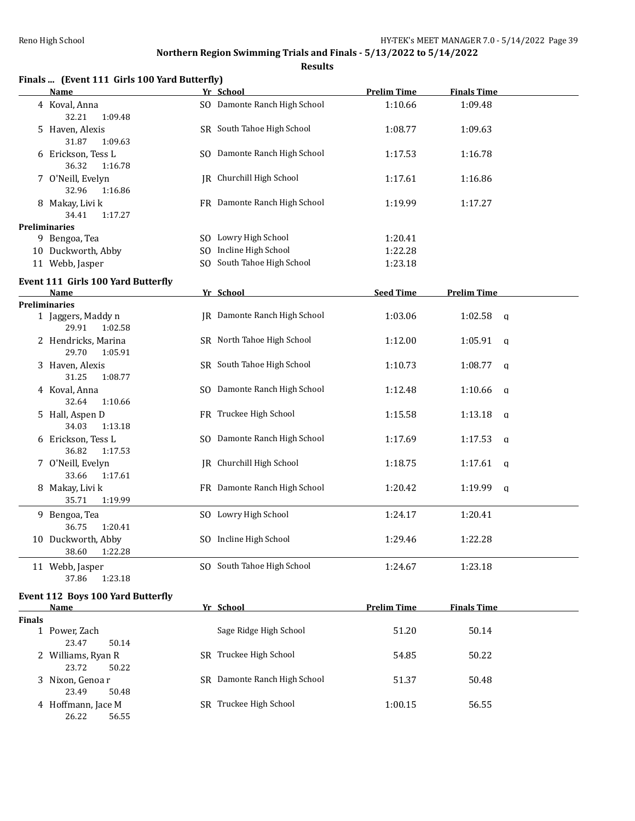|               | Finals  (Event 111 Girls 100 Yard Butterfly)     |                                 |                    |                         |  |
|---------------|--------------------------------------------------|---------------------------------|--------------------|-------------------------|--|
|               | <b>Name</b>                                      | Yr School                       | <b>Prelim Time</b> | <b>Finals Time</b>      |  |
|               | 4 Koval, Anna<br>32.21<br>1:09.48                | SO Damonte Ranch High School    | 1:10.66            | 1:09.48                 |  |
|               | 5 Haven, Alexis<br>31.87<br>1:09.63              | SR South Tahoe High School      | 1:08.77            | 1:09.63                 |  |
|               | 6 Erickson, Tess L<br>36.32<br>1:16.78           | SO Damonte Ranch High School    | 1:17.53            | 1:16.78                 |  |
|               | 7 O'Neill, Evelyn<br>32.96<br>1:16.86            | JR Churchill High School        | 1:17.61            | 1:16.86                 |  |
|               | 8 Makay, Livi k<br>34.41<br>1:17.27              | FR Damonte Ranch High School    | 1:19.99            | 1:17.27                 |  |
|               | <b>Preliminaries</b>                             |                                 |                    |                         |  |
|               | 9 Bengoa, Tea                                    | SO Lowry High School            | 1:20.41            |                         |  |
|               | 10 Duckworth, Abby                               | SO Incline High School          | 1:22.28            |                         |  |
|               | 11 Webb, Jasper                                  | SO South Tahoe High School      | 1:23.18            |                         |  |
|               | Event 111 Girls 100 Yard Butterfly<br>Name       | Yr School                       | <b>Seed Time</b>   | <b>Prelim Time</b>      |  |
|               | <b>Preliminaries</b>                             |                                 |                    |                         |  |
|               | 1 Jaggers, Maddy n<br>29.91<br>1:02.58           | JR Damonte Ranch High School    | 1:03.06            | 1:02.58<br>a            |  |
|               | 2 Hendricks, Marina<br>29.70<br>1:05.91          | SR North Tahoe High School      | 1:12.00            | 1:05.91<br>$\mathsf{q}$ |  |
|               | 3 Haven, Alexis<br>31.25<br>1:08.77              | SR South Tahoe High School      | 1:10.73            | 1:08.77<br>q            |  |
|               | 4 Koval, Anna<br>32.64<br>1:10.66                | SO Damonte Ranch High School    | 1:12.48            | 1:10.66<br>q            |  |
|               | 5 Hall, Aspen D<br>34.03<br>1:13.18              | FR Truckee High School          | 1:15.58            | 1:13.18<br>$\mathbf q$  |  |
|               | 6 Erickson, Tess L<br>36.82<br>1:17.53           | SO Damonte Ranch High School    | 1:17.69            | 1:17.53<br>a            |  |
|               | 7 O'Neill, Evelyn<br>33.66<br>1:17.61            | <b>IR</b> Churchill High School | 1:18.75            | 1:17.61<br>$\mathsf{q}$ |  |
|               | 8 Makay, Livi k<br>35.71<br>1:19.99              | FR Damonte Ranch High School    | 1:20.42            | 1:19.99<br>$\mathbf q$  |  |
|               | 9 Bengoa, Tea<br>36.75<br>1:20.41                | SO Lowry High School            | 1:24.17            | 1:20.41                 |  |
|               | 10 Duckworth, Abby<br>38.60<br>1:22.28           | SO Incline High School          | 1:29.46            | 1:22.28                 |  |
|               | 11 Webb, Jasper<br>1:23.18<br>37.86              | SO South Tahoe High School      | 1:24.67            | 1:23.18                 |  |
|               | <b>Event 112 Boys 100 Yard Butterfly</b><br>Name | Yr School                       | <b>Prelim Time</b> | <b>Finals Time</b>      |  |
| <b>Finals</b> |                                                  |                                 |                    |                         |  |
|               | 1 Power, Zach<br>23.47<br>50.14                  | Sage Ridge High School          | 51.20              | 50.14                   |  |
|               | 2 Williams, Ryan R<br>23.72<br>50.22             | SR Truckee High School          | 54.85              | 50.22                   |  |
|               | 3 Nixon, Genoa r<br>23.49<br>50.48               | SR Damonte Ranch High School    | 51.37              | 50.48                   |  |
|               | 4 Hoffmann, Jace M<br>26.22<br>56.55             | SR Truckee High School          | 1:00.15            | 56.55                   |  |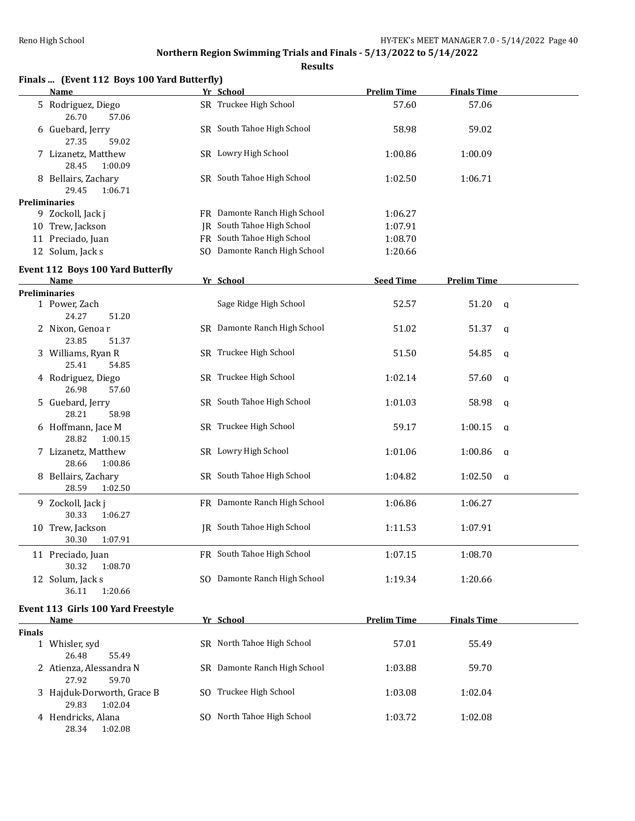|        | Finals  (Event 112 Boys 100 Yard Butterfly)<br><b>Name</b> | Yr School                    | <b>Prelim Time</b> | <b>Finals Time</b> |
|--------|------------------------------------------------------------|------------------------------|--------------------|--------------------|
|        | 5 Rodriguez, Diego<br>26.70<br>57.06                       | SR Truckee High School       | 57.60              | 57.06              |
|        | 6 Guebard, Jerry<br>27.35<br>59.02                         | SR South Tahoe High School   | 58.98              | 59.02              |
|        | 7 Lizanetz, Matthew<br>28.45<br>1:00.09                    | SR Lowry High School         | 1:00.86            | 1:00.09            |
|        | 8 Bellairs, Zachary<br>29.45<br>1:06.71                    | SR South Tahoe High School   | 1:02.50            | 1:06.71            |
|        | <b>Preliminaries</b>                                       |                              |                    |                    |
|        | 9 Zockoll, Jack j                                          | FR Damonte Ranch High School | 1:06.27            |                    |
|        | 10 Trew, Jackson                                           | JR South Tahoe High School   | 1:07.91            |                    |
|        | 11 Preciado, Juan                                          | FR South Tahoe High School   | 1:08.70            |                    |
|        | 12 Solum, Jack s                                           | SO Damonte Ranch High School | 1:20.66            |                    |
|        | Event 112 Boys 100 Yard Butterfly<br>Name                  | Yr School                    | <b>Seed Time</b>   | <b>Prelim Time</b> |
|        | <b>Preliminaries</b>                                       |                              |                    |                    |
|        | 1 Power, Zach<br>24.27<br>51.20                            | Sage Ridge High School       | 52.57              | 51.20<br>q         |
|        | 2 Nixon, Genoa r<br>23.85<br>51.37                         | SR Damonte Ranch High School | 51.02              | 51.37<br>q         |
|        | 3 Williams, Ryan R<br>25.41<br>54.85                       | SR Truckee High School       | 51.50              | 54.85<br>q         |
|        | 4 Rodriguez, Diego<br>26.98<br>57.60                       | SR Truckee High School       | 1:02.14            | 57.60<br>q         |
|        | 5 Guebard, Jerry<br>28.21<br>58.98                         | SR South Tahoe High School   | 1:01.03            | 58.98<br>q         |
|        | 6 Hoffmann, Jace M<br>28.82<br>1:00.15                     | SR Truckee High School       | 59.17              | 1:00.15<br>q       |
|        | 7 Lizanetz, Matthew<br>28.66<br>1:00.86                    | SR Lowry High School         | 1:01.06            | 1:00.86<br>q       |
|        | 8 Bellairs, Zachary<br>28.59<br>1:02.50                    | SR South Tahoe High School   | 1:04.82            | 1:02.50<br>q       |
|        | 9 Zockoll, Jack j<br>30.33<br>1:06.27                      | FR Damonte Ranch High School | 1:06.86            | 1:06.27            |
|        | 10 Trew, Jackson<br>1:07.91<br>30.30                       | JR South Tahoe High School   | 1:11.53            | 1:07.91            |
|        | 11 Preciado, Juan<br>30.32<br>1:08.70                      | FR South Tahoe High School   | 1:07.15            | 1:08.70            |
|        | 12 Solum, Jack s<br>1:20.66<br>36.11                       | SO Damonte Ranch High School | 1:19.34            | 1:20.66            |
|        | Event 113 Girls 100 Yard Freestyle<br><u>Name</u>          | Yr School                    | <b>Prelim Time</b> | <b>Finals Time</b> |
| Finals |                                                            |                              |                    |                    |
|        | 1 Whisler, syd<br>26.48<br>55.49                           | SR North Tahoe High School   | 57.01              | 55.49              |
|        | 2 Atienza, Alessandra N<br>27.92<br>59.70                  | SR Damonte Ranch High School | 1:03.88            | 59.70              |
|        | 3 Hajduk-Dorworth, Grace B<br>29.83<br>1:02.04             | SO Truckee High School       | 1:03.08            | 1:02.04            |
|        | 4 Hendricks, Alana<br>28.34<br>1:02.08                     | SO North Tahoe High School   | 1:03.72            | 1:02.08            |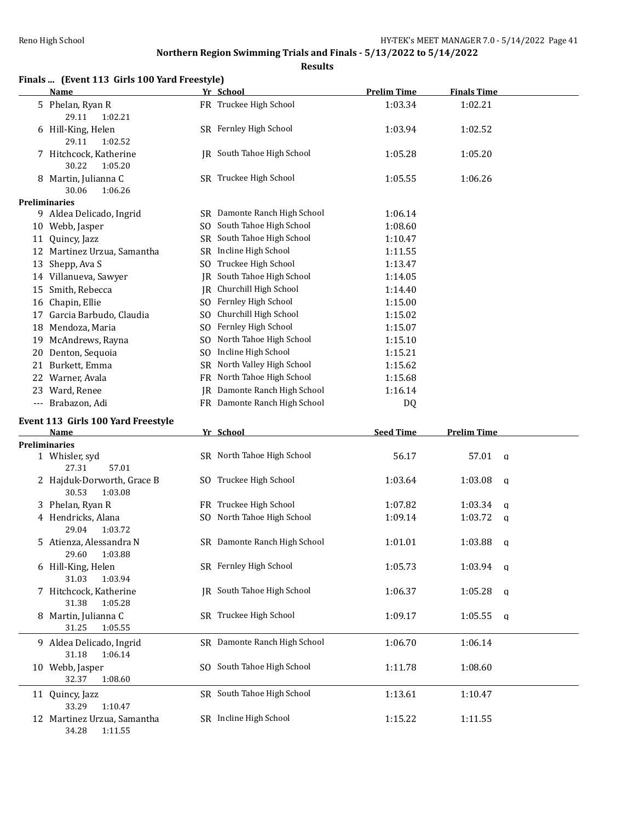## **Northern Region Swimming Trials and Finals - 5/13/2022 to 5/14/2022**

| Finals  (Event 113 Girls 100 Yard Freestyle)<br>Name |     | Yr School                    | <b>Prelim Time</b> | <b>Finals Time</b> |   |
|------------------------------------------------------|-----|------------------------------|--------------------|--------------------|---|
| 5 Phelan, Ryan R<br>29.11<br>1:02.21                 |     | FR Truckee High School       | 1:03.34            | 1:02.21            |   |
| 6 Hill-King, Helen<br>29.11<br>1:02.52               |     | SR Fernley High School       | 1:03.94            | 1:02.52            |   |
| 7 Hitchcock, Katherine<br>30.22<br>1:05.20           |     | JR South Tahoe High School   | 1:05.28            | 1:05.20            |   |
| 8 Martin, Julianna C<br>1:06.26<br>30.06             |     | SR Truckee High School       | 1:05.55            | 1:06.26            |   |
| <b>Preliminaries</b>                                 |     |                              |                    |                    |   |
| 9 Aldea Delicado, Ingrid                             |     | SR Damonte Ranch High School | 1:06.14            |                    |   |
| 10 Webb, Jasper                                      | SO. | South Tahoe High School      | 1:08.60            |                    |   |
| 11 Quincy, Jazz                                      |     | SR South Tahoe High School   | 1:10.47            |                    |   |
| 12 Martinez Urzua, Samantha                          |     | SR Incline High School       | 1:11.55            |                    |   |
| 13 Shepp, Ava S                                      |     | SO Truckee High School       | 1:13.47            |                    |   |
| 14 Villanueva, Sawyer                                | IR  | South Tahoe High School      | 1:14.05            |                    |   |
| 15 Smith, Rebecca                                    | IR  | Churchill High School        | 1:14.40            |                    |   |
| 16 Chapin, Ellie                                     | SO. | Fernley High School          | 1:15.00            |                    |   |
| 17 Garcia Barbudo, Claudia                           | SO  | Churchill High School        | 1:15.02            |                    |   |
| 18 Mendoza, Maria                                    | SO. | Fernley High School          | 1:15.07            |                    |   |
| 19 McAndrews, Rayna                                  | SO  | North Tahoe High School      | 1:15.10            |                    |   |
| 20 Denton, Sequoia                                   | SO. | Incline High School          | 1:15.21            |                    |   |
| 21 Burkett, Emma                                     | SR  | North Valley High School     | 1:15.62            |                    |   |
| 22 Warner, Avala                                     | FR  | North Tahoe High School      | 1:15.68            |                    |   |
| 23 Ward, Renee                                       | IR  | Damonte Ranch High School    | 1:16.14            |                    |   |
| --- Brabazon, Adi                                    |     | FR Damonte Ranch High School | DQ                 |                    |   |
| Event 113 Girls 100 Yard Freestyle                   |     |                              |                    |                    |   |
| Name                                                 |     | Yr School                    | <b>Seed Time</b>   | <b>Prelim Time</b> |   |
| <b>Preliminaries</b>                                 |     |                              |                    |                    |   |
| 1 Whisler, syd<br>27.31<br>57.01                     |     | SR North Tahoe High School   | 56.17              | 57.01<br>q         |   |
| 2 Hajduk-Dorworth, Grace B<br>30.53<br>1:03.08       |     | SO Truckee High School       | 1:03.64            | 1:03.08            | a |
| 3 Phelan, Ryan R                                     |     | FR Truckee High School       | 1:07.82            | 1:03.34            | a |
| 4 Hendricks, Alana<br>29.04<br>1:03.72               |     | SO North Tahoe High School   | 1:09.14            | 1:03.72            | q |
| 5 Atienza, Alessandra N<br>29.60<br>1:03.88          |     | SR Damonte Ranch High School | 1:01.01            | $1:03.88$ a        |   |
| 6 Hill-King, Helen<br>31.03<br>1:03.94               |     | SR Fernley High School       | 1:05.73            | $1:03.94$ a        |   |
| 7 Hitchcock, Katherine<br>31.38<br>1:05.28           |     | JR South Tahoe High School   | 1:06.37            | 1:05.28            | a |
| 8 Martin, Julianna C<br>31.25<br>1:05.55             |     | SR Truckee High School       | 1:09.17            | 1:05.55<br>q       |   |
| 9 Aldea Delicado, Ingrid<br>31.18<br>1:06.14         |     | SR Damonte Ranch High School | 1:06.70            | 1:06.14            |   |
| 10 Webb, Jasper<br>32.37<br>1:08.60                  |     | SO South Tahoe High School   | 1:11.78            | 1:08.60            |   |
| 11 Quincy, Jazz<br>1:10.47<br>33.29                  |     | SR South Tahoe High School   | 1:13.61            | 1:10.47            |   |
| 12 Martinez Urzua, Samantha<br>34.28<br>1:11.55      |     | SR Incline High School       | 1:15.22            | 1:11.55            |   |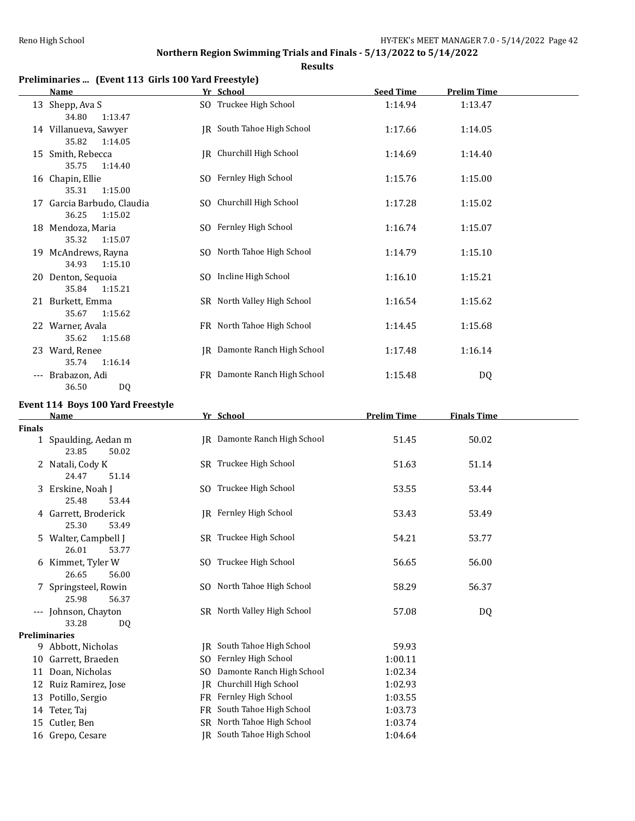**Results**

## **Preliminaries ... (Event 113 Girls 100 Yard Freestyle)**

|    | Name                                                          | Yr School                    | <b>Seed Time</b> | <b>Prelim Time</b> |
|----|---------------------------------------------------------------|------------------------------|------------------|--------------------|
|    | 13 Shepp, Ava S                                               | SO Truckee High School       | 1:14.94          | 1:13.47            |
|    | 1:13.47<br>34.80<br>14 Villanueva, Sawyer<br>35.82<br>1:14.05 | IR South Tahoe High School   | 1:17.66          | 1:14.05            |
|    | 15 Smith, Rebecca<br>35.75<br>1:14.40                         | JR Churchill High School     | 1:14.69          | 1:14.40            |
|    | 16 Chapin, Ellie<br>35.31<br>1:15.00                          | SO Fernley High School       | 1:15.76          | 1:15.00            |
|    | 17 Garcia Barbudo, Claudia<br>36.25<br>1:15.02                | SO Churchill High School     | 1:17.28          | 1:15.02            |
|    | 18 Mendoza, Maria<br>35.32<br>1:15.07                         | SO Fernley High School       | 1:16.74          | 1:15.07            |
| 19 | McAndrews, Rayna<br>34.93<br>1:15.10                          | SO North Tahoe High School   | 1:14.79          | 1:15.10            |
|    | 20 Denton, Sequoia<br>35.84<br>1:15.21                        | SO Incline High School       | 1:16.10          | 1:15.21            |
|    | 21 Burkett, Emma<br>35.67<br>1:15.62                          | SR North Valley High School  | 1:16.54          | 1:15.62            |
|    | 22 Warner, Avala<br>35.62<br>1:15.68                          | FR North Tahoe High School   | 1:14.45          | 1:15.68            |
|    | 23 Ward, Renee<br>35.74<br>1:16.14                            | JR Damonte Ranch High School | 1:17.48          | 1:16.14            |
|    | Brabazon, Adi<br>36.50<br>DQ                                  | FR Damonte Ranch High School | 1:15.48          | DQ                 |

## **Event 114 Boys 100 Yard Freestyle**

|               | Yr School<br><b>Name</b>                   |           |                              | <b>Prelim Time</b> | <b>Finals Time</b> |  |
|---------------|--------------------------------------------|-----------|------------------------------|--------------------|--------------------|--|
| <b>Finals</b> |                                            |           |                              |                    |                    |  |
|               | 1 Spaulding, Aedan m                       |           | IR Damonte Ranch High School | 51.45              | 50.02              |  |
|               | 23.85<br>50.02                             |           |                              |                    |                    |  |
|               | 2 Natali, Cody K                           |           | SR Truckee High School       | 51.63              | 51.14              |  |
|               | 24.47<br>51.14                             |           |                              |                    |                    |  |
|               | 3 Erskine, Noah J                          |           | SO Truckee High School       | 53.55              | 53.44              |  |
|               | 25.48<br>53.44                             |           |                              |                    |                    |  |
|               | 4 Garrett, Broderick                       |           | IR Fernley High School       | 53.43              | 53.49              |  |
|               | 25.30<br>53.49                             |           |                              |                    |                    |  |
|               | 5 Walter, Campbell J                       |           | SR Truckee High School       | 54.21              | 53.77              |  |
|               | 26.01<br>53.77                             |           |                              |                    |                    |  |
|               | 6 Kimmet, Tyler W                          |           | SO Truckee High School       | 56.65              | 56.00              |  |
|               | 26.65<br>56.00                             |           |                              |                    |                    |  |
|               | 7 Springsteel, Rowin                       |           | SO North Tahoe High School   | 58.29              | 56.37              |  |
|               | 25.98<br>56.37                             |           |                              |                    |                    |  |
|               | --- Johnson, Chayton                       |           | SR North Valley High School  | 57.08              | DQ                 |  |
|               | 33.28<br>DQ                                |           |                              |                    |                    |  |
|               | <b>Preliminaries</b><br>9 Abbott, Nicholas |           | IR South Tahoe High School   | 59.93              |                    |  |
|               |                                            |           | Fernley High School          | 1:00.11            |                    |  |
| 10            | Garrett, Braeden                           | SO.       | Damonte Ranch High School    |                    |                    |  |
| 11            | Doan, Nicholas                             | SO.       |                              | 1:02.34            |                    |  |
| 12            | Ruiz Ramirez, Jose                         | IR        | Churchill High School        | 1:02.93            |                    |  |
|               | 13 Potillo, Sergio                         | FR.       | Fernley High School          | 1:03.55            |                    |  |
|               | 14 Teter, Taj                              | <b>FR</b> | South Tahoe High School      | 1:03.73            |                    |  |
| 15            | Cutler, Ben                                | SR        | North Tahoe High School      | 1:03.74            |                    |  |
|               | 16 Grepo, Cesare                           |           | JR South Tahoe High School   | 1:04.64            |                    |  |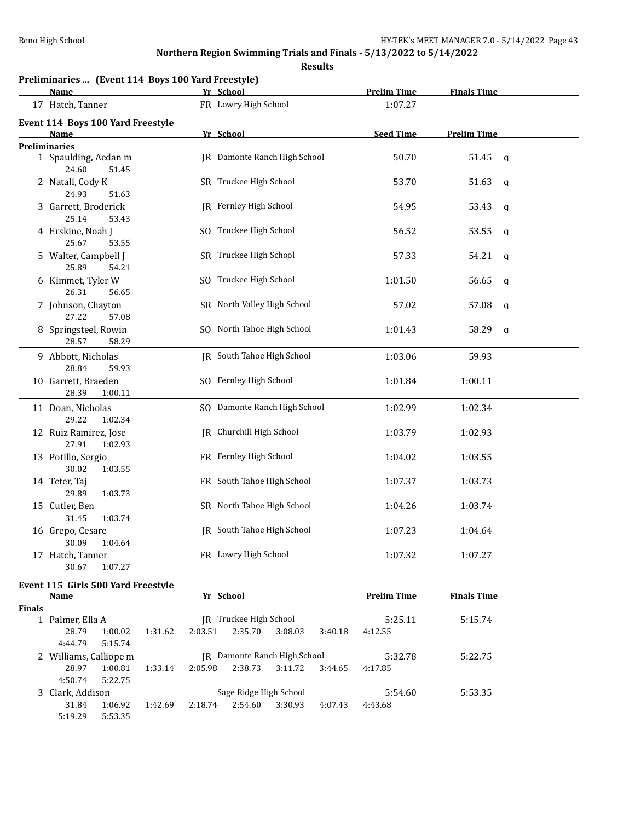## **Northern Region Swimming Trials and Finals - 5/13/2022 to 5/14/2022**

|    |                                                                   | <b>Results</b>               |                    |                    |              |
|----|-------------------------------------------------------------------|------------------------------|--------------------|--------------------|--------------|
|    | Preliminaries  (Event 114 Boys 100 Yard Freestyle)<br><b>Name</b> | Yr School                    | <b>Prelim Time</b> | <b>Finals Time</b> |              |
|    | 17 Hatch, Tanner                                                  | FR Lowry High School         | 1:07.27            |                    |              |
|    | Event 114 Boys 100 Yard Freestyle                                 |                              |                    |                    |              |
|    | <b>Name</b>                                                       | Yr School                    | <b>Seed Time</b>   | <b>Prelim Time</b> |              |
|    | <b>Preliminaries</b>                                              |                              |                    |                    |              |
|    | 1 Spaulding, Aedan m<br>24.60<br>51.45                            | JR Damonte Ranch High School | 50.70              | 51.45              | <b>g</b>     |
| 2  | Natali, Cody K<br>24.93<br>51.63                                  | SR Truckee High School       | 53.70              | 51.63              | $\mathbf q$  |
| 3  | Garrett, Broderick<br>25.14<br>53.43                              | JR Fernley High School       | 54.95              | 53.43              | $\mathbf q$  |
|    | 4 Erskine, Noah J<br>25.67<br>53.55                               | SO Truckee High School       | 56.52              | 53.55              | $\mathbf q$  |
| 5. | Walter, Campbell J<br>25.89<br>54.21                              | SR Truckee High School       | 57.33              | 54.21              | $\mathbf q$  |
| 6  | Kimmet, Tyler W<br>26.31<br>56.65                                 | SO Truckee High School       | 1:01.50            | 56.65              | q            |
|    | 7 Johnson, Chayton<br>27.22<br>57.08                              | SR North Valley High School  | 57.02              | 57.08              | $\mathbf q$  |
| 8. | Springsteel, Rowin<br>28.57<br>58.29                              | SO North Tahoe High School   | 1:01.43            | 58.29              | $\mathbf{q}$ |
|    | 9 Abbott, Nicholas<br>28.84<br>59.93                              | JR South Tahoe High School   | 1:03.06            | 59.93              |              |
|    | 10 Garrett, Braeden<br>1:00.11<br>28.39                           | SO Fernley High School       | 1:01.84            | 1:00.11            |              |
|    | 11 Doan, Nicholas<br>29.22<br>1:02.34                             | SO Damonte Ranch High School | 1:02.99            | 1:02.34            |              |
|    | 12 Ruiz Ramirez, Jose<br>27.91<br>1:02.93                         | JR Churchill High School     | 1:03.79            | 1:02.93            |              |
|    | 13 Potillo, Sergio<br>30.02<br>1:03.55                            | FR Fernley High School       | 1:04.02            | 1:03.55            |              |
|    | 14 Teter. Tai                                                     | FR South Tahoe High School   | 1:07.37            | 1:03.73            |              |

|                  | 30.02            | 1:03.55 |                            |         |         |
|------------------|------------------|---------|----------------------------|---------|---------|
|                  | 14 Teter, Taj    |         | FR South Tahoe High School | 1:07.37 | 1:03.73 |
|                  | 29.89            | 1:03.73 |                            |         |         |
|                  | 15 Cutler, Ben   |         | SR North Tahoe High School | 1:04.26 | 1:03.74 |
|                  | 31.45            | 1:03.74 |                            |         |         |
|                  | 16 Grepo, Cesare |         | IR South Tahoe High School | 1:07.23 | 1:04.64 |
|                  | 30.09            | 1:04.64 |                            |         |         |
| 17 Hatch, Tanner |                  |         | FR Lowry High School       | 1:07.32 | 1:07.27 |
|                  | 30.67            | 1:07.27 |                            |         |         |

## **Event 115 Girls 500 Yard Freestyle**

|               | Name                   |         |         | Yr School                 |                        |                                     |         | <b>Prelim Time</b> | <b>Finals Time</b> |  |
|---------------|------------------------|---------|---------|---------------------------|------------------------|-------------------------------------|---------|--------------------|--------------------|--|
| <b>Finals</b> |                        |         |         |                           |                        |                                     |         |                    |                    |  |
|               | Palmer, Ella A         |         |         | Truckee High School<br>IR |                        |                                     |         | 5:25.11            | 5:15.74            |  |
|               | 28.79                  | 1:00.02 | 1:31.62 | 2:03.51                   | 2:35.70                | 3:08.03                             | 3:40.18 | 4:12.55            |                    |  |
|               | 4:44.79                | 5:15.74 |         |                           |                        |                                     |         |                    |                    |  |
|               | 2 Williams, Calliope m |         |         |                           |                        | <b>IR</b> Damonte Ranch High School |         | 5:32.78            | 5:22.75            |  |
|               | 28.97                  | 1:00.81 | 1:33.14 | 2:05.98                   | 2:38.73                | 3:11.72                             | 3:44.65 | 4:17.85            |                    |  |
|               | 4:50.74                | 5:22.75 |         |                           |                        |                                     |         |                    |                    |  |
|               | 3 Clark, Addison       |         |         |                           | Sage Ridge High School |                                     |         | 5:54.60            | 5:53.35            |  |
|               | 31.84                  | 1:06.92 | 1:42.69 | 2:18.74                   | 2:54.60                | 3:30.93                             | 4:07.43 | 4:43.68            |                    |  |
|               | 5:19.29                | 5:53.35 |         |                           |                        |                                     |         |                    |                    |  |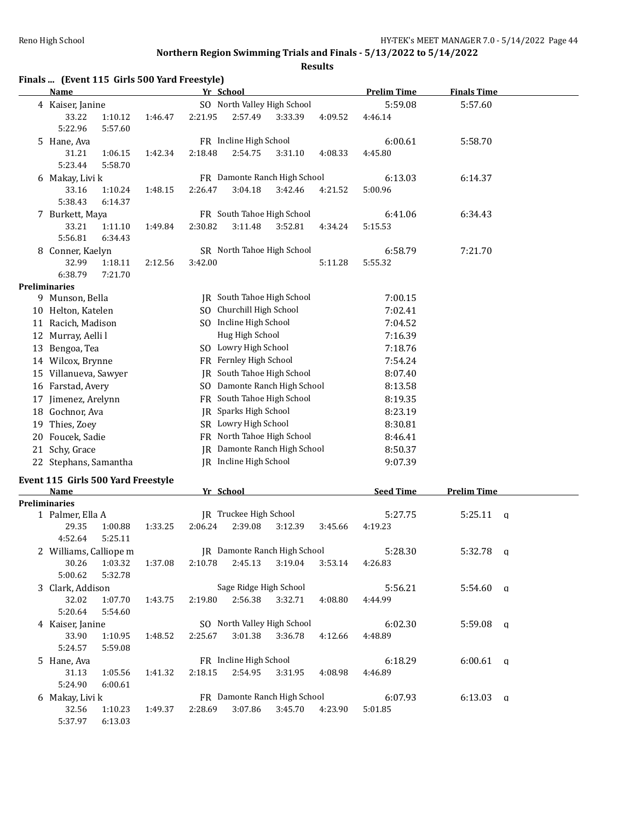| Finals  (Event 115 Girls 500 Yard Freestyle)<br>Name |         | Yr School                                         |                                     | <b>Prelim Time</b> | <b>Finals Time</b> |  |
|------------------------------------------------------|---------|---------------------------------------------------|-------------------------------------|--------------------|--------------------|--|
| 4 Kaiser, Janine                                     |         |                                                   |                                     | 5:59.08            | 5:57.60            |  |
| 33.22<br>1:10.12                                     |         | SO North Valley High School<br>2:57.49<br>4:09.52 |                                     | 4:46.14            |                    |  |
| 5:22.96<br>5:57.60                                   | 1:46.47 | 2:21.95                                           | 3:33.39                             |                    |                    |  |
| 5 Hane, Ava                                          |         | FR Incline High School                            |                                     | 6:00.61            | 5:58.70            |  |
| 31.21<br>1:06.15                                     | 1:42.34 | 2:18.48<br>2:54.75                                | 3:31.10<br>4:08.33                  | 4:45.80            |                    |  |
| 5:23.44<br>5:58.70                                   |         |                                                   |                                     |                    |                    |  |
| 6 Makay, Livi k                                      |         |                                                   | FR Damonte Ranch High School        | 6:13.03            | 6:14.37            |  |
| 33.16<br>1:10.24                                     | 1:48.15 | 3:04.18<br>2:26.47                                | 3:42.46<br>4:21.52                  | 5:00.96            |                    |  |
| 5:38.43<br>6:14.37                                   |         |                                                   |                                     |                    |                    |  |
| 7 Burkett, Maya                                      |         | FR South Tahoe High School                        |                                     | 6:41.06            | 6:34.43            |  |
| 33.21<br>1:11.10                                     | 1:49.84 | 2:30.82<br>3:11.48                                | 3:52.81<br>4:34.24                  | 5:15.53            |                    |  |
| 5:56.81<br>6:34.43                                   |         |                                                   |                                     |                    |                    |  |
| 8 Conner, Kaelyn                                     |         | SR North Tahoe High School                        |                                     | 6:58.79            | 7:21.70            |  |
| 32.99<br>1:18.11                                     | 2:12.56 | 3:42.00                                           | 5:11.28                             | 5:55.32            |                    |  |
| 6:38.79<br>7:21.70                                   |         |                                                   |                                     |                    |                    |  |
| <b>Preliminaries</b>                                 |         |                                                   |                                     |                    |                    |  |
| 9 Munson, Bella                                      |         | JR South Tahoe High School                        |                                     | 7:00.15            |                    |  |
| 10 Helton, Katelen                                   |         | SO Churchill High School                          |                                     | 7:02.41            |                    |  |
| 11 Racich, Madison                                   |         | SO Incline High School                            |                                     | 7:04.52            |                    |  |
| 12 Murray, Aelli l                                   |         | Hug High School                                   |                                     | 7:16.39            |                    |  |
| SO Lowry High School<br>13 Bengoa, Tea               |         |                                                   |                                     | 7:18.76            |                    |  |
| 14 Wilcox, Brynne                                    |         | FR Fernley High School                            |                                     | 7:54.24            |                    |  |
| 15 Villanueva, Sawyer                                |         | JR South Tahoe High School                        |                                     | 8:07.40            |                    |  |
| 16 Farstad, Avery                                    |         |                                                   | SO Damonte Ranch High School        | 8:13.58            |                    |  |
| 17 Jimenez, Arelynn                                  |         | FR South Tahoe High School                        |                                     | 8:19.35            |                    |  |
| 18 Gochnor, Ava                                      |         | JR Sparks High School                             |                                     | 8:23.19            |                    |  |
| 19 Thies, Zoey                                       |         | SR Lowry High School                              |                                     | 8:30.81            |                    |  |
| 20 Foucek, Sadie                                     |         | FR North Tahoe High School                        |                                     | 8:46.41            |                    |  |
| 21 Schy, Grace                                       |         |                                                   | JR Damonte Ranch High School        |                    |                    |  |
|                                                      |         | JR Incline High School                            |                                     | 8:50.37            |                    |  |
| 22 Stephans, Samantha                                |         |                                                   |                                     | 9:07.39            |                    |  |
| Event 115 Girls 500 Yard Freestyle                   |         |                                                   |                                     |                    |                    |  |
| Name                                                 |         | Yr School                                         |                                     | <b>Seed Time</b>   | <b>Prelim Time</b> |  |
| <b>Preliminaries</b>                                 |         | JR Truckee High School                            |                                     |                    |                    |  |
| 1 Palmer, Ella A<br>29.35<br>1:00.88                 | 1:33.25 | 2:06.24<br>2:39.08                                | 3:12.39<br>3:45.66                  | 5:27.75<br>4:19.23 | 5:25.11<br>a       |  |
| 4:52.64   5:25.11                                    |         |                                                   |                                     |                    |                    |  |
| 2 Williams, Calliope m                               |         |                                                   | <b>IR</b> Damonte Ranch High School | 5:28.30            | $5:32.78$ a        |  |
| 30.26<br>1:03.32                                     | 1:37.08 | 2:10.78<br>2:45.13                                | 3:19.04<br>3:53.14                  | 4:26.83            |                    |  |
| 5:00.62<br>5:32.78                                   |         |                                                   |                                     |                    |                    |  |
| 3 Clark, Addison                                     |         |                                                   | Sage Ridge High School              | 5:56.21            | $5:54.60$ a        |  |
| 32.02<br>1:07.70                                     | 1:43.75 | 2:56.38<br>2:19.80                                | 3:32.71<br>4:08.80                  | 4:44.99            |                    |  |
| 5:20.64<br>5:54.60                                   |         |                                                   |                                     |                    |                    |  |
| 4 Kaiser, Janine                                     |         | SO North Valley High School                       |                                     | 6:02.30            | $5:59.08$ a        |  |
| 33.90<br>1:10.95                                     | 1:48.52 | 3:01.38<br>2:25.67                                | 3:36.78<br>4:12.66                  | 4:48.89            |                    |  |
| 5:24.57<br>5:59.08                                   |         |                                                   |                                     |                    |                    |  |
| 5 Hane, Ava                                          |         | FR Incline High School                            |                                     | 6:18.29            | $6:00.61$ q        |  |
| 31.13<br>1:05.56                                     | 1:41.32 | 2:18.15<br>2:54.95                                | 3:31.95<br>4:08.98                  | 4:46.89            |                    |  |
| 5:24.90<br>6:00.61                                   |         |                                                   |                                     |                    |                    |  |
| 6 Makay, Livi k                                      |         |                                                   | FR Damonte Ranch High School        | 6:07.93            | $6:13.03$ q        |  |
| 32.56<br>1:10.23                                     | 1:49.37 | 2:28.69<br>3:07.86                                | 3:45.70<br>4:23.90                  | 5:01.85            |                    |  |
| 5:37.97<br>6:13.03                                   |         |                                                   |                                     |                    |                    |  |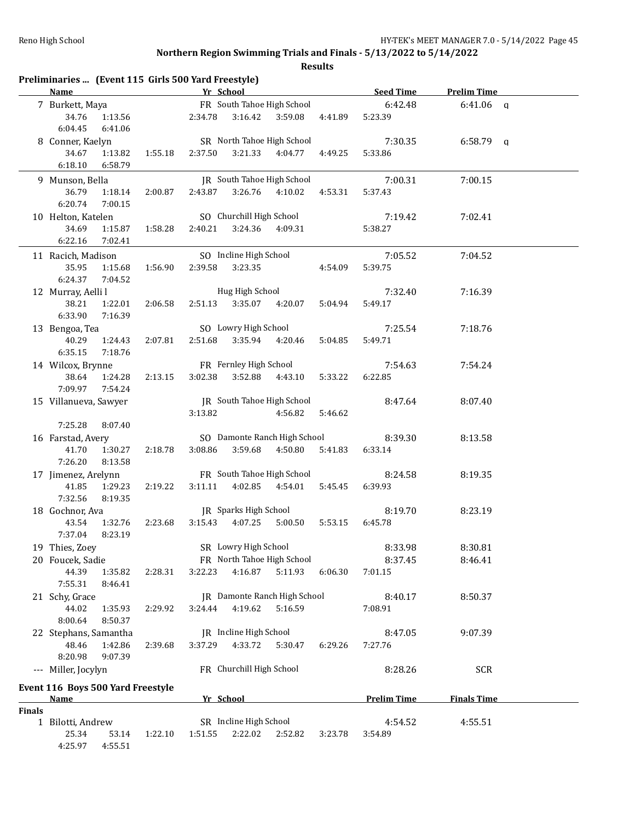|               | Preliminaries  (Event 115 Girls 500 Yard Freestyle)             |         |                                                    |                  |         |                             |                    |  |
|---------------|-----------------------------------------------------------------|---------|----------------------------------------------------|------------------|---------|-----------------------------|--------------------|--|
|               | <b>Name</b>                                                     |         | Yr School                                          |                  |         | <b>Example 12 Seed Time</b> | <b>Prelim Time</b> |  |
|               | 7 Burkett, Maya<br>34.76<br>1:13.56<br>6:04.45<br>6:41.06       |         | FR South Tahoe High School<br>2:34.78 3:16.42      | 3:59.08          | 4:41.89 | 6:42.48<br>5:23.39          | $6:41.06$ a        |  |
|               | 8 Conner, Kaelyn<br>34.67<br>1:13.82<br>6:18.10<br>6:58.79      | 1:55.18 | SR North Tahoe High School<br>3:21.33<br>2:37.50   | 4:04.77          | 4:49.25 | 7:30.35<br>5:33.86          | $6:58.79$ q        |  |
|               | 9 Munson, Bella<br>36.79<br>1:18.14<br>6:20.74<br>7:00.15       | 2:00.87 | JR South Tahoe High School<br>2:43.87              | 3:26.76 4:10.02  | 4:53.31 | 7:00.31<br>5:37.43          | 7:00.15            |  |
|               | 10 Helton, Katelen<br>34.69<br>1:15.87<br>6:22.16<br>7:02.41    | 1:58.28 | SO Churchill High School<br>2:40.21<br>3:24.36     | 4:09.31          |         | 7:19.42<br>5:38.27          | 7:02.41            |  |
|               | 11 Racich, Madison<br>35.95<br>1:15.68<br>6:24.37<br>7:04.52    | 1:56.90 | SO Incline High School<br>2:39.58<br>3:23.35       |                  | 4:54.09 | 7:05.52<br>5:39.75          | 7:04.52            |  |
|               | 12 Murray, Aelli l<br>38.21<br>1:22.01<br>6:33.90<br>7:16.39    | 2:06.58 | Hug High School<br>2:51.13                         | 3:35.07 4:20.07  | 5:04.94 | 7:32.40<br>5:49.17          | 7:16.39            |  |
|               | 13 Bengoa, Tea<br>40.29<br>1:24.43<br>6:35.15<br>7:18.76        | 2:07.81 | SO Lowry High School<br>2:51.68 3:35.94 4:20.46    |                  | 5:04.85 | 7:25.54<br>5:49.71          | 7:18.76            |  |
|               | 14 Wilcox, Brynne<br>38.64<br>1:24.28<br>7:09.97<br>7:54.24     | 2:13.15 | FR Fernley High School<br>3:52.88<br>3:02.38       | 4:43.10          | 5:33.22 | 7:54.63<br>6:22.85          | 7:54.24            |  |
|               | 15 Villanueva, Sawyer<br>7:25.28<br>8:07.40                     |         | JR South Tahoe High School<br>3:13.82              | 4:56.82          | 5:46.62 | 8:47.64                     | 8:07.40            |  |
|               | 16 Farstad, Avery<br>41.70<br>1:30.27<br>7:26.20<br>8:13.58     | 2:18.78 | SO Damonte Ranch High School<br>3:08.86<br>3:59.68 | 4:50.80          | 5:41.83 | 8:39.30<br>6:33.14          | 8:13.58            |  |
|               | 17 Jimenez, Arelynn<br>41.85<br>1:29.23<br>7:32.56<br>8:19.35   | 2:19.22 | FR South Tahoe High School<br>3:11.11              | 4:02.85  4:54.01 | 5:45.45 | 8:24.58<br>6:39.93          | 8:19.35            |  |
|               | 18 Gochnor, Ava<br>43.54<br>1:32.76<br>7:37.04 8:23.19          | 2:23.68 | JR Sparks High School<br>3:15.43  4:07.25          | 5:00.50          | 5:53.15 | 8:19.70<br>6:45.78          | 8:23.19            |  |
|               | 19 Thies, Zoey                                                  |         | SR Lowry High School                               |                  |         | 8:33.98                     | 8:30.81            |  |
|               | 20 Foucek, Sadie<br>44.39<br>1:35.82<br>7:55.31<br>8:46.41      | 2:28.31 | FR North Tahoe High School<br>4:16.87<br>3:22.23   | 5:11.93          | 6:06.30 | 8:37.45<br>7:01.15          | 8:46.41            |  |
|               | 21 Schy, Grace<br>44.02<br>1:35.93<br>8:00.64<br>8:50.37        | 2:29.92 | JR Damonte Ranch High School<br>4:19.62<br>3:24.44 | 5:16.59          |         | 8:40.17<br>7:08.91          | 8:50.37            |  |
|               | 22 Stephans, Samantha<br>48.46<br>1:42.86<br>8:20.98<br>9:07.39 | 2:39.68 | JR Incline High School<br>4:33.72<br>3:37.29       | 5:30.47          | 6:29.26 | 8:47.05<br>7:27.76          | 9:07.39            |  |
|               | --- Miller, Jocylyn                                             |         | FR Churchill High School                           |                  |         | 8:28.26                     | <b>SCR</b>         |  |
|               | Event 116 Boys 500 Yard Freestyle<br><u>Name</u>                |         | Yr School                                          |                  |         | <b>Prelim Time</b>          | <b>Finals Time</b> |  |
| <b>Finals</b> |                                                                 |         |                                                    |                  |         |                             |                    |  |
|               | 1 Bilotti, Andrew<br>25.34<br>53.14<br>4:25.97<br>4:55.51       | 1:22.10 | SR Incline High School<br>2:22.02<br>1:51.55       | 2:52.82          | 3:23.78 | 4:54.52<br>3:54.89          | 4:55.51            |  |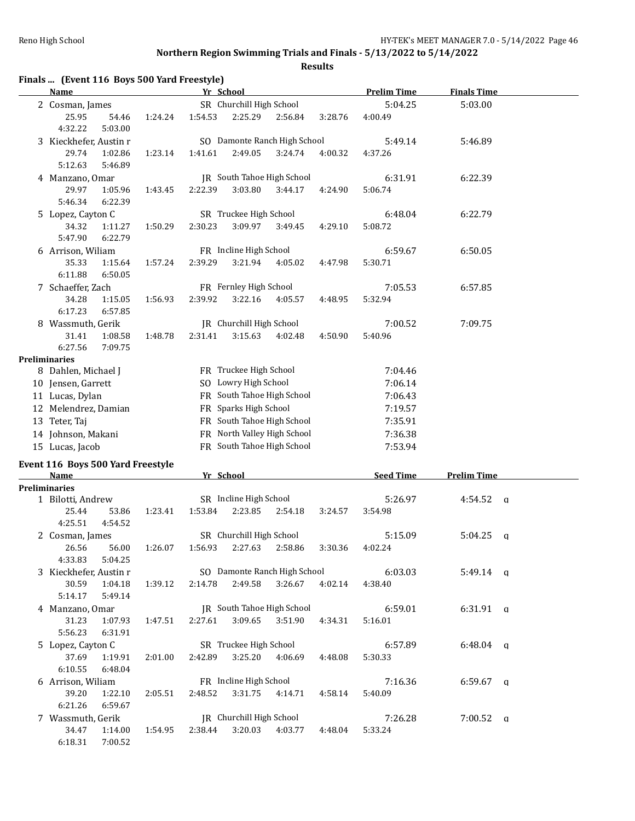**Finals ... (Event 116 Boys 500 Yard Freestyle)**

## **Northern Region Swimming Trials and Finals - 5/13/2022 to 5/14/2022**

**Name Yr School Prelim Time Finals Time**

**Results**

|  | 2 Cosman, James        |         |         | SR Churchill High School |                        |                              |         | 5:04.25 | 5:03.00 |
|--|------------------------|---------|---------|--------------------------|------------------------|------------------------------|---------|---------|---------|
|  | 25.95                  | 54.46   | 1:24.24 | 1:54.53                  | 2:25.29                | 2:56.84                      | 3:28.76 | 4:00.49 |         |
|  | 4:32.22                | 5:03.00 |         |                          |                        |                              |         |         |         |
|  | 3 Kieckhefer, Austin r |         |         |                          |                        | SO Damonte Ranch High School |         | 5:49.14 | 5:46.89 |
|  | 29.74                  | 1:02.86 | 1:23.14 | 1:41.61                  | 2:49.05                | 3:24.74                      | 4:00.32 | 4:37.26 |         |
|  | 5:12.63                | 5:46.89 |         |                          |                        |                              |         |         |         |
|  | 4 Manzano, Omar        |         |         |                          |                        | IR South Tahoe High School   |         | 6:31.91 | 6:22.39 |
|  | 29.97                  | 1:05.96 | 1:43.45 | 2:22.39                  | 3:03.80                | 3:44.17                      | 4:24.90 | 5:06.74 |         |
|  | 5:46.34                | 6:22.39 |         |                          |                        |                              |         |         |         |
|  | 5 Lopez, Cayton C      |         |         |                          | SR Truckee High School |                              |         | 6:48.04 | 6:22.79 |
|  | 34.32                  | 1:11.27 | 1:50.29 | 2:30.23                  | 3:09.97                | 3:49.45                      | 4:29.10 | 5:08.72 |         |
|  | 5:47.90                | 6:22.79 |         |                          |                        |                              |         |         |         |
|  | 6 Arrison, Wiliam      |         |         |                          | FR Incline High School |                              |         | 6:59.67 | 6:50.05 |
|  | 35.33                  | 1:15.64 | 1:57.24 | 2:39.29                  | 3:21.94                | 4:05.02                      | 4:47.98 | 5:30.71 |         |
|  | 6:11.88                | 6:50.05 |         |                          |                        |                              |         |         |         |
|  | 7 Schaeffer, Zach      |         |         | FR Fernley High School   |                        |                              | 7:05.53 | 6:57.85 |         |
|  | 34.28                  | 1:15.05 | 1:56.93 | 2:39.92                  | 3:22.16                | 4:05.57                      | 4:48.95 | 5:32.94 |         |
|  | 6:17.23                | 6:57.85 |         |                          |                        |                              |         |         |         |

|                      | 31.41                | 1:08.58 | 1:48.78 | 2:31.41 | 3:15.63                      | 4:02.48 | 4:50.90 | 5:40.96 |  |
|----------------------|----------------------|---------|---------|---------|------------------------------|---------|---------|---------|--|
|                      | 6:27.56              | 7:09.75 |         |         |                              |         |         |         |  |
| <b>Preliminaries</b> |                      |         |         |         |                              |         |         |         |  |
|                      | 8 Dahlen, Michael J  |         |         |         | FR Truckee High School       |         |         | 7:04.46 |  |
|                      | 10 Jensen, Garrett   |         |         |         | SO Lowry High School         |         |         | 7:06.14 |  |
|                      | 11 Lucas, Dylan      |         |         |         | FR South Tahoe High School   |         |         | 7:06.43 |  |
|                      | 12 Melendrez, Damian |         |         |         | <b>FR</b> Sparks High School |         |         | 7:19.57 |  |
|                      | 13 Teter, Taj        |         |         |         | FR South Tahoe High School   |         |         | 7:35.91 |  |
|                      | 14 Johnson, Makani   |         |         |         | FR North Valley High School  |         |         | 7:36.38 |  |
|                      | 15 Lucas, Jacob      |         |         |         | FR South Tahoe High School   |         |         | 7:53.94 |  |

8 Wassmuth, Gerik JR Churchill High School 7:00.52 7:09.75

### **Event 116 Boys 500 Yard Freestyle**

| <b>Name</b>            |         |         | Yr School                |                              |         |         | <b>Seed Time</b> | <b>Prelim Time</b> |   |
|------------------------|---------|---------|--------------------------|------------------------------|---------|---------|------------------|--------------------|---|
| <b>Preliminaries</b>   |         |         |                          |                              |         |         |                  |                    |   |
| 1 Bilotti, Andrew      |         |         |                          | SR Incline High School       |         |         | 5:26.97          | $4:54.52$ q        |   |
| 25.44                  | 53.86   | 1:23.41 | 1:53.84                  | 2:23.85                      | 2:54.18 | 3:24.57 | 3:54.98          |                    |   |
| 4:25.51                | 4:54.52 |         |                          |                              |         |         |                  |                    |   |
| 2 Cosman, James        |         |         |                          | SR Churchill High School     |         |         | 5:15.09          | $5:04.25$ q        |   |
| 26.56                  | 56.00   | 1:26.07 | 1:56.93                  | 2:27.63                      | 2:58.86 | 3:30.36 | 4:02.24          |                    |   |
| 4:33.83                | 5:04.25 |         |                          |                              |         |         |                  |                    |   |
| 3 Kieckhefer, Austin r |         |         |                          | SO Damonte Ranch High School |         |         | 6:03.03          | $5:49.14$ q        |   |
| 30.59                  | 1:04.18 | 1:39.12 | 2:14.78                  | 2:49.58                      | 3:26.67 | 4:02.14 | 4:38.40          |                    |   |
| 5:14.17                | 5:49.14 |         |                          |                              |         |         |                  |                    |   |
| 4 Manzano, Omar        |         |         |                          | IR South Tahoe High School   |         |         | 6:59.01          | $6:31.91$ q        |   |
| 31.23                  | 1:07.93 | 1:47.51 | 2:27.61                  | 3:09.65                      | 3:51.90 | 4:34.31 | 5:16.01          |                    |   |
| 5:56.23                | 6:31.91 |         |                          |                              |         |         |                  |                    |   |
| 5 Lopez, Cayton C      |         |         |                          | SR Truckee High School       |         |         | 6:57.89          | $6:48.04$ a        |   |
| 37.69                  | 1:19.91 | 2:01.00 | 2:42.89                  | 3:25.20                      | 4:06.69 | 4:48.08 | 5:30.33          |                    |   |
| 6:10.55                | 6:48.04 |         |                          |                              |         |         |                  |                    |   |
| 6 Arrison, Wiliam      |         |         |                          | FR Incline High School       |         |         | 7:16.36          | 6:59.67            | a |
| 39.20                  | 1:22.10 | 2:05.51 | 2:48.52                  | 3:31.75                      | 4:14.71 | 4:58.14 | 5:40.09          |                    |   |
| 6:21.26                | 6:59.67 |         |                          |                              |         |         |                  |                    |   |
| 7 Wassmuth, Gerik      |         |         | IR Churchill High School |                              |         | 7:26.28 | 7:00.52          | $\alpha$           |   |
| 34.47                  | 1:14.00 | 1:54.95 | 2:38.44                  | 3:20.03                      | 4:03.77 | 4:48.04 | 5:33.24          |                    |   |
| 6:18.31                | 7:00.52 |         |                          |                              |         |         |                  |                    |   |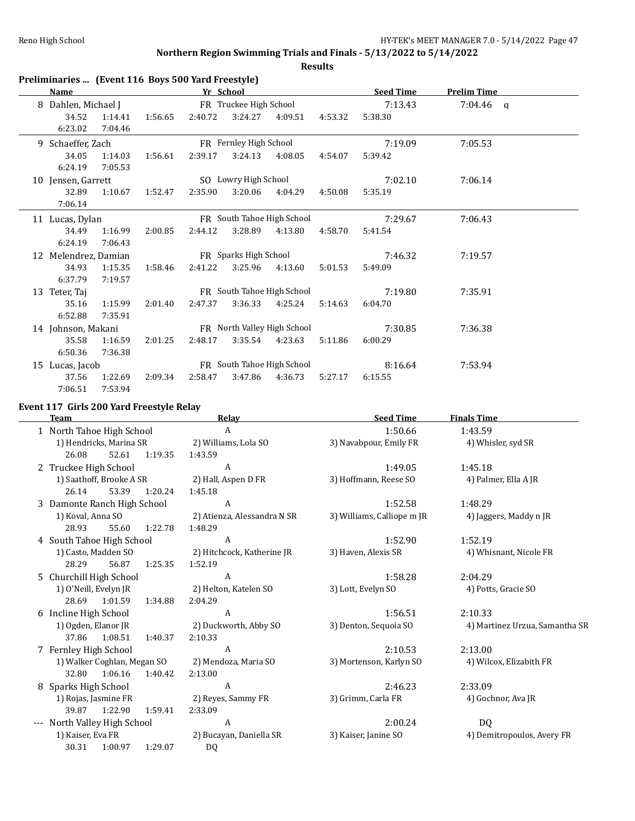**Results**

| Preliminaries  (Event 116 Boys 500 Yard Freestyle) |  |  |  |
|----------------------------------------------------|--|--|--|
|----------------------------------------------------|--|--|--|

|    | <b>Name</b>          |         |         | Yr School |                        |                             |         | <b>Seed Time</b> | <b>Prelim Time</b> |  |
|----|----------------------|---------|---------|-----------|------------------------|-----------------------------|---------|------------------|--------------------|--|
|    | Dahlen, Michael J    |         |         |           | FR Truckee High School |                             |         | 7:13.43          | $7:04.46$ q        |  |
|    | 34.52                | 1:14.41 | 1:56.65 | 2:40.72   | 3:24.27                | 4:09.51                     | 4:53.32 | 5:38.30          |                    |  |
|    | 6:23.02              | 7:04.46 |         |           |                        |                             |         |                  |                    |  |
|    | 9 Schaeffer, Zach    |         |         |           | FR Fernley High School |                             |         | 7:19.09          | 7:05.53            |  |
|    | 34.05                | 1:14.03 | 1:56.61 | 2:39.17   | 3:24.13                | 4:08.05                     | 4:54.07 | 5:39.42          |                    |  |
|    | 6:24.19              | 7:05.53 |         |           |                        |                             |         |                  |                    |  |
|    | 10 Jensen, Garrett   |         |         |           | SO Lowry High School   |                             |         | 7:02.10          | 7:06.14            |  |
|    | 32.89                | 1:10.67 | 1:52.47 | 2:35.90   | 3:20.06                | 4:04.29                     | 4:50.08 | 5:35.19          |                    |  |
|    | 7:06.14              |         |         |           |                        |                             |         |                  |                    |  |
|    | 11 Lucas, Dylan      |         |         |           |                        | FR South Tahoe High School  |         | 7:29.67          | 7:06.43            |  |
|    | 34.49                | 1:16.99 | 2:00.85 | 2:44.12   | 3:28.89                | 4:13.80                     | 4:58.70 | 5:41.54          |                    |  |
|    | 6:24.19              | 7:06.43 |         |           |                        |                             |         |                  |                    |  |
|    | 12 Melendrez, Damian |         |         |           | FR Sparks High School  |                             |         | 7:46.32          | 7:19.57            |  |
|    | 34.93                | 1:15.35 | 1:58.46 | 2:41.22   | 3:25.96                | 4:13.60                     | 5:01.53 | 5:49.09          |                    |  |
|    | 6:37.79              | 7:19.57 |         |           |                        |                             |         |                  |                    |  |
|    | 13 Teter, Taj        |         |         |           |                        | FR South Tahoe High School  |         | 7:19.80          | 7:35.91            |  |
|    | 35.16                | 1:15.99 | 2:01.40 | 2:47.37   | 3:36.33                | 4:25.24                     | 5:14.63 | 6:04.70          |                    |  |
|    | 6:52.88              | 7:35.91 |         |           |                        |                             |         |                  |                    |  |
|    | 14 Johnson, Makani   |         |         |           |                        | FR North Valley High School |         | 7:30.85          | 7:36.38            |  |
|    | 35.58                | 1:16.59 | 2:01.25 | 2:48.17   | 3:35.54                | 4:23.63                     | 5:11.86 | 6:00.29          |                    |  |
|    | 6:50.36              | 7:36.38 |         |           |                        |                             |         |                  |                    |  |
| 15 | Lucas, Jacob         |         |         |           |                        | FR South Tahoe High School  |         | 8:16.64          | 7:53.94            |  |
|    | 37.56                | 1:22.69 | 2:09.34 | 2:58.47   | 3:47.86                | 4:36.73                     | 5:27.17 | 6:15.55          |                    |  |
|    | 7:06.51              | 7:53.94 |         |           |                        |                             |         |                  |                    |  |

## **Event 117 Girls 200 Yard Freestyle Relay**

|                     | <b>Team</b>                 |         | Relay                       | <b>Seed Time</b>           | <b>Finals Time</b>             |
|---------------------|-----------------------------|---------|-----------------------------|----------------------------|--------------------------------|
|                     | 1 North Tahoe High School   |         | A                           | 1:50.66                    | 1:43.59                        |
|                     | 1) Hendricks, Marina SR     |         | 2) Williams, Lola SO        | 3) Navabpour, Emily FR     | 4) Whisler, syd SR             |
|                     | 26.08<br>52.61              | 1:19.35 | 1:43.59                     |                            |                                |
|                     | 2 Truckee High School       |         | A                           | 1:49.05                    | 1:45.18                        |
|                     | 1) Saathoff, Brooke A SR    |         | 2) Hall, Aspen D FR         | 3) Hoffmann, Reese SO      | 4) Palmer, Ella A JR           |
|                     | 26.14<br>53.39              | 1:20.24 | 1:45.18                     |                            |                                |
|                     | 3 Damonte Ranch High School |         | A                           | 1:52.58                    | 1:48.29                        |
|                     | 1) Koval, Anna SO           |         | 2) Atienza, Alessandra N SR | 3) Williams, Calliope m JR | 4) Jaggers, Maddy n JR         |
|                     | 28.93<br>55.60              | 1:22.78 | 1:48.29                     |                            |                                |
|                     | 4 South Tahoe High School   |         | A                           | 1:52.90                    | 1:52.19                        |
| 1) Casto, Madden SO |                             |         | 2) Hitchcock, Katherine JR  | 3) Haven, Alexis SR        | 4) Whisnant, Nicole FR         |
|                     | 28.29<br>56.87              | 1:25.35 | 1:52.19                     |                            |                                |
|                     | 5 Churchill High School     |         | $\overline{A}$              | 1:58.28                    | 2:04.29                        |
|                     | 1) O'Neill, Evelyn JR       |         | 2) Helton, Katelen SO       | 3) Lott, Evelyn SO         | 4) Potts, Gracie SO            |
|                     | 1:01.59<br>28.69            | 1:34.88 | 2:04.29                     |                            |                                |
|                     | 6 Incline High School       |         | A                           | 1:56.51                    | 2:10.33                        |
|                     | 1) Ogden, Elanor JR         |         | 2) Duckworth, Abby SO       | 3) Denton, Sequoia SO      | 4) Martinez Urzua, Samantha SR |
|                     | 1:08.51<br>37.86            | 1:40.37 | 2:10.33                     |                            |                                |
|                     | 7 Fernley High School       |         | A                           | 2:10.53                    | 2:13.00                        |
|                     | 1) Walker Coghlan, Megan SO |         | 2) Mendoza, Maria SO        | 3) Mortenson, Karlyn SO    | 4) Wilcox, Elizabith FR        |
|                     | 32.80<br>1:06.16            | 1:40.42 | 2:13.00                     |                            |                                |
|                     | 8 Sparks High School        |         | A                           | 2:46.23                    | 2:33.09                        |
|                     | 1) Rojas, Jasmine FR        |         | 2) Reyes, Sammy FR          | 3) Grimm, Carla FR         | 4) Gochnor, Ava JR             |
|                     | 1:22.90<br>39.87            | 1:59.41 | 2:33.09                     |                            |                                |
|                     | North Valley High School    |         | A                           | 2:00.24                    | DQ.                            |
|                     | 1) Kaiser, Eva FR           |         | 2) Bucayan, Daniella SR     | 3) Kaiser, Janine SO       | 4) Demitropoulos, Avery FR     |
|                     | 30.31<br>1:00.97            | 1:29.07 | DQ                          |                            |                                |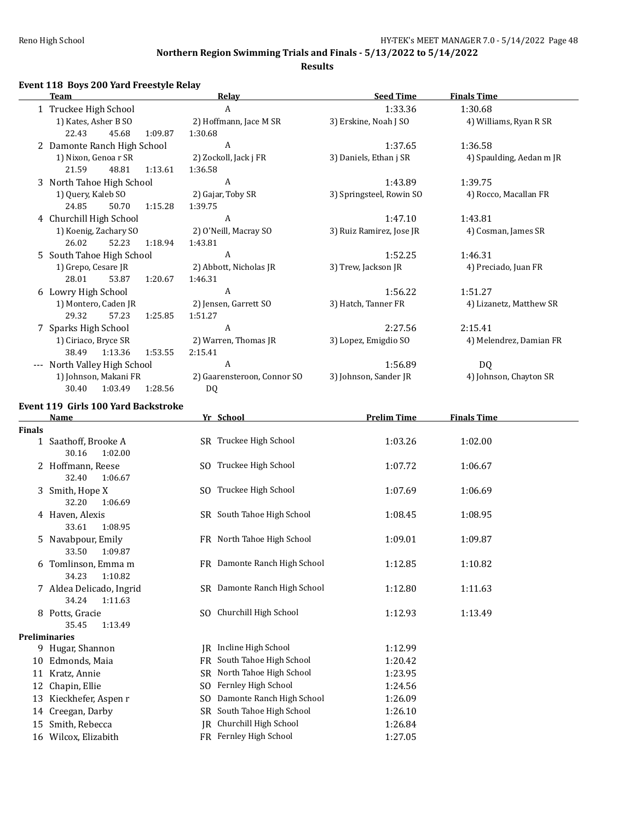$\overline{\phantom{a}}$ 

## **Northern Region Swimming Trials and Finals - 5/13/2022 to 5/14/2022**

### **Results**

## **Event 118 Boys 200 Yard Freestyle Relay**

|       | <b>Team</b>                 | Relay                       | <b>Seed Time</b>         | <b>Finals Time</b>       |
|-------|-----------------------------|-----------------------------|--------------------------|--------------------------|
|       | 1 Truckee High School       | A                           | 1:33.36                  | 1:30.68                  |
|       | 1) Kates, Asher B SO        | 2) Hoffmann, Jace M SR      | 3) Erskine, Noah J SO    | 4) Williams, Ryan R SR   |
|       | 45.68<br>22.43<br>1:09.87   | 1:30.68                     |                          |                          |
|       | 2 Damonte Ranch High School | A                           | 1:37.65                  | 1:36.58                  |
|       | 1) Nixon, Genoa r SR        | 2) Zockoll, Jack j FR       | 3) Daniels, Ethan j SR   | 4) Spaulding, Aedan m JR |
|       | 21.59<br>48.81<br>1:13.61   | 1:36.58                     |                          |                          |
| 3     | North Tahoe High School     | A                           | 1:43.89                  | 1:39.75                  |
|       | 1) Query, Kaleb SO          | 2) Gajar, Toby SR           | 3) Springsteel, Rowin SO | 4) Rocco, Macallan FR    |
|       | 24.85<br>50.70<br>1:15.28   | 1:39.75                     |                          |                          |
|       | 4 Churchill High School     | A                           | 1:47.10                  | 1:43.81                  |
|       | 1) Koenig, Zachary SO       | 2) O'Neill, Macray SO       | 3) Ruiz Ramirez, Jose JR | 4) Cosman, James SR      |
|       | 26.02<br>52.23<br>1:18.94   | 1:43.81                     |                          |                          |
| 5.    | South Tahoe High School     | A                           | 1:52.25                  | 1:46.31                  |
|       | 1) Grepo, Cesare JR         | 2) Abbott, Nicholas JR      | 3) Trew, Jackson JR      | 4) Preciado, Juan FR     |
|       | 1:20.67<br>28.01<br>53.87   | 1:46.31                     |                          |                          |
|       | 6 Lowry High School         | A                           | 1:56.22                  | 1:51.27                  |
|       | 1) Montero, Caden JR        | 2) Jensen, Garrett SO       | 3) Hatch, Tanner FR      | 4) Lizanetz, Matthew SR  |
|       | 57.23<br>29.32<br>1:25.85   | 1:51.27                     |                          |                          |
|       | 7 Sparks High School        | A                           | 2:27.56                  | 2:15.41                  |
|       | 1) Ciriaco, Bryce SR        | 2) Warren, Thomas JR        | 3) Lopez, Emigdio SO     | 4) Melendrez, Damian FR  |
|       | 38.49<br>1:13.36<br>1:53.55 | 2:15.41                     |                          |                          |
| $---$ | North Valley High School    | A                           | 1:56.89                  | DQ                       |
|       | 1) Johnson, Makani FR       | 2) Gaarensteroon, Connor SO | 3) Johnson, Sander JR    | 4) Johnson, Chayton SR   |
|       | 1:03.49<br>1:28.56<br>30.40 | DQ                          |                          |                          |

### **Event 119 Girls 100 Yard Backstroke**

|                      | <b>Name</b>              |     | Yr School                    | <b>Prelim Time</b> | <b>Finals Time</b> |
|----------------------|--------------------------|-----|------------------------------|--------------------|--------------------|
| <b>Finals</b>        |                          |     |                              |                    |                    |
| $\mathbf{1}$         | Saathoff, Brooke A       |     | SR Truckee High School       | 1:03.26            | 1:02.00            |
|                      | 30.16<br>1:02.00         |     |                              |                    |                    |
|                      | 2 Hoffmann, Reese        |     | SO Truckee High School       | 1:07.72            | 1:06.67            |
|                      | 32.40<br>1:06.67         |     |                              |                    |                    |
|                      | 3 Smith, Hope X          |     | SO Truckee High School       | 1:07.69            | 1:06.69            |
|                      | 32.20<br>1:06.69         |     |                              |                    |                    |
|                      | 4 Haven, Alexis          |     | SR South Tahoe High School   | 1:08.45            | 1:08.95            |
|                      | 33.61<br>1:08.95         |     |                              |                    |                    |
|                      | 5 Navabpour, Emily       |     | FR North Tahoe High School   | 1:09.01            | 1:09.87            |
|                      | 33.50<br>1:09.87         |     |                              |                    |                    |
|                      | 6 Tomlinson, Emma m      |     | FR Damonte Ranch High School | 1:12.85            | 1:10.82            |
|                      | 34.23<br>1:10.82         |     |                              |                    |                    |
|                      | 7 Aldea Delicado, Ingrid |     | SR Damonte Ranch High School | 1:12.80            | 1:11.63            |
|                      | 34.24<br>1:11.63         |     |                              |                    |                    |
|                      | 8 Potts, Gracie          |     | SO Churchill High School     | 1:12.93            | 1:13.49            |
|                      | 35.45<br>1:13.49         |     |                              |                    |                    |
| <b>Preliminaries</b> | 9 Hugar, Shannon         | IR  | Incline High School          | 1:12.99            |                    |
|                      | 10 Edmonds, Maia         | FR  | South Tahoe High School      | 1:20.42            |                    |
|                      | 11 Kratz, Annie          | SR. | North Tahoe High School      | 1:23.95            |                    |
|                      |                          | SO. | Fernley High School          | 1:24.56            |                    |
| 12                   | Chapin, Ellie            |     | Damonte Ranch High School    | 1:26.09            |                    |
| 13                   | Kieckhefer, Aspen r      | SO. |                              |                    |                    |
| 14                   | Creegan, Darby           | SR  | South Tahoe High School      | 1:26.10            |                    |
| 15                   | Smith, Rebecca           |     | JR Churchill High School     | 1:26.84            |                    |
| 16                   | Wilcox, Elizabith        |     | FR Fernley High School       | 1:27.05            |                    |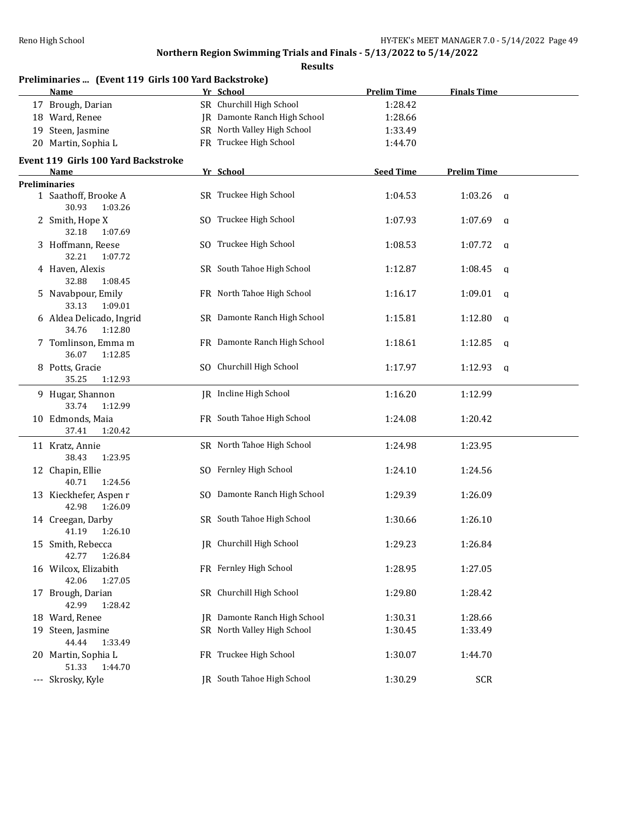| Preliminaries  (Event 119 Girls 100 Yard Backstroke)<br>Name | Yr School                    | <b>Prelim Time</b> | <b>Finals Time</b>     |  |
|--------------------------------------------------------------|------------------------------|--------------------|------------------------|--|
| 17 Brough, Darian                                            | SR Churchill High School     | 1:28.42            |                        |  |
| 18 Ward, Renee                                               | JR Damonte Ranch High School | 1:28.66            |                        |  |
| 19 Steen, Jasmine                                            | SR North Valley High School  | 1:33.49            |                        |  |
| 20 Martin, Sophia L                                          | FR Truckee High School       | 1:44.70            |                        |  |
| Event 119 Girls 100 Yard Backstroke                          |                              |                    |                        |  |
| Name<br><b>Preliminaries</b>                                 | Yr School                    | <b>Seed Time</b>   | <b>Prelim Time</b>     |  |
| 1 Saathoff, Brooke A<br>30.93<br>1:03.26                     | SR Truckee High School       | 1:04.53            | 1:03.26<br>$\mathbf q$ |  |
| 2 Smith, Hope X<br>32.18<br>1:07.69                          | SO Truckee High School       | 1:07.93            | 1:07.69<br>q           |  |
| 3 Hoffmann, Reese<br>32.21<br>1:07.72                        | SO Truckee High School       | 1:08.53            | 1:07.72<br>q           |  |
| 4 Haven, Alexis<br>32.88<br>1:08.45                          | SR South Tahoe High School   | 1:12.87            | 1:08.45<br>q           |  |
| 5 Navabpour, Emily<br>33.13<br>1:09.01                       | FR North Tahoe High School   | 1:16.17            | 1:09.01<br>q           |  |
| 6 Aldea Delicado, Ingrid<br>34.76<br>1:12.80                 | SR Damonte Ranch High School | 1:15.81            | 1:12.80<br>q           |  |
| 7 Tomlinson, Emma m<br>36.07<br>1:12.85                      | FR Damonte Ranch High School | 1:18.61            | 1:12.85<br>q           |  |
| 8 Potts, Gracie<br>35.25<br>1:12.93                          | SO Churchill High School     | 1:17.97            | 1:12.93<br>q           |  |
| 9 Hugar, Shannon<br>33.74<br>1:12.99                         | JR Incline High School       | 1:16.20            | 1:12.99                |  |
| 10 Edmonds, Maia<br>37.41<br>1:20.42                         | FR South Tahoe High School   | 1:24.08            | 1:20.42                |  |
| 11 Kratz, Annie<br>38.43<br>1:23.95                          | SR North Tahoe High School   | 1:24.98            | 1:23.95                |  |
| 12 Chapin, Ellie<br>40.71<br>1:24.56                         | SO Fernley High School       | 1:24.10            | 1:24.56                |  |
| 13 Kieckhefer, Aspen r<br>42.98<br>1:26.09                   | SO Damonte Ranch High School | 1:29.39            | 1:26.09                |  |
| 14 Creegan, Darby<br>41.19<br>1:26.10                        | SR South Tahoe High School   | 1:30.66            | 1:26.10                |  |
| 15 Smith, Rebecca<br>42.77<br>1:26.84                        | JR Churchill High School     | 1:29.23            | 1:26.84                |  |
| 16 Wilcox, Elizabith<br>42.06<br>1:27.05                     | FR Fernley High School       | 1:28.95            | 1:27.05                |  |
| 17 Brough, Darian<br>42.99<br>1:28.42                        | SR Churchill High School     | 1:29.80            | 1:28.42                |  |
| 18 Ward, Renee                                               | JR Damonte Ranch High School | 1:30.31            | 1:28.66                |  |
| 19 Steen, Jasmine<br>44.44<br>1:33.49                        | SR North Valley High School  | 1:30.45            | 1:33.49                |  |
| 20 Martin, Sophia L<br>51.33<br>1:44.70                      | FR Truckee High School       | 1:30.07            | 1:44.70                |  |
| --- Skrosky, Kyle                                            | JR South Tahoe High School   | 1:30.29            | <b>SCR</b>             |  |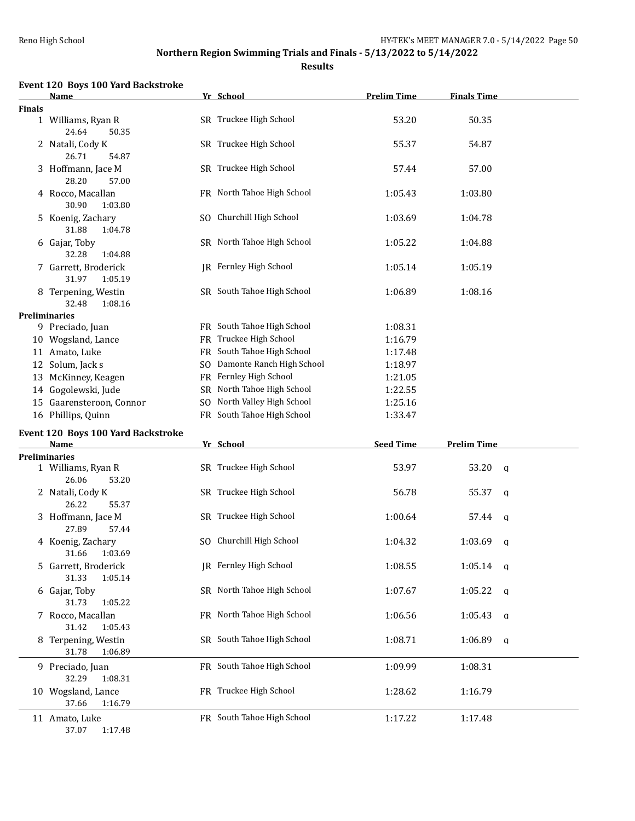**Results**

### **Event 120 Boys 100 Yard Backstroke**

|               | <b>Name</b>                              | Yr School                     | <b>Prelim Time</b> | <b>Finals Time</b>     |  |
|---------------|------------------------------------------|-------------------------------|--------------------|------------------------|--|
| <b>Finals</b> |                                          |                               |                    |                        |  |
|               | 1 Williams, Ryan R<br>24.64<br>50.35     | SR Truckee High School        | 53.20              | 50.35                  |  |
|               | 2 Natali, Cody K<br>26.71<br>54.87       | SR Truckee High School        | 55.37              | 54.87                  |  |
|               | 3 Hoffmann, Jace M<br>28.20<br>57.00     | SR Truckee High School        | 57.44              | 57.00                  |  |
|               | 4 Rocco, Macallan<br>30.90<br>1:03.80    | FR North Tahoe High School    | 1:05.43            | 1:03.80                |  |
|               | 5 Koenig, Zachary<br>31.88<br>1:04.78    | SO Churchill High School      | 1:03.69            | 1:04.78                |  |
|               | 6 Gajar, Toby<br>32.28<br>1:04.88        | SR North Tahoe High School    | 1:05.22            | 1:04.88                |  |
|               | 7 Garrett, Broderick<br>31.97<br>1:05.19 | <b>IR</b> Fernley High School | 1:05.14            | 1:05.19                |  |
|               | 8 Terpening, Westin<br>32.48<br>1:08.16  | SR South Tahoe High School    | 1:06.89            | 1:08.16                |  |
|               | <b>Preliminaries</b>                     |                               |                    |                        |  |
|               | 9 Preciado, Juan                         | FR South Tahoe High School    | 1:08.31            |                        |  |
|               | 10 Wogsland, Lance                       | FR Truckee High School        | 1:16.79            |                        |  |
|               | 11 Amato, Luke                           | FR South Tahoe High School    | 1:17.48            |                        |  |
|               | 12 Solum, Jack s                         | SO Damonte Ranch High School  | 1:18.97            |                        |  |
|               | 13 McKinney, Keagen                      | FR Fernley High School        | 1:21.05            |                        |  |
|               |                                          |                               |                    |                        |  |
|               | 14 Gogolewski, Jude                      | SR North Tahoe High School    | 1:22.55            |                        |  |
|               | 15 Gaarensteroon, Connor                 | SO North Valley High School   | 1:25.16            |                        |  |
|               | 16 Phillips, Quinn                       | FR South Tahoe High School    | 1:33.47            |                        |  |
|               | Event 120 Boys 100 Yard Backstroke       |                               |                    |                        |  |
|               | Name                                     | Yr School                     | <b>Seed Time</b>   | <b>Prelim Time</b>     |  |
|               | Preliminaries                            |                               |                    |                        |  |
|               | 1 Williams, Ryan R<br>26.06<br>53.20     | SR Truckee High School        | 53.97              | 53.20<br>q             |  |
|               | 2 Natali, Cody K<br>26.22<br>55.37       | SR Truckee High School        | 56.78              | 55.37<br>q             |  |
|               | 3 Hoffmann, Jace M<br>27.89<br>57.44     | SR Truckee High School        | 1:00.64            | 57.44<br>a             |  |
|               | 4 Koenig, Zachary<br>31.66 1:03.69       | SO Churchill High School      | 1:04.32            | 1:03.69<br>q           |  |
|               | 5 Garrett, Broderick<br>31.33<br>1:05.14 | <b>IR</b> Fernley High School | 1:08.55            | 1:05.14<br>- a         |  |
|               | 6 Gajar, Toby<br>31.73<br>1:05.22        | SR North Tahoe High School    | 1:07.67            | 1:05.22<br>q           |  |
|               | 7 Rocco, Macallan<br>31.42<br>1:05.43    | FR North Tahoe High School    | 1:06.56            | 1:05.43<br>q           |  |
|               | 8 Terpening, Westin<br>31.78<br>1:06.89  | SR South Tahoe High School    | 1:08.71            | 1:06.89<br>$\mathbf q$ |  |
|               | 9 Preciado, Juan<br>32.29<br>1:08.31     | FR South Tahoe High School    | 1:09.99            | 1:08.31                |  |
|               | 10 Wogsland, Lance<br>37.66<br>1:16.79   | FR Truckee High School        | 1:28.62            | 1:16.79                |  |
|               | 11 Amato, Luke                           | FR South Tahoe High School    | 1:17.22            | 1:17.48                |  |

37.07 1:17.48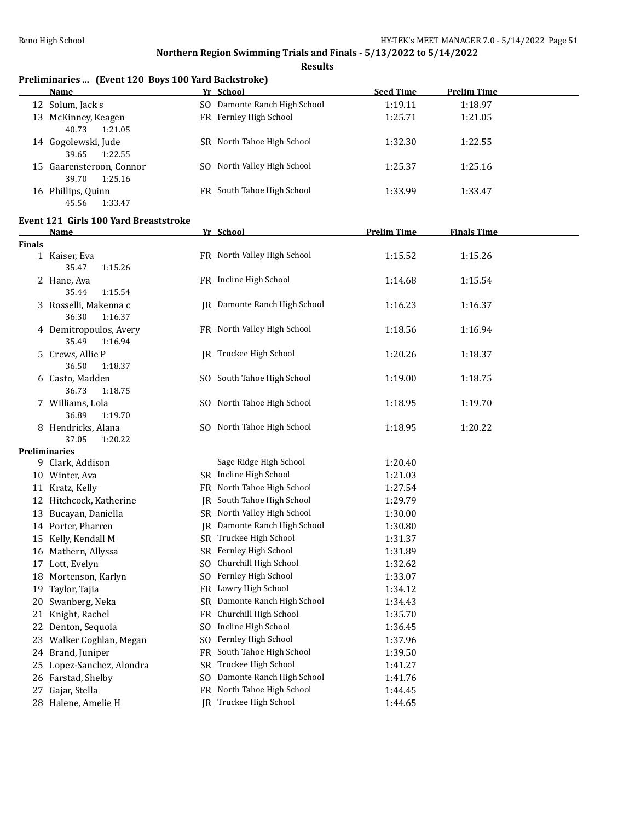**Results**

|  | Preliminaries  (Event 120 Boys 100 Yard Backstroke) |
|--|-----------------------------------------------------|
|  |                                                     |

| Name                                         | Yr School                    | <b>Seed Time</b> | <b>Prelim Time</b> |  |
|----------------------------------------------|------------------------------|------------------|--------------------|--|
| 12 Solum, Jack s                             | SO Damonte Ranch High School | 1:19.11          | 1:18.97            |  |
| 13 McKinney, Keagen<br>40.73<br>1:21.05      | FR Fernley High School       | 1:25.71          | 1:21.05            |  |
| 14 Gogolewski, Jude<br>1:22.55<br>39.65      | SR North Tahoe High School   | 1:32.30          | 1:22.55            |  |
| 15 Gaarensteroon, Connor<br>1:25.16<br>39.70 | SO North Valley High School  | 1:25.37          | 1:25.16            |  |
| Phillips, Quinn<br>16<br>1:33.47<br>45.56    | FR South Tahoe High School   | 1:33.99          | 1:33.47            |  |

# **Event 121 Girls 100 Yard Breaststroke**

|               | <b>Name</b>                            |           | Yr School                    | <b>Prelim Time</b> | <b>Finals Time</b> |  |
|---------------|----------------------------------------|-----------|------------------------------|--------------------|--------------------|--|
| <b>Finals</b> |                                        |           |                              |                    |                    |  |
|               | 1 Kaiser, Eva                          |           | FR North Valley High School  | 1:15.52            | 1:15.26            |  |
|               | 35.47<br>1:15.26                       |           |                              |                    |                    |  |
|               | 2 Hane, Ava                            |           | FR Incline High School       | 1:14.68            | 1:15.54            |  |
|               | 1:15.54<br>35.44                       |           |                              |                    |                    |  |
|               | 3 Rosselli, Makenna c                  |           | JR Damonte Ranch High School | 1:16.23            | 1:16.37            |  |
|               | 36.30<br>1:16.37                       |           |                              |                    |                    |  |
|               | 4 Demitropoulos, Avery                 |           | FR North Valley High School  | 1:18.56            | 1:16.94            |  |
|               | 35.49<br>1:16.94                       |           |                              |                    |                    |  |
|               | 5 Crews, Allie P                       |           | JR Truckee High School       | 1:20.26            | 1:18.37            |  |
|               | 36.50<br>1:18.37                       |           |                              |                    |                    |  |
|               | 6 Casto, Madden                        |           | SO South Tahoe High School   | 1:19.00            | 1:18.75            |  |
|               | 36.73<br>1:18.75                       |           |                              |                    |                    |  |
|               | 7 Williams, Lola                       |           | SO North Tahoe High School   | 1:18.95            | 1:19.70            |  |
|               | 36.89<br>1:19.70                       |           |                              |                    |                    |  |
|               | 8 Hendricks, Alana<br>37.05<br>1:20.22 |           | SO North Tahoe High School   | 1:18.95            | 1:20.22            |  |
|               | <b>Preliminaries</b>                   |           |                              |                    |                    |  |
|               | 9 Clark, Addison                       |           | Sage Ridge High School       | 1:20.40            |                    |  |
|               | 10 Winter, Ava                         |           | SR Incline High School       | 1:21.03            |                    |  |
|               | 11 Kratz, Kelly                        |           | FR North Tahoe High School   | 1:27.54            |                    |  |
|               | 12 Hitchcock, Katherine                | IR        | South Tahoe High School      | 1:29.79            |                    |  |
|               | 13 Bucayan, Daniella                   |           | SR North Valley High School  | 1:30.00            |                    |  |
|               | 14 Porter, Pharren                     | IR        | Damonte Ranch High School    | 1:30.80            |                    |  |
|               | 15 Kelly, Kendall M                    |           | SR Truckee High School       | 1:31.37            |                    |  |
|               | 16 Mathern, Allyssa                    |           | SR Fernley High School       | 1:31.89            |                    |  |
|               | 17 Lott, Evelyn                        | SO.       | Churchill High School        | 1:32.62            |                    |  |
|               | 18 Mortenson, Karlyn                   | SO.       | Fernley High School          | 1:33.07            |                    |  |
|               | 19 Taylor, Tajia                       |           | FR Lowry High School         | 1:34.12            |                    |  |
|               | 20 Swanberg, Neka                      |           | SR Damonte Ranch High School | 1:34.43            |                    |  |
|               | 21 Knight, Rachel                      | FR.       | Churchill High School        | 1:35.70            |                    |  |
|               | 22 Denton, Sequoia                     |           | SO Incline High School       | 1:36.45            |                    |  |
| 23            | Walker Coghlan, Megan<br>SO.           |           | Fernley High School          | 1:37.96            |                    |  |
|               | 24 Brand, Juniper                      | FR        | South Tahoe High School      | 1:39.50            |                    |  |
|               | 25 Lopez-Sanchez, Alondra              | <b>SR</b> | Truckee High School          | 1:41.27            |                    |  |
|               | 26 Farstad, Shelby                     | SO.       | Damonte Ranch High School    | 1:41.76            |                    |  |
| 27            | Gajar, Stella                          |           | FR North Tahoe High School   | 1:44.45            |                    |  |
|               | 28 Halene, Amelie H                    |           | JR Truckee High School       | 1:44.65            |                    |  |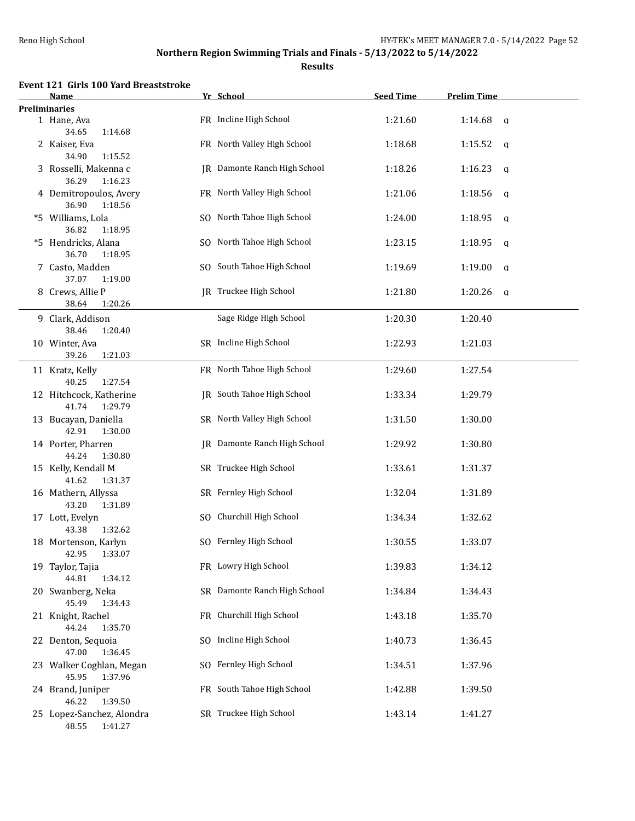**Results**

## **Event 121 Girls 100 Yard Breaststroke**

| <b>Name</b>                                   | Yr School                    | <b>Seed Time</b> | <b>Prelim Time</b>     |  |
|-----------------------------------------------|------------------------------|------------------|------------------------|--|
| <b>Preliminaries</b>                          |                              |                  |                        |  |
| 1 Hane, Ava<br>34.65<br>1:14.68               | FR Incline High School       | 1:21.60          | 1:14.68<br>$\alpha$    |  |
| 2 Kaiser, Eva<br>34.90<br>1:15.52             | FR North Valley High School  | 1:18.68          | 1:15.52<br>q           |  |
| 3 Rosselli, Makenna c<br>36.29<br>1:16.23     | JR Damonte Ranch High School | 1:18.26          | 1:16.23<br>q           |  |
| 4 Demitropoulos, Avery<br>36.90<br>1:18.56    | FR North Valley High School  | 1:21.06          | 1:18.56<br>q           |  |
| *5 Williams, Lola<br>36.82<br>1:18.95         | SO North Tahoe High School   | 1:24.00          | 1:18.95<br>q           |  |
| *5 Hendricks, Alana<br>36.70<br>1:18.95       | SO North Tahoe High School   | 1:23.15          | 1:18.95<br>q           |  |
| 7 Casto, Madden<br>37.07<br>1:19.00           | SO South Tahoe High School   | 1:19.69          | 1:19.00<br>$\mathbf q$ |  |
| 8 Crews, Allie P<br>38.64<br>1:20.26          | JR Truckee High School       | 1:21.80          | 1:20.26<br>q           |  |
| 9 Clark, Addison<br>38.46<br>1:20.40          | Sage Ridge High School       | 1:20.30          | 1:20.40                |  |
| 10 Winter, Ava<br>39.26<br>1:21.03            | SR Incline High School       | 1:22.93          | 1:21.03                |  |
| 11 Kratz, Kelly<br>40.25<br>1:27.54           | FR North Tahoe High School   | 1:29.60          | 1:27.54                |  |
| 12 Hitchcock, Katherine<br>1:29.79<br>41.74   | JR South Tahoe High School   | 1:33.34          | 1:29.79                |  |
| 13 Bucayan, Daniella<br>42.91<br>1:30.00      | SR North Valley High School  | 1:31.50          | 1:30.00                |  |
| 14 Porter, Pharren<br>44.24<br>1:30.80        | JR Damonte Ranch High School | 1:29.92          | 1:30.80                |  |
| 15 Kelly, Kendall M<br>41.62<br>1:31.37       | SR Truckee High School       | 1:33.61          | 1:31.37                |  |
| 16 Mathern, Allyssa<br>43.20<br>1:31.89       | SR Fernley High School       | 1:32.04          | 1:31.89                |  |
| 17 Lott, Evelyn<br>43.38<br>1:32.62           | SO Churchill High School     | 1:34.34          | 1:32.62                |  |
| 18 Mortenson, Karlyn<br>42.95 1:33.07         | SO Fernley High School       | 1:30.55          | 1:33.07                |  |
| 19 Taylor, Tajia<br>44.81<br>1:34.12          | FR Lowry High School         | 1:39.83          | 1:34.12                |  |
| 20 Swanberg, Neka<br>45.49<br>1:34.43         | SR Damonte Ranch High School | 1:34.84          | 1:34.43                |  |
| 21 Knight, Rachel<br>44.24<br>1:35.70         | FR Churchill High School     | 1:43.18          | 1:35.70                |  |
| 22 Denton, Sequoia<br>47.00<br>1:36.45        | SO Incline High School       | 1:40.73          | 1:36.45                |  |
| 23 Walker Coghlan, Megan<br>45.95<br>1:37.96  | SO Fernley High School       | 1:34.51          | 1:37.96                |  |
| 24 Brand, Juniper<br>46.22<br>1:39.50         | FR South Tahoe High School   | 1:42.88          | 1:39.50                |  |
| 25 Lopez-Sanchez, Alondra<br>48.55<br>1:41.27 | SR Truckee High School       | 1:43.14          | 1:41.27                |  |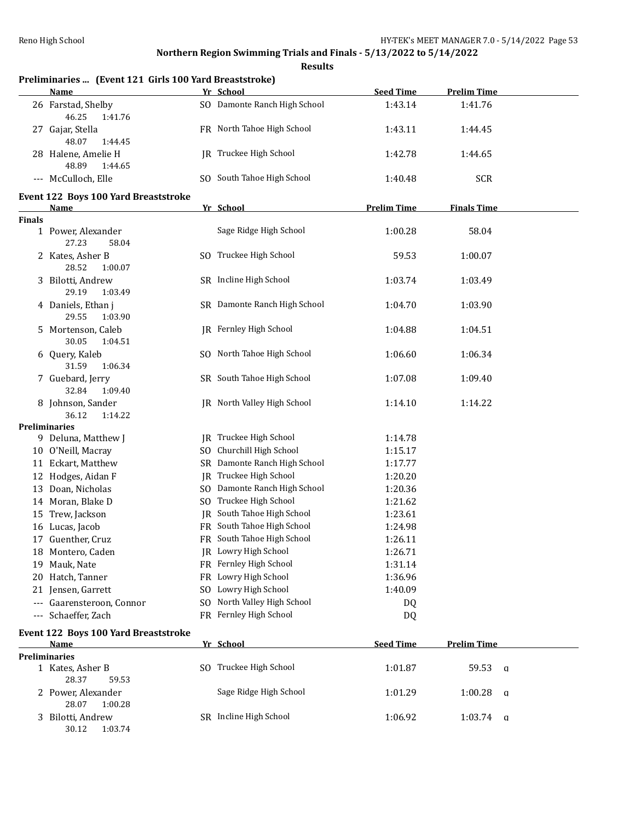|               | Preliminaries  (Event 121 Girls 100 Yard Breaststroke) |                              |                    |                    |
|---------------|--------------------------------------------------------|------------------------------|--------------------|--------------------|
|               | Name                                                   | Yr School                    | <b>Seed Time</b>   | <b>Prelim Time</b> |
|               | 26 Farstad, Shelby<br>46.25<br>1:41.76                 | SO Damonte Ranch High School | 1:43.14            | 1:41.76            |
|               | 27 Gajar, Stella<br>48.07<br>1:44.45                   | FR North Tahoe High School   | 1:43.11            | 1:44.45            |
|               | 28 Halene, Amelie H<br>48.89<br>1:44.65                | JR Truckee High School       | 1:42.78            | 1:44.65            |
|               | --- McCulloch, Elle                                    | SO South Tahoe High School   | 1:40.48            | <b>SCR</b>         |
|               | Event 122 Boys 100 Yard Breaststroke<br><u>Name</u>    | Yr School                    | <b>Prelim Time</b> | <b>Finals Time</b> |
| <b>Finals</b> |                                                        |                              |                    |                    |
|               | 1 Power, Alexander<br>27.23<br>58.04                   | Sage Ridge High School       | 1:00.28            | 58.04              |
|               | 2 Kates, Asher B<br>28.52<br>1:00.07                   | SO Truckee High School       | 59.53              | 1:00.07            |
|               | 3 Bilotti, Andrew<br>29.19<br>1:03.49                  | SR Incline High School       | 1:03.74            | 1:03.49            |
|               | 4 Daniels, Ethan j<br>29.55<br>1:03.90                 | SR Damonte Ranch High School | 1:04.70            | 1:03.90            |
|               | 5 Mortenson, Caleb<br>30.05<br>1:04.51                 | JR Fernley High School       | 1:04.88            | 1:04.51            |
|               | 6 Query, Kaleb<br>31.59<br>1:06.34                     | SO North Tahoe High School   | 1:06.60            | 1:06.34            |
|               | 7 Guebard, Jerry<br>32.84<br>1:09.40                   | SR South Tahoe High School   | 1:07.08            | 1:09.40            |
|               | 8 Johnson, Sander<br>36.12<br>1:14.22                  | JR North Valley High School  | 1:14.10            | 1:14.22            |
|               | Preliminaries                                          |                              |                    |                    |
|               | 9 Deluna, Matthew J                                    | JR Truckee High School       | 1:14.78            |                    |
|               | 10 O'Neill, Macray                                     | SO Churchill High School     | 1:15.17            |                    |
|               | 11 Eckart, Matthew                                     | SR Damonte Ranch High School | 1:17.77            |                    |
|               | 12 Hodges, Aidan F                                     | JR Truckee High School       | 1:20.20            |                    |
|               | 13 Doan, Nicholas                                      | SO Damonte Ranch High School | 1:20.36            |                    |
|               | 14 Moran, Blake D                                      | SO Truckee High School       | 1:21.62            |                    |
|               | 15 Trew, Jackson                                       | JR South Tahoe High School   | 1:23.61            |                    |
|               | 16 Lucas, Jacob                                        | FR South Tahoe High School   | 1:24.98            |                    |
|               | 17 Guenther, Cruz                                      | FR South Tahoe High School   | 1:26.11            |                    |
|               | 18 Montero, Caden                                      | JR Lowry High School         | 1:26.71            |                    |
|               | 19 Mauk, Nate                                          | FR Fernley High School       | 1:31.14            |                    |
| 20            | Hatch, Tanner                                          | FR Lowry High School         | 1:36.96            |                    |
|               | 21 Jensen, Garrett                                     | SO Lowry High School         | 1:40.09            |                    |
|               | --- Gaarensteroon, Connor                              | SO North Valley High School  | DQ                 |                    |
| ---           | Schaeffer, Zach                                        | FR Fernley High School       | DQ                 |                    |
|               | <b>Event 122 Boys 100 Yard Breaststroke</b>            |                              |                    |                    |
|               | Name<br><b>Preliminaries</b>                           | Yr School                    | <b>Seed Time</b>   | <b>Prelim Time</b> |
|               | 1 Kates, Asher B<br>28.37<br>59.53                     | SO Truckee High School       | 1:01.87            | 59.53<br>a         |
|               | 2 Power, Alexander<br>28.07<br>1:00.28                 | Sage Ridge High School       | 1:01.29            | 1:00.28<br>a       |
| 3             | Bilotti, Andrew<br>30.12<br>1:03.74                    | SR Incline High School       | 1:06.92            | 1:03.74<br>a       |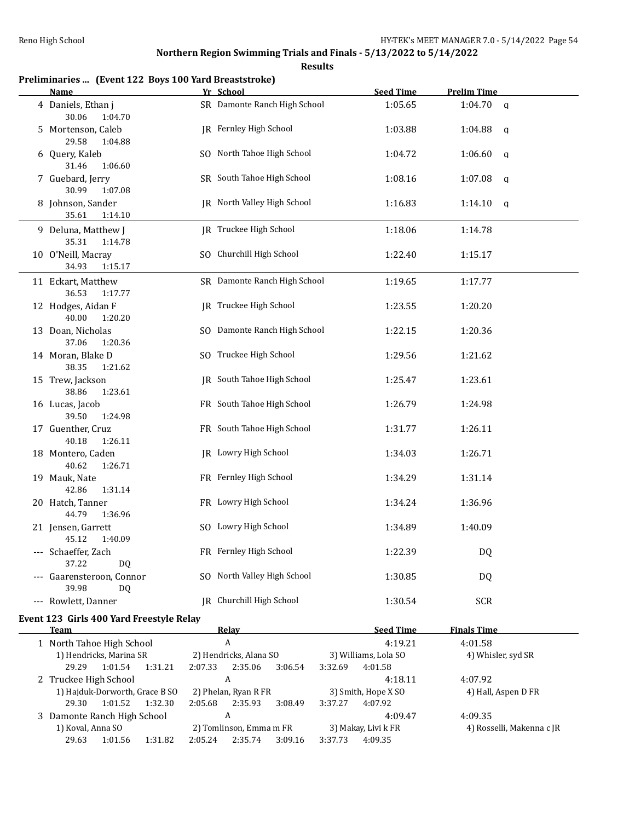| Preliminaries  (Event 122 Boys 100 Yard Breaststroke)<br>Name |         | Yr School                                    |         | <b>Seed Time</b>                | <b>Prelim Time</b>        |
|---------------------------------------------------------------|---------|----------------------------------------------|---------|---------------------------------|---------------------------|
| 4 Daniels, Ethan j<br>30.06<br>1:04.70                        |         | SR Damonte Ranch High School                 |         | 1:05.65                         | $1:04.70$ q               |
| 5 Mortenson, Caleb<br>29.58<br>1:04.88                        |         | JR Fernley High School                       |         | 1:03.88                         | 1:04.88<br>q              |
| 6 Query, Kaleb<br>31.46<br>1:06.60                            |         | SO North Tahoe High School                   |         | 1:04.72                         | 1:06.60<br>q              |
| 7 Guebard, Jerry<br>30.99<br>1:07.08                          |         | SR South Tahoe High School                   |         | 1:08.16                         | 1:07.08<br>q              |
| 8 Johnson, Sander<br>35.61<br>1:14.10                         |         | JR North Valley High School                  |         | 1:16.83                         | 1:14.10<br>q              |
| 9 Deluna, Matthew J<br>35.31<br>1:14.78                       |         | JR Truckee High School                       |         | 1:18.06                         | 1:14.78                   |
| 10 O'Neill, Macray<br>34.93<br>1:15.17                        |         | SO Churchill High School                     |         | 1:22.40                         | 1:15.17                   |
| 11 Eckart, Matthew<br>36.53<br>1:17.77                        |         | SR Damonte Ranch High School                 |         | 1:19.65                         | 1:17.77                   |
| 12 Hodges, Aidan F<br>40.00<br>1:20.20                        |         | JR Truckee High School                       |         | 1:23.55                         | 1:20.20                   |
| 13 Doan, Nicholas<br>37.06<br>1:20.36                         |         | SO Damonte Ranch High School                 |         | 1:22.15                         | 1:20.36                   |
| 14 Moran, Blake D<br>38.35<br>1:21.62                         |         | SO Truckee High School                       |         | 1:29.56                         | 1:21.62                   |
| 15 Trew, Jackson<br>38.86<br>1:23.61                          |         | JR South Tahoe High School                   |         | 1:25.47                         | 1:23.61                   |
| 16 Lucas, Jacob<br>39.50<br>1:24.98                           |         | FR South Tahoe High School                   |         | 1:26.79                         | 1:24.98                   |
| 17 Guenther, Cruz<br>40.18<br>1:26.11                         |         | FR South Tahoe High School                   |         | 1:31.77                         | 1:26.11                   |
| 18 Montero, Caden<br>40.62<br>1:26.71                         |         | JR Lowry High School                         |         | 1:34.03                         | 1:26.71                   |
| 19 Mauk, Nate<br>42.86<br>1:31.14                             |         | FR Fernley High School                       |         | 1:34.29                         | 1:31.14                   |
| 20 Hatch, Tanner<br>44.79<br>1:36.96                          |         | FR Lowry High School                         |         | 1:34.24                         | 1:36.96                   |
| 21 Jensen, Garrett<br>45.12 1:40.09                           |         | SO Lowry High School                         |         | 1:34.89                         | 1:40.09                   |
| --- Schaeffer, Zach<br>37.22<br>DQ.                           |         | FR Fernley High School                       |         | 1:22.39                         | DQ                        |
| --- Gaarensteroon, Connor<br>39.98<br>DQ.                     |         | SO North Valley High School                  |         | 1:30.85                         | DQ                        |
| --- Rowlett, Danner                                           |         | IR Churchill High School                     |         | 1:30.54                         | SCR                       |
| Event 123 Girls 400 Yard Freestyle Relay                      |         |                                              |         |                                 |                           |
| Team                                                          |         | Relay                                        |         | <b>Seed Time</b>                | <b>Finals Time</b>        |
| 1 North Tahoe High School                                     |         | $\boldsymbol{A}$                             |         | 4:19.21                         | 4:01.58                   |
| 1) Hendricks, Marina SR<br>29.29<br>1:01.54<br>1:31.21        | 2:07.33 | 2) Hendricks, Alana SO<br>2:35.06<br>3:06.54 | 3:32.69 | 3) Williams, Lola SO<br>4:01.58 | 4) Whisler, syd SR        |
| 2 Truckee High School                                         |         | $\boldsymbol{A}$                             |         | 4:18.11                         | 4:07.92                   |
| 1) Hajduk-Dorworth, Grace B SO<br>29.30<br>1:01.52<br>1:32.30 | 2:05.68 | 2) Phelan, Ryan R FR<br>2:35.93<br>3:08.49   | 3:37.27 | 3) Smith, Hope X SO<br>4:07.92  | 4) Hall, Aspen D FR       |
| 3 Damonte Ranch High School                                   |         | A                                            |         | 4:09.47                         | 4:09.35                   |
| 1) Koval, Anna SO                                             |         | 2) Tomlinson, Emma m FR                      |         | 3) Makay, Livi k FR             | 4) Rosselli, Makenna c JR |
| 29.63<br>1:01.56<br>1:31.82                                   | 2:05.24 | 3:09.16<br>2:35.74                           | 3:37.73 | 4:09.35                         |                           |